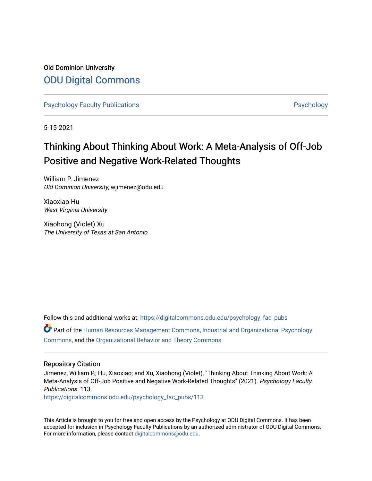Old Dominion University [ODU Digital Commons](https://digitalcommons.odu.edu/) 

[Psychology Faculty Publications](https://digitalcommons.odu.edu/psychology_fac_pubs) **Provides** [Psychology](https://digitalcommons.odu.edu/psychology) **Psychology** 

5-15-2021

# Thinking About Thinking About Work: A Meta-Analysis of Off-Job Positive and Negative Work-Related Thoughts

William P. Jimenez Old Dominion University, wjimenez@odu.edu

Xiaoxiao Hu West Virginia University

Xiaohong (Violet) Xu The University of Texas at San Antonio

Follow this and additional works at: [https://digitalcommons.odu.edu/psychology\\_fac\\_pubs](https://digitalcommons.odu.edu/psychology_fac_pubs?utm_source=digitalcommons.odu.edu%2Fpsychology_fac_pubs%2F113&utm_medium=PDF&utm_campaign=PDFCoverPages)

Part of the [Human Resources Management Commons,](https://network.bepress.com/hgg/discipline/633?utm_source=digitalcommons.odu.edu%2Fpsychology_fac_pubs%2F113&utm_medium=PDF&utm_campaign=PDFCoverPages) [Industrial and Organizational Psychology](https://network.bepress.com/hgg/discipline/412?utm_source=digitalcommons.odu.edu%2Fpsychology_fac_pubs%2F113&utm_medium=PDF&utm_campaign=PDFCoverPages) [Commons](https://network.bepress.com/hgg/discipline/412?utm_source=digitalcommons.odu.edu%2Fpsychology_fac_pubs%2F113&utm_medium=PDF&utm_campaign=PDFCoverPages), and the [Organizational Behavior and Theory Commons](https://network.bepress.com/hgg/discipline/639?utm_source=digitalcommons.odu.edu%2Fpsychology_fac_pubs%2F113&utm_medium=PDF&utm_campaign=PDFCoverPages) 

## Repository Citation

Jimenez, William P.; Hu, Xiaoxiao; and Xu, Xiaohong (Violet), "Thinking About Thinking About Work: A Meta-Analysis of Off-Job Positive and Negative Work-Related Thoughts" (2021). Psychology Faculty Publications. 113.

[https://digitalcommons.odu.edu/psychology\\_fac\\_pubs/113](https://digitalcommons.odu.edu/psychology_fac_pubs/113?utm_source=digitalcommons.odu.edu%2Fpsychology_fac_pubs%2F113&utm_medium=PDF&utm_campaign=PDFCoverPages) 

This Article is brought to you for free and open access by the Psychology at ODU Digital Commons. It has been accepted for inclusion in Psychology Faculty Publications by an authorized administrator of ODU Digital Commons. For more information, please contact [digitalcommons@odu.edu](mailto:digitalcommons@odu.edu).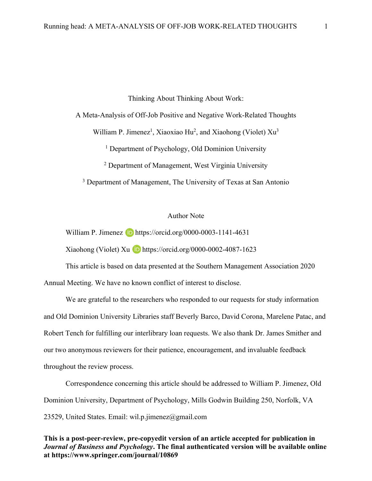Thinking About Thinking About Work:

A Meta-Analysis of Off-Job Positive and Negative Work-Related Thoughts

William P. Jimenez<sup>1</sup>, Xiaoxiao Hu<sup>2</sup>, and Xiaohong (Violet)  $Xu<sup>3</sup>$ 

<sup>1</sup> Department of Psychology, Old Dominion University

<sup>2</sup> Department of Management, West Virginia University

<sup>3</sup> Department of Management, The University of Texas at San Antonio

## Author Note

William P. Jimenez  $\Box$  https://orcid.org/0000-0003-1141-4631

Xiaohong (Violet) Xu  $\overline{1}$  https://orcid.org/0000-0002-4087-1623

This article is based on data presented at the Southern Management Association 2020 Annual Meeting. We have no known conflict of interest to disclose.

We are grateful to the researchers who responded to our requests for study information and Old Dominion University Libraries staff Beverly Barco, David Corona, Marelene Patac, and Robert Tench for fulfilling our interlibrary loan requests. We also thank Dr. James Smither and our two anonymous reviewers for their patience, encouragement, and invaluable feedback throughout the review process.

Correspondence concerning this article should be addressed to William P. Jimenez, Old Dominion University, Department of Psychology, Mills Godwin Building 250, Norfolk, VA 23529, United States. Email: wil.p.jimenez@gmail.com

## **This is a post-peer-review, pre-copyedit version of an article accepted for publication in**  *Journal of Business and Psychology***. The final authenticated version will be available online at https://www.springer.com/journal/10869**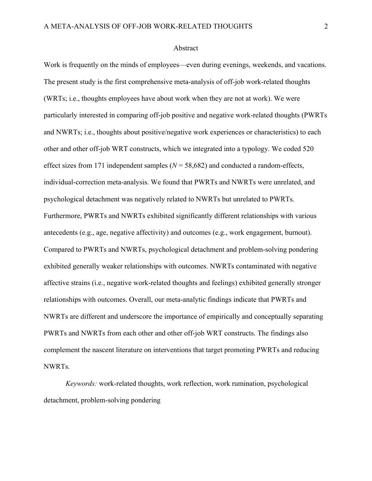#### Abstract

Work is frequently on the minds of employees—even during evenings, weekends, and vacations. The present study is the first comprehensive meta-analysis of off-job work-related thoughts (WRTs; i.e., thoughts employees have about work when they are not at work). We were particularly interested in comparing off-job positive and negative work-related thoughts (PWRTs and NWRTs; i.e., thoughts about positive/negative work experiences or characteristics) to each other and other off-job WRT constructs, which we integrated into a typology. We coded 520 effect sizes from 171 independent samples (*N* = 58,682) and conducted a random-effects, individual-correction meta-analysis. We found that PWRTs and NWRTs were unrelated, and psychological detachment was negatively related to NWRTs but unrelated to PWRTs. Furthermore, PWRTs and NWRTs exhibited significantly different relationships with various antecedents (e.g., age, negative affectivity) and outcomes (e.g., work engagement, burnout). Compared to PWRTs and NWRTs, psychological detachment and problem-solving pondering exhibited generally weaker relationships with outcomes. NWRTs contaminated with negative affective strains (i.e., negative work-related thoughts and feelings) exhibited generally stronger relationships with outcomes. Overall, our meta-analytic findings indicate that PWRTs and NWRTs are different and underscore the importance of empirically and conceptually separating PWRTs and NWRTs from each other and other off-job WRT constructs. The findings also complement the nascent literature on interventions that target promoting PWRTs and reducing NWRTs.

*Keywords:* work-related thoughts, work reflection, work rumination, psychological detachment, problem-solving pondering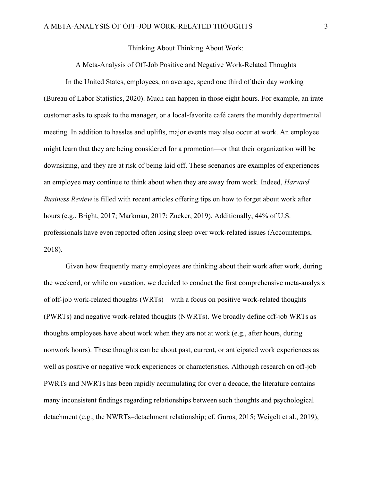Thinking About Thinking About Work:

A Meta-Analysis of Off-Job Positive and Negative Work-Related Thoughts

In the United States, employees, on average, spend one third of their day working (Bureau of Labor Statistics, 2020). Much can happen in those eight hours. For example, an irate customer asks to speak to the manager, or a local-favorite café caters the monthly departmental meeting. In addition to hassles and uplifts, major events may also occur at work. An employee might learn that they are being considered for a promotion—or that their organization will be downsizing, and they are at risk of being laid off. These scenarios are examples of experiences an employee may continue to think about when they are away from work. Indeed, *Harvard Business Review* is filled with recent articles offering tips on how to forget about work after hours (e.g., Bright, 2017; Markman, 2017; Zucker, 2019). Additionally, 44% of U.S. professionals have even reported often losing sleep over work-related issues (Accountemps, 2018).

Given how frequently many employees are thinking about their work after work, during the weekend, or while on vacation, we decided to conduct the first comprehensive meta-analysis of off-job work-related thoughts (WRTs)—with a focus on positive work-related thoughts (PWRTs) and negative work-related thoughts (NWRTs). We broadly define off-job WRTs as thoughts employees have about work when they are not at work (e.g., after hours, during nonwork hours). These thoughts can be about past, current, or anticipated work experiences as well as positive or negative work experiences or characteristics. Although research on off-job PWRTs and NWRTs has been rapidly accumulating for over a decade, the literature contains many inconsistent findings regarding relationships between such thoughts and psychological detachment (e.g., the NWRTs–detachment relationship; cf. Guros, 2015; Weigelt et al., 2019),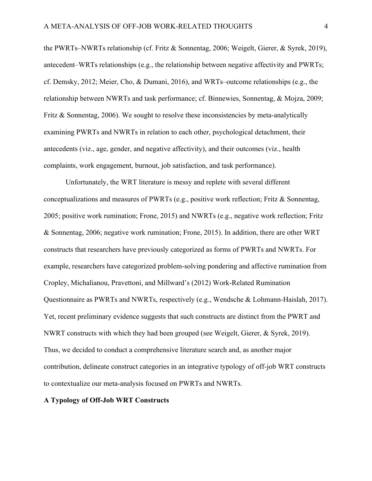the PWRTs–NWRTs relationship (cf. Fritz & Sonnentag, 2006; Weigelt, Gierer, & Syrek, 2019), antecedent–WRTs relationships (e.g., the relationship between negative affectivity and PWRTs; cf. Demsky, 2012; Meier, Cho, & Dumani, 2016), and WRTs–outcome relationships (e.g., the relationship between NWRTs and task performance; cf. Binnewies, Sonnentag, & Mojza, 2009; Fritz & Sonnentag, 2006). We sought to resolve these inconsistencies by meta-analytically examining PWRTs and NWRTs in relation to each other, psychological detachment, their antecedents (viz., age, gender, and negative affectivity), and their outcomes (viz., health complaints, work engagement, burnout, job satisfaction, and task performance).

Unfortunately, the WRT literature is messy and replete with several different conceptualizations and measures of PWRTs (e.g., positive work reflection; Fritz & Sonnentag, 2005; positive work rumination; Frone, 2015) and NWRTs (e.g., negative work reflection; Fritz & Sonnentag, 2006; negative work rumination; Frone, 2015). In addition, there are other WRT constructs that researchers have previously categorized as forms of PWRTs and NWRTs. For example, researchers have categorized problem-solving pondering and affective rumination from Cropley, Michalianou, Pravettoni, and Millward's (2012) Work-Related Rumination Questionnaire as PWRTs and NWRTs, respectively (e.g., Wendsche & Lohmann-Haislah, 2017). Yet, recent preliminary evidence suggests that such constructs are distinct from the PWRT and NWRT constructs with which they had been grouped (see Weigelt, Gierer, & Syrek, 2019). Thus, we decided to conduct a comprehensive literature search and, as another major contribution, delineate construct categories in an integrative typology of off-job WRT constructs to contextualize our meta-analysis focused on PWRTs and NWRTs.

## **A Typology of Off-Job WRT Constructs**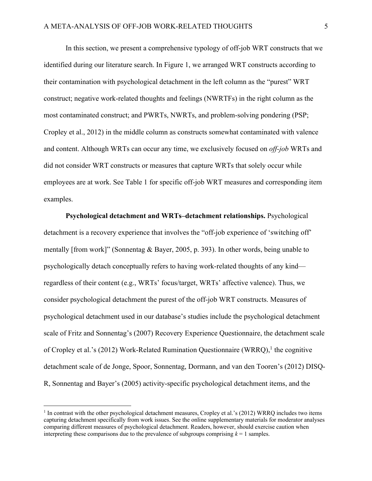In this section, we present a comprehensive typology of off-job WRT constructs that we identified during our literature search. In Figure 1, we arranged WRT constructs according to their contamination with psychological detachment in the left column as the "purest" WRT construct; negative work-related thoughts and feelings (NWRTFs) in the right column as the most contaminated construct; and PWRTs, NWRTs, and problem-solving pondering (PSP; Cropley et al., 2012) in the middle column as constructs somewhat contaminated with valence and content. Although WRTs can occur any time, we exclusively focused on *off-job* WRTs and did not consider WRT constructs or measures that capture WRTs that solely occur while employees are at work. See Table 1 for specific off-job WRT measures and corresponding item examples.

**Psychological detachment and WRTs–detachment relationships.** Psychological detachment is a recovery experience that involves the "off-job experience of 'switching off' mentally [from work]" (Sonnentag & Bayer, 2005, p. 393). In other words, being unable to psychologically detach conceptually refers to having work-related thoughts of any kind regardless of their content (e.g., WRTs' focus/target, WRTs' affective valence). Thus, we consider psychological detachment the purest of the off-job WRT constructs. Measures of psychological detachment used in our database's studies include the psychological detachment scale of Fritz and Sonnentag's (2007) Recovery Experience Questionnaire, the detachment scale of Cropley et al.'s (2012) Work-Related Rumination Questionnaire (WRRQ),<sup>1</sup> the cognitive detachment scale of de Jonge, Spoor, Sonnentag, Dormann, and van den Tooren's (2012) DISQ-R, Sonnentag and Bayer's (2005) activity-specific psychological detachment items, and the

 $<sup>1</sup>$  In contrast with the other psychological detachment measures, Cropley et al.'s (2012) WRRQ includes two items</sup> capturing detachment specifically from work issues. See the online supplementary materials for moderator analyses comparing different measures of psychological detachment. Readers, however, should exercise caution when interpreting these comparisons due to the prevalence of subgroups comprising  $k = 1$  samples.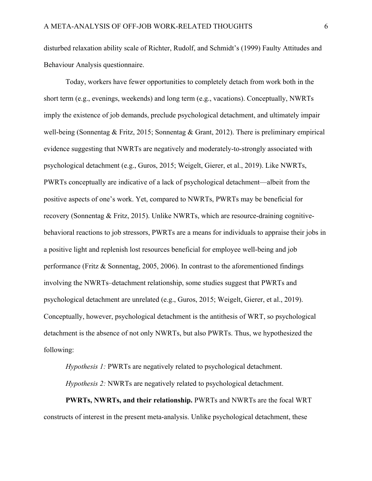disturbed relaxation ability scale of Richter, Rudolf, and Schmidt's (1999) Faulty Attitudes and Behaviour Analysis questionnaire.

Today, workers have fewer opportunities to completely detach from work both in the short term (e.g., evenings, weekends) and long term (e.g., vacations). Conceptually, NWRTs imply the existence of job demands, preclude psychological detachment, and ultimately impair well-being (Sonnentag & Fritz, 2015; Sonnentag & Grant, 2012). There is preliminary empirical evidence suggesting that NWRTs are negatively and moderately-to-strongly associated with psychological detachment (e.g., Guros, 2015; Weigelt, Gierer, et al., 2019). Like NWRTs, PWRTs conceptually are indicative of a lack of psychological detachment—albeit from the positive aspects of one's work. Yet, compared to NWRTs, PWRTs may be beneficial for recovery (Sonnentag & Fritz, 2015). Unlike NWRTs, which are resource-draining cognitivebehavioral reactions to job stressors, PWRTs are a means for individuals to appraise their jobs in a positive light and replenish lost resources beneficial for employee well-being and job performance (Fritz & Sonnentag, 2005, 2006). In contrast to the aforementioned findings involving the NWRTs–detachment relationship, some studies suggest that PWRTs and psychological detachment are unrelated (e.g., Guros, 2015; Weigelt, Gierer, et al., 2019). Conceptually, however, psychological detachment is the antithesis of WRT, so psychological detachment is the absence of not only NWRTs, but also PWRTs. Thus, we hypothesized the following:

*Hypothesis 1:* PWRTs are negatively related to psychological detachment.

*Hypothesis 2:* NWRTs are negatively related to psychological detachment.

**PWRTs, NWRTs, and their relationship.** PWRTs and NWRTs are the focal WRT constructs of interest in the present meta-analysis. Unlike psychological detachment, these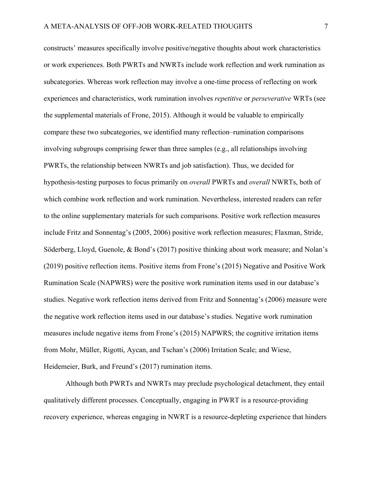constructs' measures specifically involve positive/negative thoughts about work characteristics or work experiences. Both PWRTs and NWRTs include work reflection and work rumination as subcategories. Whereas work reflection may involve a one-time process of reflecting on work experiences and characteristics, work rumination involves *repetitive* or *perseverative* WRTs (see the supplemental materials of Frone, 2015). Although it would be valuable to empirically compare these two subcategories, we identified many reflection–rumination comparisons involving subgroups comprising fewer than three samples (e.g., all relationships involving PWRTs, the relationship between NWRTs and job satisfaction). Thus, we decided for hypothesis-testing purposes to focus primarily on *overall* PWRTs and *overall* NWRTs, both of which combine work reflection and work rumination. Nevertheless, interested readers can refer to the online supplementary materials for such comparisons. Positive work reflection measures include Fritz and Sonnentag's (2005, 2006) positive work reflection measures; Flaxman, Stride, Söderberg, Lloyd, Guenole, & Bond's (2017) positive thinking about work measure; and Nolan's (2019) positive reflection items. Positive items from Frone's (2015) Negative and Positive Work Rumination Scale (NAPWRS) were the positive work rumination items used in our database's studies. Negative work reflection items derived from Fritz and Sonnentag's (2006) measure were the negative work reflection items used in our database's studies. Negative work rumination measures include negative items from Frone's (2015) NAPWRS; the cognitive irritation items from Mohr, Müller, Rigotti, Aycan, and Tschan's (2006) Irritation Scale; and Wiese, Heidemeier, Burk, and Freund's (2017) rumination items.

Although both PWRTs and NWRTs may preclude psychological detachment, they entail qualitatively different processes. Conceptually, engaging in PWRT is a resource-providing recovery experience, whereas engaging in NWRT is a resource-depleting experience that hinders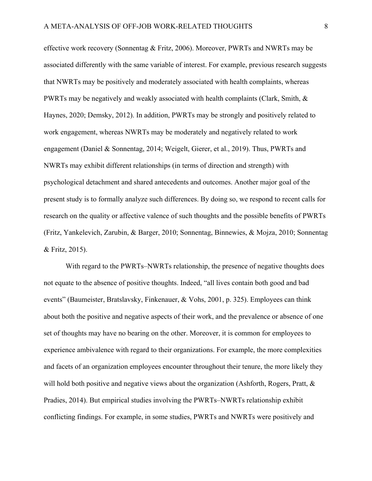effective work recovery (Sonnentag & Fritz, 2006). Moreover, PWRTs and NWRTs may be associated differently with the same variable of interest. For example, previous research suggests that NWRTs may be positively and moderately associated with health complaints, whereas PWRTs may be negatively and weakly associated with health complaints (Clark, Smith, & Haynes, 2020; Demsky, 2012). In addition, PWRTs may be strongly and positively related to work engagement, whereas NWRTs may be moderately and negatively related to work engagement (Daniel & Sonnentag, 2014; Weigelt, Gierer, et al., 2019). Thus, PWRTs and NWRTs may exhibit different relationships (in terms of direction and strength) with psychological detachment and shared antecedents and outcomes. Another major goal of the present study is to formally analyze such differences. By doing so, we respond to recent calls for research on the quality or affective valence of such thoughts and the possible benefits of PWRTs (Fritz, Yankelevich, Zarubin, & Barger, 2010; Sonnentag, Binnewies, & Mojza, 2010; Sonnentag & Fritz, 2015).

With regard to the PWRTs–NWRTs relationship, the presence of negative thoughts does not equate to the absence of positive thoughts. Indeed, "all lives contain both good and bad events" (Baumeister, Bratslavsky, Finkenauer, & Vohs, 2001, p. 325). Employees can think about both the positive and negative aspects of their work, and the prevalence or absence of one set of thoughts may have no bearing on the other. Moreover, it is common for employees to experience ambivalence with regard to their organizations. For example, the more complexities and facets of an organization employees encounter throughout their tenure, the more likely they will hold both positive and negative views about the organization (Ashforth, Rogers, Pratt,  $\&$ Pradies, 2014). But empirical studies involving the PWRTs–NWRTs relationship exhibit conflicting findings. For example, in some studies, PWRTs and NWRTs were positively and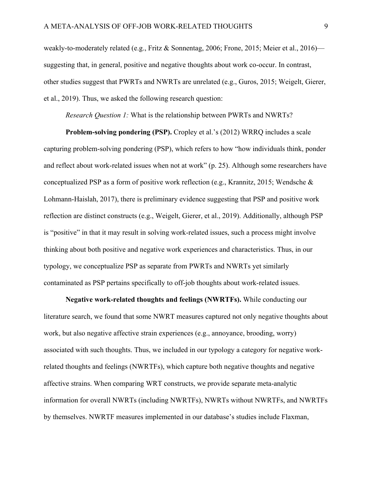weakly-to-moderately related (e.g., Fritz & Sonnentag, 2006; Frone, 2015; Meier et al., 2016) suggesting that, in general, positive and negative thoughts about work co-occur. In contrast, other studies suggest that PWRTs and NWRTs are unrelated (e.g., Guros, 2015; Weigelt, Gierer, et al., 2019). Thus, we asked the following research question:

*Research Question 1:* What is the relationship between PWRTs and NWRTs?

**Problem-solving pondering (PSP).** Cropley et al.'s (2012) WRRQ includes a scale capturing problem-solving pondering (PSP), which refers to how "how individuals think, ponder and reflect about work-related issues when not at work" (p. 25). Although some researchers have conceptualized PSP as a form of positive work reflection (e.g., Krannitz, 2015; Wendsche & Lohmann-Haislah, 2017), there is preliminary evidence suggesting that PSP and positive work reflection are distinct constructs (e.g., Weigelt, Gierer, et al., 2019). Additionally, although PSP is "positive" in that it may result in solving work-related issues, such a process might involve thinking about both positive and negative work experiences and characteristics. Thus, in our typology, we conceptualize PSP as separate from PWRTs and NWRTs yet similarly contaminated as PSP pertains specifically to off-job thoughts about work-related issues.

**Negative work-related thoughts and feelings (NWRTFs).** While conducting our literature search, we found that some NWRT measures captured not only negative thoughts about work, but also negative affective strain experiences (e.g., annoyance, brooding, worry) associated with such thoughts. Thus, we included in our typology a category for negative workrelated thoughts and feelings (NWRTFs), which capture both negative thoughts and negative affective strains. When comparing WRT constructs, we provide separate meta-analytic information for overall NWRTs (including NWRTFs), NWRTs without NWRTFs, and NWRTFs by themselves. NWRTF measures implemented in our database's studies include Flaxman,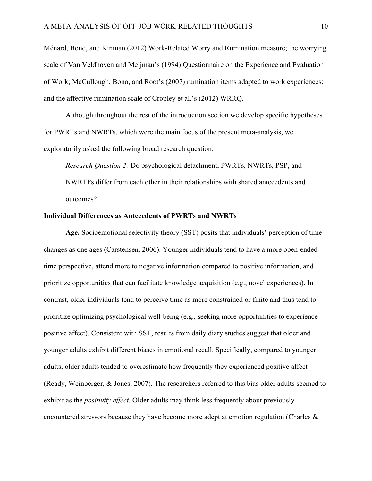Ménard, Bond, and Kinman (2012) Work-Related Worry and Rumination measure; the worrying scale of Van Veldhoven and Meijman's (1994) Questionnaire on the Experience and Evaluation of Work; McCullough, Bono, and Root's (2007) rumination items adapted to work experiences; and the affective rumination scale of Cropley et al.'s (2012) WRRQ.

Although throughout the rest of the introduction section we develop specific hypotheses for PWRTs and NWRTs, which were the main focus of the present meta-analysis, we exploratorily asked the following broad research question:

*Research Question 2:* Do psychological detachment, PWRTs, NWRTs, PSP, and NWRTFs differ from each other in their relationships with shared antecedents and outcomes?

## **Individual Differences as Antecedents of PWRTs and NWRTs**

**Age.** Socioemotional selectivity theory (SST) posits that individuals' perception of time changes as one ages (Carstensen, 2006). Younger individuals tend to have a more open-ended time perspective, attend more to negative information compared to positive information, and prioritize opportunities that can facilitate knowledge acquisition (e.g., novel experiences). In contrast, older individuals tend to perceive time as more constrained or finite and thus tend to prioritize optimizing psychological well-being (e.g., seeking more opportunities to experience positive affect). Consistent with SST, results from daily diary studies suggest that older and younger adults exhibit different biases in emotional recall. Specifically, compared to younger adults, older adults tended to overestimate how frequently they experienced positive affect (Ready, Weinberger, & Jones, 2007). The researchers referred to this bias older adults seemed to exhibit as the *positivity effect*. Older adults may think less frequently about previously encountered stressors because they have become more adept at emotion regulation (Charles &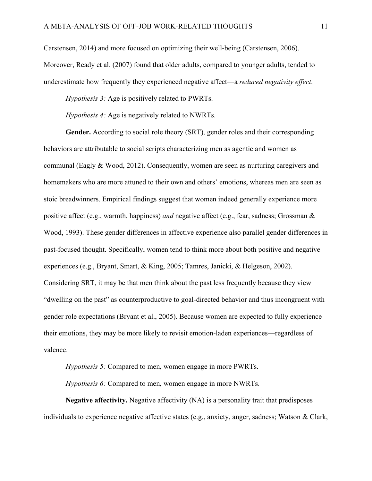Carstensen, 2014) and more focused on optimizing their well-being (Carstensen, 2006). Moreover, Ready et al. (2007) found that older adults, compared to younger adults, tended to underestimate how frequently they experienced negative affect—a *reduced negativity effect*.

*Hypothesis 3:* Age is positively related to PWRTs.

*Hypothesis 4:* Age is negatively related to NWRTs.

**Gender.** According to social role theory (SRT), gender roles and their corresponding behaviors are attributable to social scripts characterizing men as agentic and women as communal (Eagly & Wood, 2012). Consequently, women are seen as nurturing caregivers and homemakers who are more attuned to their own and others' emotions, whereas men are seen as stoic breadwinners. Empirical findings suggest that women indeed generally experience more positive affect (e.g., warmth, happiness) *and* negative affect (e.g., fear, sadness; Grossman & Wood, 1993). These gender differences in affective experience also parallel gender differences in past-focused thought. Specifically, women tend to think more about both positive and negative experiences (e.g., Bryant, Smart, & King, 2005; Tamres, Janicki, & Helgeson, 2002). Considering SRT, it may be that men think about the past less frequently because they view "dwelling on the past" as counterproductive to goal-directed behavior and thus incongruent with gender role expectations (Bryant et al., 2005). Because women are expected to fully experience their emotions, they may be more likely to revisit emotion-laden experiences—regardless of valence.

*Hypothesis 5:* Compared to men, women engage in more PWRTs.

*Hypothesis 6:* Compared to men, women engage in more NWRTs.

**Negative affectivity.** Negative affectivity (NA) is a personality trait that predisposes individuals to experience negative affective states (e.g., anxiety, anger, sadness; Watson & Clark,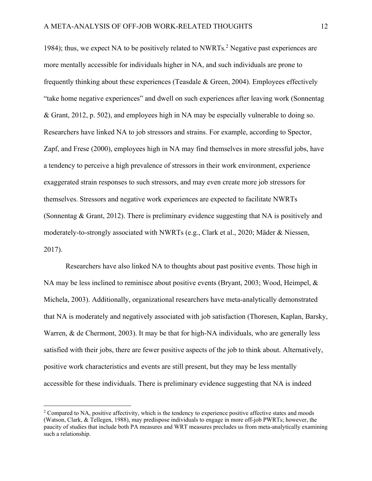1984); thus, we expect NA to be positively related to NWRTs.<sup>2</sup> Negative past experiences are more mentally accessible for individuals higher in NA, and such individuals are prone to frequently thinking about these experiences (Teasdale & Green, 2004). Employees effectively "take home negative experiences" and dwell on such experiences after leaving work (Sonnentag & Grant, 2012, p. 502), and employees high in NA may be especially vulnerable to doing so. Researchers have linked NA to job stressors and strains. For example, according to Spector, Zapf, and Frese (2000), employees high in NA may find themselves in more stressful jobs, have a tendency to perceive a high prevalence of stressors in their work environment, experience exaggerated strain responses to such stressors, and may even create more job stressors for themselves. Stressors and negative work experiences are expected to facilitate NWRTs (Sonnentag & Grant, 2012). There is preliminary evidence suggesting that NA is positively and moderately-to-strongly associated with NWRTs (e.g., Clark et al., 2020; Mäder & Niessen, 2017).

Researchers have also linked NA to thoughts about past positive events. Those high in NA may be less inclined to reminisce about positive events (Bryant, 2003; Wood, Heimpel, & Michela, 2003). Additionally, organizational researchers have meta-analytically demonstrated that NA is moderately and negatively associated with job satisfaction (Thoresen, Kaplan, Barsky, Warren, & de Chermont, 2003). It may be that for high-NA individuals, who are generally less satisfied with their jobs, there are fewer positive aspects of the job to think about. Alternatively, positive work characteristics and events are still present, but they may be less mentally accessible for these individuals. There is preliminary evidence suggesting that NA is indeed

<sup>&</sup>lt;sup>2</sup> Compared to NA, positive affectivity, which is the tendency to experience positive affective states and moods (Watson, Clark, & Tellegen, 1988), may predispose individuals to engage in more off-job PWRTs; however, the paucity of studies that include both PA measures and WRT measures precludes us from meta-analytically examining such a relationship.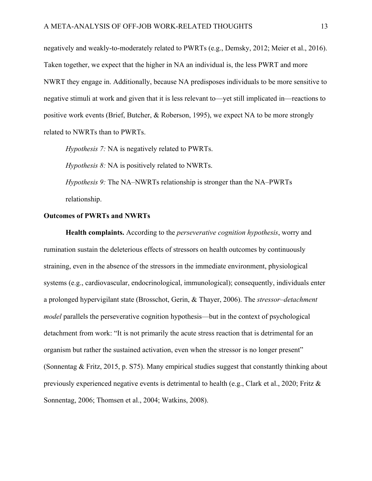negatively and weakly-to-moderately related to PWRTs (e.g., Demsky, 2012; Meier et al., 2016). Taken together, we expect that the higher in NA an individual is, the less PWRT and more NWRT they engage in. Additionally, because NA predisposes individuals to be more sensitive to negative stimuli at work and given that it is less relevant to—yet still implicated in—reactions to positive work events (Brief, Butcher, & Roberson, 1995), we expect NA to be more strongly related to NWRTs than to PWRTs.

*Hypothesis 7:* NA is negatively related to PWRTs.

*Hypothesis 8:* NA is positively related to NWRTs.

*Hypothesis 9:* The NA–NWRTs relationship is stronger than the NA–PWRTs relationship.

## **Outcomes of PWRTs and NWRTs**

**Health complaints.** According to the *perseverative cognition hypothesis*, worry and rumination sustain the deleterious effects of stressors on health outcomes by continuously straining, even in the absence of the stressors in the immediate environment, physiological systems (e.g., cardiovascular, endocrinological, immunological); consequently, individuals enter a prolonged hypervigilant state (Brosschot, Gerin, & Thayer, 2006). The *stressor–detachment model* parallels the perseverative cognition hypothesis—but in the context of psychological detachment from work: "It is not primarily the acute stress reaction that is detrimental for an organism but rather the sustained activation, even when the stressor is no longer present" (Sonnentag & Fritz, 2015, p. S75). Many empirical studies suggest that constantly thinking about previously experienced negative events is detrimental to health (e.g., Clark et al., 2020; Fritz  $\&$ Sonnentag, 2006; Thomsen et al., 2004; Watkins, 2008).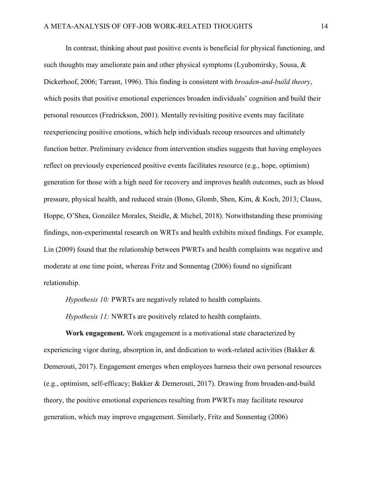In contrast, thinking about past positive events is beneficial for physical functioning, and such thoughts may ameliorate pain and other physical symptoms (Lyubomirsky, Sousa, & Dickerhoof, 2006; Tarrant, 1996). This finding is consistent with *broaden-and-build theory*, which posits that positive emotional experiences broaden individuals' cognition and build their personal resources (Fredrickson, 2001). Mentally revisiting positive events may facilitate reexperiencing positive emotions, which help individuals recoup resources and ultimately function better. Preliminary evidence from intervention studies suggests that having employees reflect on previously experienced positive events facilitates resource (e.g., hope, optimism) generation for those with a high need for recovery and improves health outcomes, such as blood pressure, physical health, and reduced strain (Bono, Glomb, Shen, Kim, & Koch, 2013; Clauss, Hoppe, O'Shea, González Morales, Steidle, & Michel, 2018). Notwithstanding these promising findings, non-experimental research on WRTs and health exhibits mixed findings. For example, Lin (2009) found that the relationship between PWRTs and health complaints was negative and moderate at one time point, whereas Fritz and Sonnentag (2006) found no significant relationship.

*Hypothesis 10:* PWRTs are negatively related to health complaints.

*Hypothesis 11:* NWRTs are positively related to health complaints.

**Work engagement.** Work engagement is a motivational state characterized by experiencing vigor during, absorption in, and dedication to work-related activities (Bakker & Demerouti, 2017). Engagement emerges when employees harness their own personal resources (e.g., optimism, self-efficacy; Bakker & Demerouti, 2017). Drawing from broaden-and-build theory, the positive emotional experiences resulting from PWRTs may facilitate resource generation, which may improve engagement. Similarly, Fritz and Sonnentag (2006)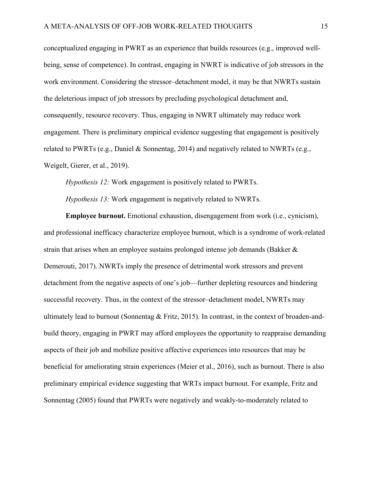conceptualized engaging in PWRT as an experience that builds resources (e.g., improved wellbeing, sense of competence). In contrast, engaging in NWRT is indicative of job stressors in the work environment. Considering the stressor–detachment model, it may be that NWRTs sustain the deleterious impact of job stressors by precluding psychological detachment and, consequently, resource recovery. Thus, engaging in NWRT ultimately may reduce work engagement. There is preliminary empirical evidence suggesting that engagement is positively related to PWRTs (e.g., Daniel & Sonnentag, 2014) and negatively related to NWRTs (e.g., Weigelt, Gierer, et al., 2019).

*Hypothesis 12:* Work engagement is positively related to PWRTs.

*Hypothesis 13:* Work engagement is negatively related to NWRTs.

**Employee burnout.** Emotional exhaustion, disengagement from work (i.e., cynicism), and professional inefficacy characterize employee burnout, which is a syndrome of work-related strain that arises when an employee sustains prolonged intense job demands (Bakker & Demerouti, 2017). NWRTs imply the presence of detrimental work stressors and prevent detachment from the negative aspects of one's job—further depleting resources and hindering successful recovery. Thus, in the context of the stressor–detachment model, NWRTs may ultimately lead to burnout (Sonnentag & Fritz, 2015). In contrast, in the context of broaden-andbuild theory, engaging in PWRT may afford employees the opportunity to reappraise demanding aspects of their job and mobilize positive affective experiences into resources that may be beneficial for ameliorating strain experiences (Meier et al., 2016), such as burnout. There is also preliminary empirical evidence suggesting that WRTs impact burnout. For example, Fritz and Sonnentag (2005) found that PWRTs were negatively and weakly-to-moderately related to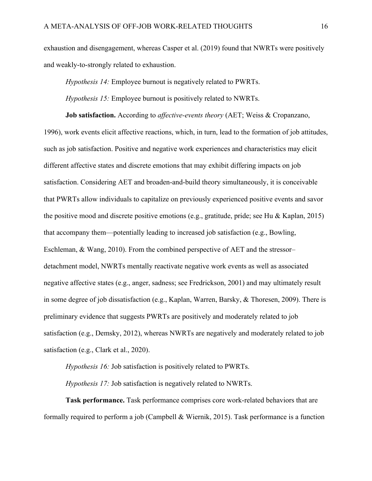exhaustion and disengagement, whereas Casper et al. (2019) found that NWRTs were positively and weakly-to-strongly related to exhaustion.

*Hypothesis 14:* Employee burnout is negatively related to PWRTs.

*Hypothesis 15:* Employee burnout is positively related to NWRTs.

**Job satisfaction.** According to *affective-events theory* (AET; Weiss & Cropanzano, 1996), work events elicit affective reactions, which, in turn, lead to the formation of job attitudes, such as job satisfaction. Positive and negative work experiences and characteristics may elicit different affective states and discrete emotions that may exhibit differing impacts on job satisfaction. Considering AET and broaden-and-build theory simultaneously, it is conceivable that PWRTs allow individuals to capitalize on previously experienced positive events and savor the positive mood and discrete positive emotions (e.g., gratitude, pride; see Hu & Kaplan, 2015) that accompany them—potentially leading to increased job satisfaction (e.g., Bowling, Eschleman, & Wang, 2010). From the combined perspective of AET and the stressor– detachment model, NWRTs mentally reactivate negative work events as well as associated negative affective states (e.g., anger, sadness; see Fredrickson, 2001) and may ultimately result in some degree of job dissatisfaction (e.g., Kaplan, Warren, Barsky, & Thoresen, 2009). There is preliminary evidence that suggests PWRTs are positively and moderately related to job satisfaction (e.g., Demsky, 2012), whereas NWRTs are negatively and moderately related to job satisfaction (e.g., Clark et al., 2020).

*Hypothesis 16:* Job satisfaction is positively related to PWRTs.

*Hypothesis 17:* Job satisfaction is negatively related to NWRTs.

**Task performance.** Task performance comprises core work-related behaviors that are formally required to perform a job (Campbell & Wiernik, 2015). Task performance is a function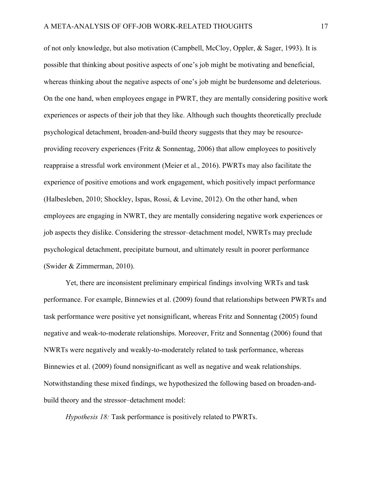of not only knowledge, but also motivation (Campbell, McCloy, Oppler, & Sager, 1993). It is possible that thinking about positive aspects of one's job might be motivating and beneficial, whereas thinking about the negative aspects of one's job might be burdensome and deleterious. On the one hand, when employees engage in PWRT, they are mentally considering positive work experiences or aspects of their job that they like. Although such thoughts theoretically preclude psychological detachment, broaden-and-build theory suggests that they may be resourceproviding recovery experiences (Fritz & Sonnentag, 2006) that allow employees to positively reappraise a stressful work environment (Meier et al., 2016). PWRTs may also facilitate the experience of positive emotions and work engagement, which positively impact performance (Halbesleben, 2010; Shockley, Ispas, Rossi, & Levine, 2012). On the other hand, when employees are engaging in NWRT, they are mentally considering negative work experiences or job aspects they dislike. Considering the stressor–detachment model, NWRTs may preclude psychological detachment, precipitate burnout, and ultimately result in poorer performance (Swider & Zimmerman, 2010).

Yet, there are inconsistent preliminary empirical findings involving WRTs and task performance. For example, Binnewies et al. (2009) found that relationships between PWRTs and task performance were positive yet nonsignificant, whereas Fritz and Sonnentag (2005) found negative and weak-to-moderate relationships. Moreover, Fritz and Sonnentag (2006) found that NWRTs were negatively and weakly-to-moderately related to task performance, whereas Binnewies et al. (2009) found nonsignificant as well as negative and weak relationships. Notwithstanding these mixed findings, we hypothesized the following based on broaden-andbuild theory and the stressor–detachment model:

*Hypothesis 18:* Task performance is positively related to PWRTs.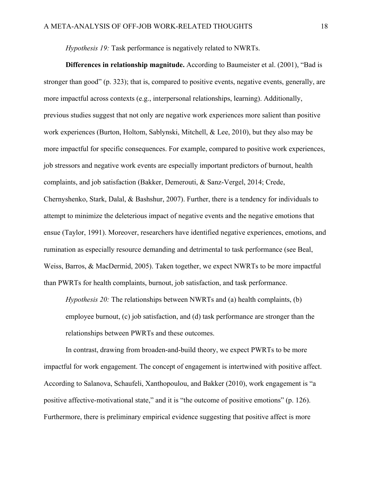*Hypothesis 19:* Task performance is negatively related to NWRTs.

**Differences in relationship magnitude.** According to Baumeister et al. (2001), "Bad is stronger than good" (p. 323); that is, compared to positive events, negative events, generally, are more impactful across contexts (e.g., interpersonal relationships, learning). Additionally, previous studies suggest that not only are negative work experiences more salient than positive work experiences (Burton, Holtom, Sablynski, Mitchell, & Lee, 2010), but they also may be more impactful for specific consequences. For example, compared to positive work experiences, job stressors and negative work events are especially important predictors of burnout, health complaints, and job satisfaction (Bakker, Demerouti, & Sanz-Vergel, 2014; Crede, Chernyshenko, Stark, Dalal, & Bashshur, 2007). Further, there is a tendency for individuals to attempt to minimize the deleterious impact of negative events and the negative emotions that ensue (Taylor, 1991). Moreover, researchers have identified negative experiences, emotions, and rumination as especially resource demanding and detrimental to task performance (see Beal, Weiss, Barros, & MacDermid, 2005). Taken together, we expect NWRTs to be more impactful than PWRTs for health complaints, burnout, job satisfaction, and task performance.

*Hypothesis 20:* The relationships between NWRTs and (a) health complaints, (b) employee burnout, (c) job satisfaction, and (d) task performance are stronger than the relationships between PWRTs and these outcomes.

In contrast, drawing from broaden-and-build theory, we expect PWRTs to be more impactful for work engagement. The concept of engagement is intertwined with positive affect. According to Salanova, Schaufeli, Xanthopoulou, and Bakker (2010), work engagement is "a positive affective-motivational state," and it is "the outcome of positive emotions" (p. 126). Furthermore, there is preliminary empirical evidence suggesting that positive affect is more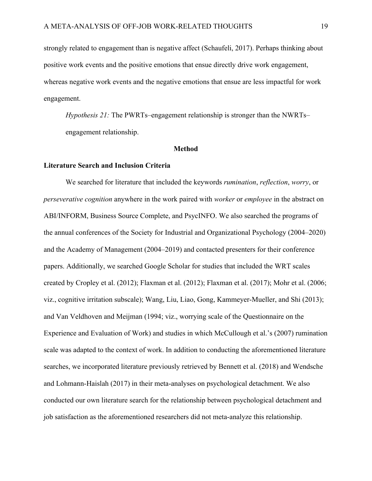strongly related to engagement than is negative affect (Schaufeli, 2017). Perhaps thinking about positive work events and the positive emotions that ensue directly drive work engagement, whereas negative work events and the negative emotions that ensue are less impactful for work engagement.

*Hypothesis 21:* The PWRTs–engagement relationship is stronger than the NWRTs– engagement relationship.

#### **Method**

## **Literature Search and Inclusion Criteria**

We searched for literature that included the keywords *rumination*, *reflection*, *worry*, or *perseverative cognition* anywhere in the work paired with *worker* or *employee* in the abstract on ABI/INFORM, Business Source Complete, and PsycINFO. We also searched the programs of the annual conferences of the Society for Industrial and Organizational Psychology (2004–2020) and the Academy of Management (2004–2019) and contacted presenters for their conference papers. Additionally, we searched Google Scholar for studies that included the WRT scales created by Cropley et al. (2012); Flaxman et al. (2012); Flaxman et al. (2017); Mohr et al. (2006; viz., cognitive irritation subscale); Wang, Liu, Liao, Gong, Kammeyer-Mueller, and Shi (2013); and Van Veldhoven and Meijman (1994; viz., worrying scale of the Questionnaire on the Experience and Evaluation of Work) and studies in which McCullough et al.'s (2007) rumination scale was adapted to the context of work. In addition to conducting the aforementioned literature searches, we incorporated literature previously retrieved by Bennett et al. (2018) and Wendsche and Lohmann-Haislah (2017) in their meta-analyses on psychological detachment. We also conducted our own literature search for the relationship between psychological detachment and job satisfaction as the aforementioned researchers did not meta-analyze this relationship.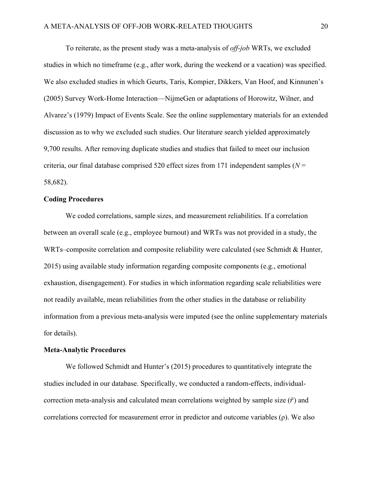To reiterate, as the present study was a meta-analysis of *off-job* WRTs, we excluded studies in which no timeframe (e.g., after work, during the weekend or a vacation) was specified. We also excluded studies in which Geurts, Taris, Kompier, Dikkers, Van Hoof, and Kinnunen's (2005) Survey Work-Home Interaction—NijmeGen or adaptations of Horowitz, Wilner, and Alvarez's (1979) Impact of Events Scale. See the online supplementary materials for an extended discussion as to why we excluded such studies. Our literature search yielded approximately 9,700 results. After removing duplicate studies and studies that failed to meet our inclusion criteria, our final database comprised 520 effect sizes from 171 independent samples (*N* = 58,682).

## **Coding Procedures**

We coded correlations, sample sizes, and measurement reliabilities. If a correlation between an overall scale (e.g., employee burnout) and WRTs was not provided in a study, the WRTs–composite correlation and composite reliability were calculated (see Schmidt & Hunter, 2015) using available study information regarding composite components (e.g., emotional exhaustion, disengagement). For studies in which information regarding scale reliabilities were not readily available, mean reliabilities from the other studies in the database or reliability information from a previous meta-analysis were imputed (see the online supplementary materials for details).

#### **Meta-Analytic Procedures**

We followed Schmidt and Hunter's (2015) procedures to quantitatively integrate the studies included in our database. Specifically, we conducted a random-effects, individualcorrection meta-analysis and calculated mean correlations weighted by sample size  $(\bar{r})$  and correlations corrected for measurement error in predictor and outcome variables  $(\rho)$ . We also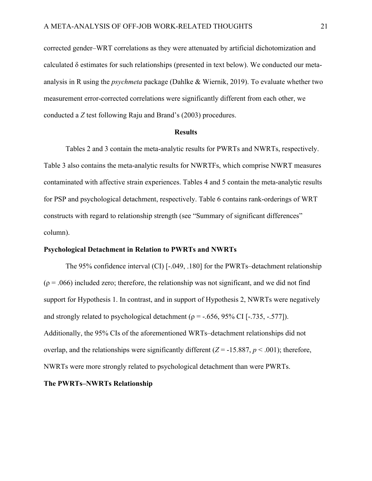corrected gender–WRT correlations as they were attenuated by artificial dichotomization and calculated  $\delta$  estimates for such relationships (presented in text below). We conducted our metaanalysis in R using the *psychmeta* package (Dahlke & Wiernik, 2019). To evaluate whether two measurement error-corrected correlations were significantly different from each other, we conducted a *Z* test following Raju and Brand's (2003) procedures.

#### **Results**

Tables 2 and 3 contain the meta-analytic results for PWRTs and NWRTs, respectively. Table 3 also contains the meta-analytic results for NWRTFs, which comprise NWRT measures contaminated with affective strain experiences. Tables 4 and 5 contain the meta-analytic results for PSP and psychological detachment, respectively. Table 6 contains rank-orderings of WRT constructs with regard to relationship strength (see "Summary of significant differences" column).

#### **Psychological Detachment in Relation to PWRTs and NWRTs**

The 95% confidence interval (CI) [-.049, .180] for the PWRTs–detachment relationship  $(\rho = .066)$  included zero; therefore, the relationship was not significant, and we did not find support for Hypothesis 1. In contrast, and in support of Hypothesis 2, NWRTs were negatively and strongly related to psychological detachment ( $\rho = -0.656$ , 95% CI [-.735, -.577]). Additionally, the 95% CIs of the aforementioned WRTs–detachment relationships did not overlap, and the relationships were significantly different  $(Z = -15.887, p < .001)$ ; therefore, NWRTs were more strongly related to psychological detachment than were PWRTs.

## **The PWRTs–NWRTs Relationship**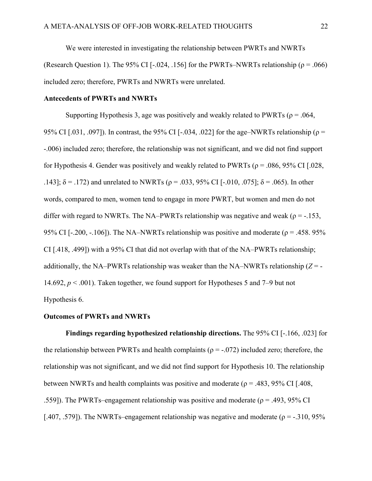We were interested in investigating the relationship between PWRTs and NWRTs (Research Question 1). The 95% CI [-.024, .156] for the PWRTs–NWRTs relationship ( $\rho = .066$ ) included zero; therefore, PWRTs and NWRTs were unrelated.

## **Antecedents of PWRTs and NWRTs**

Supporting Hypothesis 3, age was positively and weakly related to PWRTs ( $\rho = .064$ , 95% CI [.031, .097]). In contrast, the 95% CI [-.034, .022] for the age–NWRTs relationship ( $\rho$  = -.006) included zero; therefore, the relationship was not significant, and we did not find support for Hypothesis 4. Gender was positively and weakly related to PWRTs ( $\rho = .086, 95\%$  CI [.028, .143];  $\delta$  = .172) and unrelated to NWRTs (ρ = .033, 95% CI [-.010, .075];  $\delta$  = .065). In other words, compared to men, women tend to engage in more PWRT, but women and men do not differ with regard to NWRTs. The NA–PWRTs relationship was negative and weak ( $\rho = -153$ , 95% CI [-.200, -.106]). The NA–NWRTs relationship was positive and moderate ( $\rho = .458.95\%$ ) CI [.418, .499]) with a 95% CI that did not overlap with that of the NA–PWRTs relationship; additionally, the NA–PWRTs relationship was weaker than the NA–NWRTs relationship  $(Z = -$ 14.692, *p* < .001). Taken together, we found support for Hypotheses 5 and 7–9 but not Hypothesis 6.

## **Outcomes of PWRTs and NWRTs**

**Findings regarding hypothesized relationship directions.** The 95% CI [-.166, .023] for the relationship between PWRTs and health complaints ( $\rho = -0.072$ ) included zero; therefore, the relationship was not significant, and we did not find support for Hypothesis 10. The relationship between NWRTs and health complaints was positive and moderate ( $\rho = .483, 95\%$  CI [.408, .559]). The PWRTs–engagement relationship was positive and moderate ( $\rho = .493, 95\%$  CI [.407, .579]). The NWRTs–engagement relationship was negative and moderate ( $\rho = -0.310, 95\%$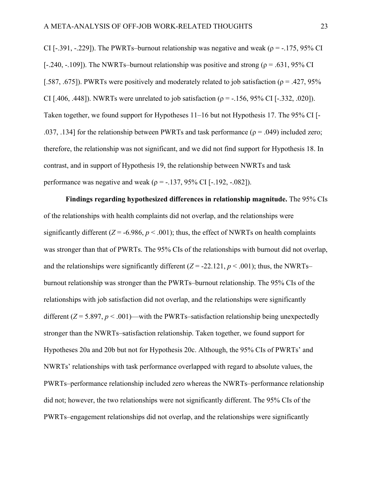CI [-.391, -.229]). The PWRTs–burnout relationship was negative and weak ( $\rho = -175$ , 95% CI [-.240, -.109]). The NWRTs–burnout relationship was positive and strong ( $\rho = .631,95\%$  CI [.587, .675]). PWRTs were positively and moderately related to job satisfaction ( $\rho = .427, 95\%$ CI [.406, .448]). NWRTs were unrelated to job satisfaction ( $\rho = -156, 95\%$  CI [ $-0.332, 0.020$ ]). Taken together, we found support for Hypotheses 11–16 but not Hypothesis 17. The 95% CI [- .037, .134] for the relationship between PWRTs and task performance ( $\rho = .049$ ) included zero; therefore, the relationship was not significant, and we did not find support for Hypothesis 18. In contrast, and in support of Hypothesis 19, the relationship between NWRTs and task performance was negative and weak ( $\rho = -137, 95\%$  CI [ $-192, -082$ ]).

**Findings regarding hypothesized differences in relationship magnitude.** The 95% CIs of the relationships with health complaints did not overlap, and the relationships were significantly different  $(Z = -6.986, p < .001)$ ; thus, the effect of NWRTs on health complaints was stronger than that of PWRTs. The 95% CIs of the relationships with burnout did not overlap, and the relationships were significantly different  $(Z = -22.121, p < .001)$ ; thus, the NWRTs– burnout relationship was stronger than the PWRTs–burnout relationship. The 95% CIs of the relationships with job satisfaction did not overlap, and the relationships were significantly different (*Z* = 5.897, *p* < .001)—with the PWRTs–satisfaction relationship being unexpectedly stronger than the NWRTs–satisfaction relationship. Taken together, we found support for Hypotheses 20a and 20b but not for Hypothesis 20c. Although, the 95% CIs of PWRTs' and NWRTs' relationships with task performance overlapped with regard to absolute values, the PWRTs–performance relationship included zero whereas the NWRTs–performance relationship did not; however, the two relationships were not significantly different. The 95% CIs of the PWRTs–engagement relationships did not overlap, and the relationships were significantly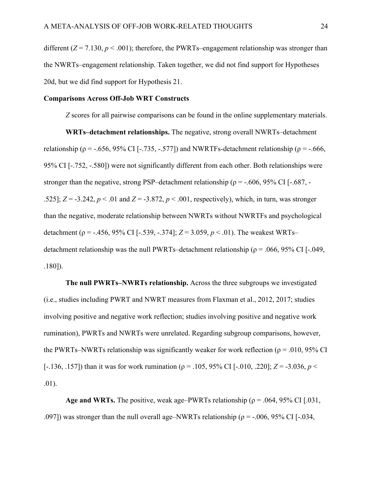different  $(Z = 7.130, p < .001)$ ; therefore, the PWRTs–engagement relationship was stronger than the NWRTs–engagement relationship. Taken together, we did not find support for Hypotheses 20d, but we did find support for Hypothesis 21.

## **Comparisons Across Off-Job WRT Constructs**

*Z* scores for all pairwise comparisons can be found in the online supplementary materials.

**WRTs–detachment relationships.** The negative, strong overall NWRTs–detachment relationship ( $\rho = -.656, 95\%$  CI [-.735, -.577]) and NWRTFs-detachment relationship ( $\rho = -.666$ , 95% CI [-.752, -.580]) were not significantly different from each other. Both relationships were stronger than the negative, strong PSP–detachment relationship ( $\rho = -0.606$ , 95% CI [-.687, -.525]; *Z* = -3.242, *p* < .01 and *Z* = -3.872, *p* < .001, respectively), which, in turn, was stronger than the negative, moderate relationship between NWRTs without NWRTFs and psychological detachment (ρ = -.456, 95% CI [-.539, -.374]; *Z* = 3.059, *p* < .01). The weakest WRTs– detachment relationship was the null PWRTs–detachment relationship ( $\rho = .066, 95\%$  CI [-.049, .180]).

**The null PWRTs–NWRTs relationship.** Across the three subgroups we investigated (i.e., studies including PWRT and NWRT measures from Flaxman et al., 2012, 2017; studies involving positive and negative work reflection; studies involving positive and negative work rumination), PWRTs and NWRTs were unrelated. Regarding subgroup comparisons, however, the PWRTs–NWRTs relationship was significantly weaker for work reflection ( $\rho = .010, 95\%$  CI [-.136, .157]) than it was for work rumination (ρ = .105, 95% CI [-.010, .220]; *Z* = -3.036, *p* < .01).

**Age and WRTs.** The positive, weak age–PWRTs relationship ( $\rho = .064$ , 95% CI [.031, .097]) was stronger than the null overall age–NWRTs relationship ( $\rho = -0.006$ , 95% CI [-.034,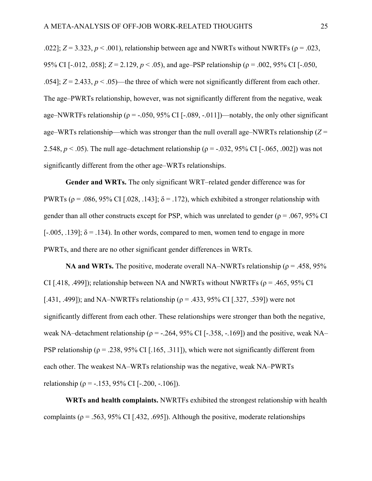.022];  $Z = 3.323$ ,  $p < .001$ ), relationship between age and NWRTs without NWRTFs ( $\rho = .023$ , 95% CI [-.012, .058];  $Z = 2.129$ ,  $p < .05$ ), and age–PSP relationship ( $p = .002$ , 95% CI [-.050, .054];  $Z = 2.433$ ,  $p < .05$ )—the three of which were not significantly different from each other. The age–PWRTs relationship, however, was not significantly different from the negative, weak age–NWRTFs relationship ( $\rho = -0.050, 95\%$  CI [-.089, -.011])—notably, the only other significant age–WRTs relationship—which was stronger than the null overall age–NWRTs relationship (*Z* = 2.548,  $p < .05$ ). The null age–detachment relationship ( $p = -.032, 95\%$  CI [ $-.065, .002$ ]) was not significantly different from the other age–WRTs relationships.

**Gender and WRTs.** The only significant WRT–related gender difference was for PWRTs ( $\rho$  = .086, 95% CI [.028, .143];  $\delta$  = .172), which exhibited a stronger relationship with gender than all other constructs except for PSP, which was unrelated to gender ( $\rho = .067, 95\%$  CI [ $-0.005, 0.139$ ];  $\delta = 0.134$ . In other words, compared to men, women tend to engage in more PWRTs, and there are no other significant gender differences in WRTs.

**NA and WRTs.** The positive, moderate overall NA–NWRTs relationship ( $\rho = .458, 95\%$ ) CI [.418, .499]); relationship between NA and NWRTs without NWRTFs ( $\rho = .465, 95\%$  CI [.431, .499]); and NA–NWRTFs relationship ( $\rho = .433, 95\%$  CI [.327, .539]) were not significantly different from each other. These relationships were stronger than both the negative, weak NA–detachment relationship ( $\rho = -0.264$ , 95% CI [-.358, -.169]) and the positive, weak NA– PSP relationship ( $\rho = 0.238$ , 95% CI [.165, .311]), which were not significantly different from each other. The weakest NA–WRTs relationship was the negative, weak NA–PWRTs relationship ( $\rho = -.153, 95\%$  CI [-.200, -.106]).

**WRTs and health complaints.** NWRTFs exhibited the strongest relationship with health complaints ( $\rho = .563, 95\%$  CI [.432, .695]). Although the positive, moderate relationships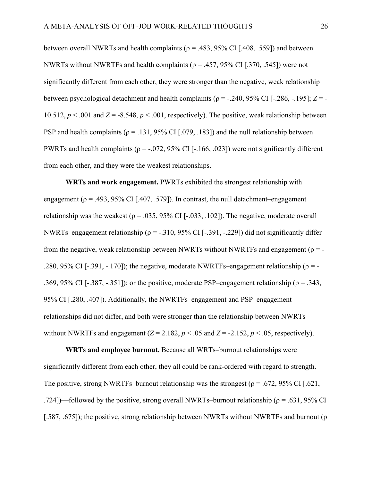between overall NWRTs and health complaints ( $\rho = .483, 95\%$  CI [.408, .559]) and between NWRTs without NWRTFs and health complaints ( $\rho = .457, 95\%$  CI [.370, .545]) were not significantly different from each other, they were stronger than the negative, weak relationship between psychological detachment and health complaints (ρ = -.240, 95% CI [-.286, -.195]; *Z* = - 10.512,  $p < .001$  and  $Z = -8.548$ ,  $p < .001$ , respectively). The positive, weak relationship between PSP and health complaints ( $\rho = .131, 95\%$  CI [.079, .183]) and the null relationship between PWRTs and health complaints ( $\rho = -0.072$ , 95% CI [-.166, .023]) were not significantly different from each other, and they were the weakest relationships.

**WRTs and work engagement.** PWRTs exhibited the strongest relationship with engagement ( $\rho = .493, 95\%$  CI [.407, .579]). In contrast, the null detachment–engagement relationship was the weakest ( $\rho = .035, 95\%$  CI [-.033, .102]). The negative, moderate overall NWRTs–engagement relationship ( $\rho = -.310, 95\%$  CI [-.391, -.229]) did not significantly differ from the negative, weak relationship between NWRTs without NWRTFs and engagement ( $\rho = -$ .280, 95% CI [-.391, -.170]); the negative, moderate NWRTFs–engagement relationship ( $\rho = -$ .369, 95% CI [-.387, -.351]); or the positive, moderate PSP–engagement relationship ( $\rho = 0.343$ , 95% CI [.280, .407]). Additionally, the NWRTFs–engagement and PSP–engagement relationships did not differ, and both were stronger than the relationship between NWRTs without NWRTFs and engagement  $(Z = 2.182, p < .05$  and  $Z = -2.152, p < .05$ , respectively).

**WRTs and employee burnout.** Because all WRTs–burnout relationships were significantly different from each other, they all could be rank-ordered with regard to strength. The positive, strong NWRTFs–burnout relationship was the strongest ( $\rho = .672,95\%$  CI [.621, .724])—followed by the positive, strong overall NWRTs–burnout relationship ( $\rho = .631,95\%$  CI [.587, .675]); the positive, strong relationship between NWRTs without NWRTFs and burnout ( $\rho$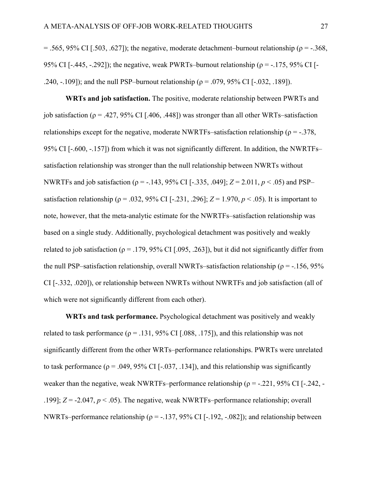$= .565, 95\%$  CI [.503, .627]); the negative, moderate detachment–burnout relationship ( $\rho = -.368$ , 95% CI [-.445, -.292]); the negative, weak PWRTs–burnout relationship ( $\rho = -175$ , 95% CI [-.240, -.109]); and the null PSP–burnout relationship ( $\rho = .079, 95\%$  CI [-.032, .189]).

**WRTs and job satisfaction.** The positive, moderate relationship between PWRTs and job satisfaction ( $\rho = .427, 95\%$  CI [.406, .448]) was stronger than all other WRTs–satisfaction relationships except for the negative, moderate NWRTFs–satisfaction relationship ( $\rho = -0.378$ , 95% CI [-.600, -.157]) from which it was not significantly different. In addition, the NWRTFs– satisfaction relationship was stronger than the null relationship between NWRTs without NWRTFs and job satisfaction (ρ = -.143, 95% CI [-.335, .049]; *Z* = 2.011, *p* < .05) and PSP– satisfaction relationship ( $\rho = .032, 95\%$  CI [-.231, .296];  $Z = 1.970, p < .05$ ). It is important to note, however, that the meta-analytic estimate for the NWRTFs–satisfaction relationship was based on a single study. Additionally, psychological detachment was positively and weakly related to job satisfaction ( $\rho = .179, 95\%$  CI [.095, .263]), but it did not significantly differ from the null PSP–satisfaction relationship, overall NWRTs–satisfaction relationship ( $\rho = -156, 95\%$ CI [-.332, .020]), or relationship between NWRTs without NWRTFs and job satisfaction (all of which were not significantly different from each other).

**WRTs and task performance.** Psychological detachment was positively and weakly related to task performance ( $\rho = .131, 95\%$  CI [.088, .175]), and this relationship was not significantly different from the other WRTs–performance relationships. PWRTs were unrelated to task performance ( $\rho = .049, 95\%$  CI [-.037, .134]), and this relationship was significantly weaker than the negative, weak NWRTFs–performance relationship ( $\rho = -0.221$ , 95% CI [-.242, -.199]; *Z* = -2.047, *p* < .05). The negative, weak NWRTFs–performance relationship; overall NWRTs–performance relationship ( $\rho = -137,95\%$  CI [-.192, -.082]); and relationship between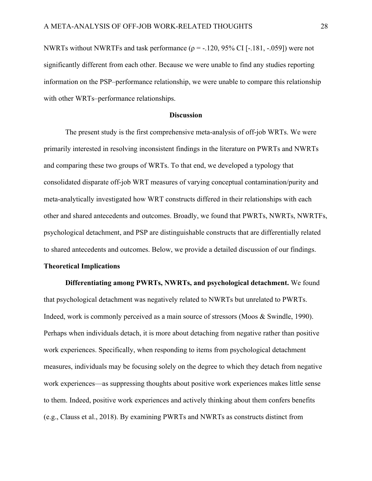NWRTs without NWRTFs and task performance ( $\rho = -120$ , 95% CI [-.181, -.059]) were not significantly different from each other. Because we were unable to find any studies reporting information on the PSP–performance relationship, we were unable to compare this relationship with other WRTs–performance relationships.

#### **Discussion**

The present study is the first comprehensive meta-analysis of off-job WRTs. We were primarily interested in resolving inconsistent findings in the literature on PWRTs and NWRTs and comparing these two groups of WRTs. To that end, we developed a typology that consolidated disparate off-job WRT measures of varying conceptual contamination/purity and meta-analytically investigated how WRT constructs differed in their relationships with each other and shared antecedents and outcomes. Broadly, we found that PWRTs, NWRTs, NWRTFs, psychological detachment, and PSP are distinguishable constructs that are differentially related to shared antecedents and outcomes. Below, we provide a detailed discussion of our findings.

#### **Theoretical Implications**

**Differentiating among PWRTs, NWRTs, and psychological detachment.** We found that psychological detachment was negatively related to NWRTs but unrelated to PWRTs. Indeed, work is commonly perceived as a main source of stressors (Moos & Swindle, 1990). Perhaps when individuals detach, it is more about detaching from negative rather than positive work experiences. Specifically, when responding to items from psychological detachment measures, individuals may be focusing solely on the degree to which they detach from negative work experiences—as suppressing thoughts about positive work experiences makes little sense to them. Indeed, positive work experiences and actively thinking about them confers benefits (e.g., Clauss et al., 2018). By examining PWRTs and NWRTs as constructs distinct from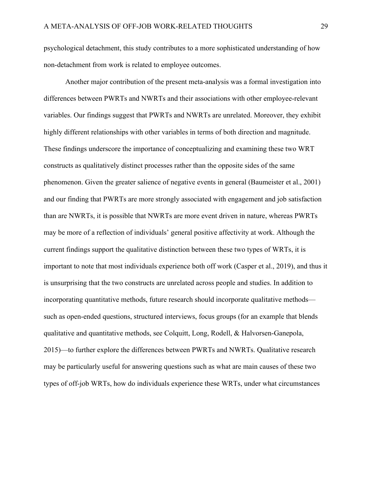psychological detachment, this study contributes to a more sophisticated understanding of how non-detachment from work is related to employee outcomes.

Another major contribution of the present meta-analysis was a formal investigation into differences between PWRTs and NWRTs and their associations with other employee-relevant variables. Our findings suggest that PWRTs and NWRTs are unrelated. Moreover, they exhibit highly different relationships with other variables in terms of both direction and magnitude. These findings underscore the importance of conceptualizing and examining these two WRT constructs as qualitatively distinct processes rather than the opposite sides of the same phenomenon. Given the greater salience of negative events in general (Baumeister et al., 2001) and our finding that PWRTs are more strongly associated with engagement and job satisfaction than are NWRTs, it is possible that NWRTs are more event driven in nature, whereas PWRTs may be more of a reflection of individuals' general positive affectivity at work. Although the current findings support the qualitative distinction between these two types of WRTs, it is important to note that most individuals experience both off work (Casper et al., 2019), and thus it is unsurprising that the two constructs are unrelated across people and studies. In addition to incorporating quantitative methods, future research should incorporate qualitative methods such as open-ended questions, structured interviews, focus groups (for an example that blends qualitative and quantitative methods, see Colquitt, Long, Rodell, & Halvorsen-Ganepola, 2015)—to further explore the differences between PWRTs and NWRTs. Qualitative research may be particularly useful for answering questions such as what are main causes of these two types of off-job WRTs, how do individuals experience these WRTs, under what circumstances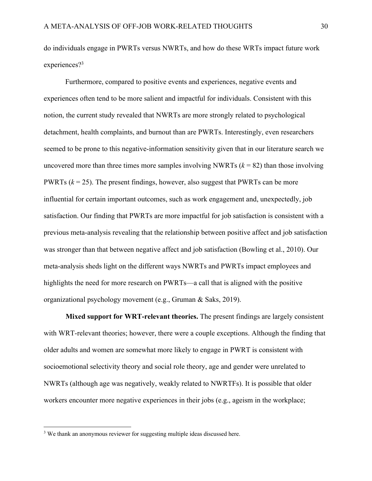do individuals engage in PWRTs versus NWRTs, and how do these WRTs impact future work experiences?<sup>3</sup>

Furthermore, compared to positive events and experiences, negative events and experiences often tend to be more salient and impactful for individuals. Consistent with this notion, the current study revealed that NWRTs are more strongly related to psychological detachment, health complaints, and burnout than are PWRTs. Interestingly, even researchers seemed to be prone to this negative-information sensitivity given that in our literature search we uncovered more than three times more samples involving NWRTs  $(k = 82)$  than those involving PWRTs (*k* = 25). The present findings, however, also suggest that PWRTs can be more influential for certain important outcomes, such as work engagement and, unexpectedly, job satisfaction. Our finding that PWRTs are more impactful for job satisfaction is consistent with a previous meta-analysis revealing that the relationship between positive affect and job satisfaction was stronger than that between negative affect and job satisfaction (Bowling et al., 2010). Our meta-analysis sheds light on the different ways NWRTs and PWRTs impact employees and highlights the need for more research on PWRTs—a call that is aligned with the positive organizational psychology movement (e.g., Gruman & Saks, 2019).

**Mixed support for WRT-relevant theories.** The present findings are largely consistent with WRT-relevant theories; however, there were a couple exceptions. Although the finding that older adults and women are somewhat more likely to engage in PWRT is consistent with socioemotional selectivity theory and social role theory, age and gender were unrelated to NWRTs (although age was negatively, weakly related to NWRTFs). It is possible that older workers encounter more negative experiences in their jobs (e.g., ageism in the workplace;

<sup>&</sup>lt;sup>3</sup> We thank an anonymous reviewer for suggesting multiple ideas discussed here.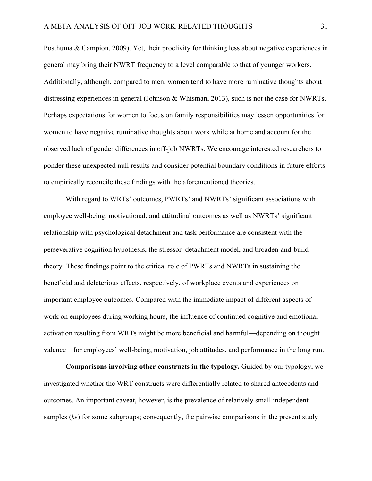Posthuma & Campion, 2009). Yet, their proclivity for thinking less about negative experiences in general may bring their NWRT frequency to a level comparable to that of younger workers. Additionally, although, compared to men, women tend to have more ruminative thoughts about distressing experiences in general (Johnson & Whisman, 2013), such is not the case for NWRTs. Perhaps expectations for women to focus on family responsibilities may lessen opportunities for women to have negative ruminative thoughts about work while at home and account for the observed lack of gender differences in off-job NWRTs. We encourage interested researchers to ponder these unexpected null results and consider potential boundary conditions in future efforts to empirically reconcile these findings with the aforementioned theories.

With regard to WRTs' outcomes, PWRTs' and NWRTs' significant associations with employee well-being, motivational, and attitudinal outcomes as well as NWRTs' significant relationship with psychological detachment and task performance are consistent with the perseverative cognition hypothesis, the stressor–detachment model, and broaden-and-build theory. These findings point to the critical role of PWRTs and NWRTs in sustaining the beneficial and deleterious effects, respectively, of workplace events and experiences on important employee outcomes. Compared with the immediate impact of different aspects of work on employees during working hours, the influence of continued cognitive and emotional activation resulting from WRTs might be more beneficial and harmful—depending on thought valence—for employees' well-being, motivation, job attitudes, and performance in the long run.

**Comparisons involving other constructs in the typology.** Guided by our typology, we investigated whether the WRT constructs were differentially related to shared antecedents and outcomes. An important caveat, however, is the prevalence of relatively small independent samples (*k*s) for some subgroups; consequently, the pairwise comparisons in the present study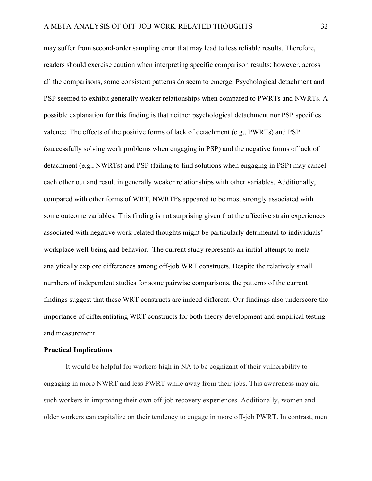may suffer from second-order sampling error that may lead to less reliable results. Therefore, readers should exercise caution when interpreting specific comparison results; however, across all the comparisons, some consistent patterns do seem to emerge. Psychological detachment and PSP seemed to exhibit generally weaker relationships when compared to PWRTs and NWRTs. A possible explanation for this finding is that neither psychological detachment nor PSP specifies valence. The effects of the positive forms of lack of detachment (e.g., PWRTs) and PSP (successfully solving work problems when engaging in PSP) and the negative forms of lack of detachment (e.g., NWRTs) and PSP (failing to find solutions when engaging in PSP) may cancel each other out and result in generally weaker relationships with other variables. Additionally, compared with other forms of WRT, NWRTFs appeared to be most strongly associated with some outcome variables. This finding is not surprising given that the affective strain experiences associated with negative work-related thoughts might be particularly detrimental to individuals' workplace well-being and behavior. The current study represents an initial attempt to metaanalytically explore differences among off-job WRT constructs. Despite the relatively small numbers of independent studies for some pairwise comparisons, the patterns of the current findings suggest that these WRT constructs are indeed different. Our findings also underscore the importance of differentiating WRT constructs for both theory development and empirical testing and measurement.

#### **Practical Implications**

It would be helpful for workers high in NA to be cognizant of their vulnerability to engaging in more NWRT and less PWRT while away from their jobs. This awareness may aid such workers in improving their own off-job recovery experiences. Additionally, women and older workers can capitalize on their tendency to engage in more off-job PWRT. In contrast, men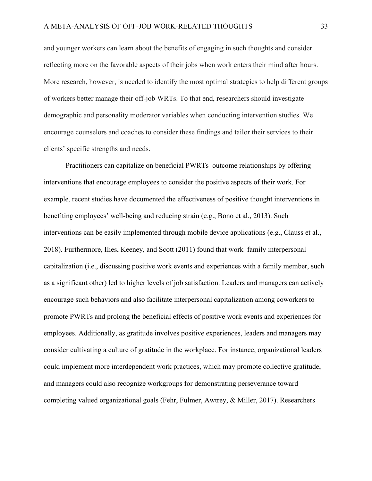and younger workers can learn about the benefits of engaging in such thoughts and consider reflecting more on the favorable aspects of their jobs when work enters their mind after hours. More research, however, is needed to identify the most optimal strategies to help different groups of workers better manage their off-job WRTs. To that end, researchers should investigate demographic and personality moderator variables when conducting intervention studies. We encourage counselors and coaches to consider these findings and tailor their services to their clients' specific strengths and needs.

Practitioners can capitalize on beneficial PWRTs–outcome relationships by offering interventions that encourage employees to consider the positive aspects of their work. For example, recent studies have documented the effectiveness of positive thought interventions in benefiting employees' well-being and reducing strain (e.g., Bono et al., 2013). Such interventions can be easily implemented through mobile device applications (e.g., Clauss et al., 2018). Furthermore, Ilies, Keeney, and Scott (2011) found that work–family interpersonal capitalization (i.e., discussing positive work events and experiences with a family member, such as a significant other) led to higher levels of job satisfaction. Leaders and managers can actively encourage such behaviors and also facilitate interpersonal capitalization among coworkers to promote PWRTs and prolong the beneficial effects of positive work events and experiences for employees. Additionally, as gratitude involves positive experiences, leaders and managers may consider cultivating a culture of gratitude in the workplace. For instance, organizational leaders could implement more interdependent work practices, which may promote collective gratitude, and managers could also recognize workgroups for demonstrating perseverance toward completing valued organizational goals (Fehr, Fulmer, Awtrey, & Miller, 2017). Researchers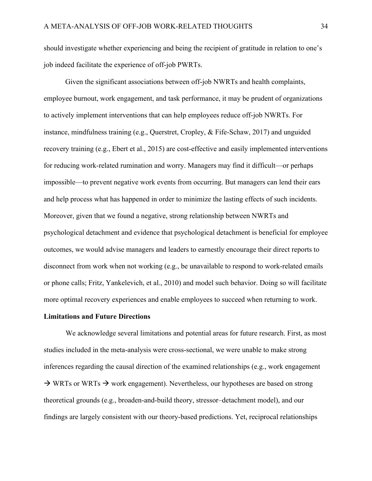should investigate whether experiencing and being the recipient of gratitude in relation to one's job indeed facilitate the experience of off-job PWRTs.

Given the significant associations between off-job NWRTs and health complaints, employee burnout, work engagement, and task performance, it may be prudent of organizations to actively implement interventions that can help employees reduce off-job NWRTs. For instance, mindfulness training (e.g., Querstret, Cropley, & Fife-Schaw, 2017) and unguided recovery training (e.g., Ebert et al., 2015) are cost-effective and easily implemented interventions for reducing work-related rumination and worry. Managers may find it difficult—or perhaps impossible—to prevent negative work events from occurring. But managers can lend their ears and help process what has happened in order to minimize the lasting effects of such incidents. Moreover, given that we found a negative, strong relationship between NWRTs and psychological detachment and evidence that psychological detachment is beneficial for employee outcomes, we would advise managers and leaders to earnestly encourage their direct reports to disconnect from work when not working (e.g., be unavailable to respond to work-related emails or phone calls; Fritz, Yankelevich, et al., 2010) and model such behavior. Doing so will facilitate more optimal recovery experiences and enable employees to succeed when returning to work.

#### **Limitations and Future Directions**

We acknowledge several limitations and potential areas for future research. First, as most studies included in the meta-analysis were cross-sectional, we were unable to make strong inferences regarding the causal direction of the examined relationships (e.g., work engagement  $\rightarrow$  WRTs or WRTs  $\rightarrow$  work engagement). Nevertheless, our hypotheses are based on strong theoretical grounds (e.g., broaden-and-build theory, stressor–detachment model), and our findings are largely consistent with our theory-based predictions. Yet, reciprocal relationships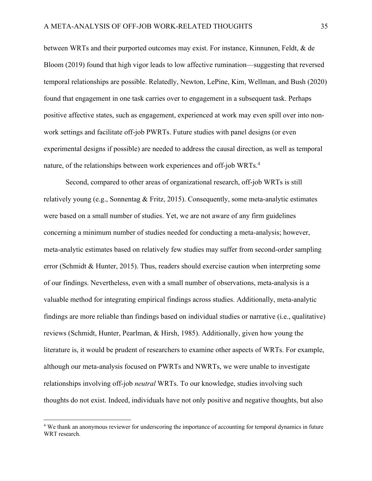between WRTs and their purported outcomes may exist. For instance, Kinnunen, Feldt, & de Bloom (2019) found that high vigor leads to low affective rumination—suggesting that reversed temporal relationships are possible. Relatedly, Newton, LePine, Kim, Wellman, and Bush (2020) found that engagement in one task carries over to engagement in a subsequent task. Perhaps positive affective states, such as engagement, experienced at work may even spill over into nonwork settings and facilitate off-job PWRTs. Future studies with panel designs (or even experimental designs if possible) are needed to address the causal direction, as well as temporal nature, of the relationships between work experiences and off-job WRTs. 4

Second, compared to other areas of organizational research, off-job WRTs is still relatively young (e.g., Sonnentag & Fritz, 2015). Consequently, some meta-analytic estimates were based on a small number of studies. Yet, we are not aware of any firm guidelines concerning a minimum number of studies needed for conducting a meta-analysis; however, meta-analytic estimates based on relatively few studies may suffer from second-order sampling error (Schmidt & Hunter, 2015). Thus, readers should exercise caution when interpreting some of our findings. Nevertheless, even with a small number of observations, meta-analysis is a valuable method for integrating empirical findings across studies. Additionally, meta-analytic findings are more reliable than findings based on individual studies or narrative (i.e., qualitative) reviews (Schmidt, Hunter, Pearlman, & Hirsh, 1985). Additionally, given how young the literature is, it would be prudent of researchers to examine other aspects of WRTs. For example, although our meta-analysis focused on PWRTs and NWRTs, we were unable to investigate relationships involving off-job *neutral* WRTs. To our knowledge, studies involving such thoughts do not exist. Indeed, individuals have not only positive and negative thoughts, but also

<sup>4</sup> We thank an anonymous reviewer for underscoring the importance of accounting for temporal dynamics in future WRT research.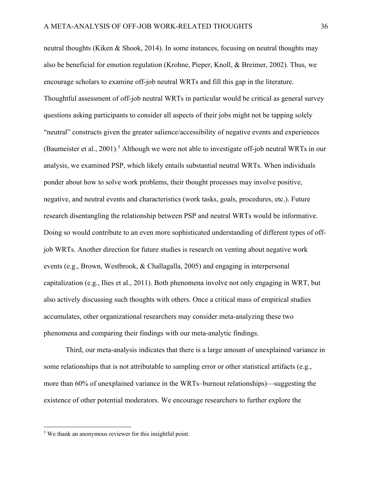neutral thoughts (Kiken & Shook, 2014). In some instances, focusing on neutral thoughts may also be beneficial for emotion regulation (Krohne, Pieper, Knoll, & Breimer, 2002). Thus, we encourage scholars to examine off-job neutral WRTs and fill this gap in the literature. Thoughtful assessment of off-job neutral WRTs in particular would be critical as general survey questions asking participants to consider all aspects of their jobs might not be tapping solely "neutral" constructs given the greater salience/accessibility of negative events and experiences (Baumeister et al., 2001).<sup>5</sup> Although we were not able to investigate off-job neutral WRTs in our analysis, we examined PSP, which likely entails substantial neutral WRTs. When individuals ponder about how to solve work problems, their thought processes may involve positive, negative, and neutral events and characteristics (work tasks, goals, procedures, etc.). Future research disentangling the relationship between PSP and neutral WRTs would be informative. Doing so would contribute to an even more sophisticated understanding of different types of offjob WRTs. Another direction for future studies is research on venting about negative work events (e.g., Brown, Westbrook, & Challagalla, 2005) and engaging in interpersonal capitalization (e.g., Ilies et al., 2011). Both phenomena involve not only engaging in WRT, but also actively discussing such thoughts with others. Once a critical mass of empirical studies accumulates, other organizational researchers may consider meta-analyzing these two phenomena and comparing their findings with our meta-analytic findings.

Third, our meta-analysis indicates that there is a large amount of unexplained variance in some relationships that is not attributable to sampling error or other statistical artifacts (e.g., more than 60% of unexplained variance in the WRTs–burnout relationships)—suggesting the existence of other potential moderators. We encourage researchers to further explore the

<sup>5</sup> We thank an anonymous reviewer for this insightful point.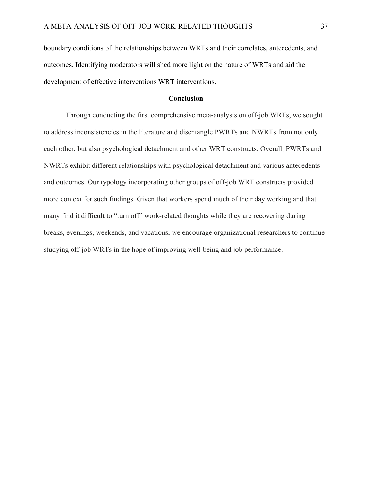boundary conditions of the relationships between WRTs and their correlates, antecedents, and outcomes. Identifying moderators will shed more light on the nature of WRTs and aid the development of effective interventions WRT interventions.

## **Conclusion**

Through conducting the first comprehensive meta-analysis on off-job WRTs, we sought to address inconsistencies in the literature and disentangle PWRTs and NWRTs from not only each other, but also psychological detachment and other WRT constructs. Overall, PWRTs and NWRTs exhibit different relationships with psychological detachment and various antecedents and outcomes. Our typology incorporating other groups of off-job WRT constructs provided more context for such findings. Given that workers spend much of their day working and that many find it difficult to "turn off" work-related thoughts while they are recovering during breaks, evenings, weekends, and vacations, we encourage organizational researchers to continue studying off-job WRTs in the hope of improving well-being and job performance.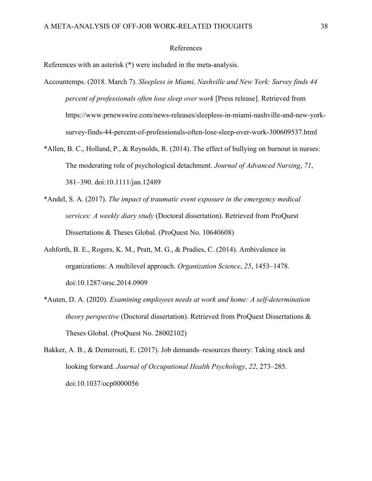## References

References with an asterisk (\*) were included in the meta-analysis.

- Accountemps. (2018. March 7). *Sleepless in Miami, Nashville and New York: Survey finds 44 percent of professionals often lose sleep over work* [Press release]. Retrieved from https://www.prnewswire.com/news-releases/sleepless-in-miami-nashville-and-new-yorksurvey-finds-44-percent-of-professionals-often-lose-sleep-over-work-300609537.html
- \*Allen, B. C., Holland, P., & Reynolds, R. (2014). The effect of bullying on burnout in nurses: The moderating role of psychological detachment. *Journal of Advanced Nursing*, *71*, 381–390. doi:10.1111/jan.12489
- \*Andel, S. A. (2017). *The impact of traumatic event exposure in the emergency medical services: A weekly diary study* (Doctoral dissertation). Retrieved from ProQuest Dissertations & Theses Global. (ProQuest No. 10640608)
- Ashforth, B. E., Rogers, K. M., Pratt, M. G., & Pradies, C. (2014). Ambivalence in organizations: A multilevel approach. *Organization Science*, *25*, 1453–1478. doi:10.1287/orsc.2014.0909
- \*Auten, D. A. (2020). *Examining employees needs at work and home: A self-determination theory perspective* (Doctoral dissertation). Retrieved from ProQuest Dissertations & Theses Global. (ProQuest No. 28002102)

Bakker, A. B., & Demerouti, E. (2017). Job demands–resources theory: Taking stock and looking forward. *Journal of Occupational Health Psychology*, *22*, 273–285. doi:10.1037/ocp0000056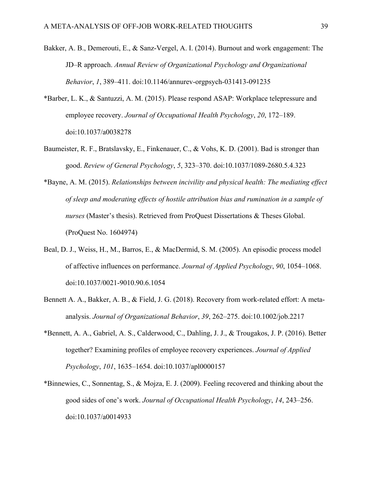- Bakker, A. B., Demerouti, E., & Sanz-Vergel, A. I. (2014). Burnout and work engagement: The JD–R approach. *Annual Review of Organizational Psychology and Organizational Behavior*, *1*, 389–411. doi:10.1146/annurev-orgpsych-031413-091235
- \*Barber, L. K., & Santuzzi, A. M. (2015). Please respond ASAP: Workplace telepressure and employee recovery. *Journal of Occupational Health Psychology*, *20*, 172–189. doi:10.1037/a0038278
- Baumeister, R. F., Bratslavsky, E., Finkenauer, C., & Vohs, K. D. (2001). Bad is stronger than good. *Review of General Psychology*, *5*, 323–370. doi:10.1037/1089-2680.5.4.323
- \*Bayne, A. M. (2015). *Relationships between incivility and physical health: The mediating effect of sleep and moderating effects of hostile attribution bias and rumination in a sample of nurses* (Master's thesis). Retrieved from ProQuest Dissertations & Theses Global. (ProQuest No. 1604974)
- Beal, D. J., Weiss, H., M., Barros, E., & MacDermid, S. M. (2005). An episodic process model of affective influences on performance. *Journal of Applied Psychology*, *90*, 1054–1068. doi:10.1037/0021-9010.90.6.1054
- Bennett A. A., Bakker, A. B., & Field, J. G. (2018). Recovery from work-related effort: A metaanalysis. *Journal of Organizational Behavior*, *39*, 262–275. doi:10.1002/job.2217
- \*Bennett, A. A., Gabriel, A. S., Calderwood, C., Dahling, J. J., & Trougakos, J. P. (2016). Better together? Examining profiles of employee recovery experiences. *Journal of Applied Psychology*, *101*, 1635–1654. doi:10.1037/apl0000157
- \*Binnewies, C., Sonnentag, S., & Mojza, E. J. (2009). Feeling recovered and thinking about the good sides of one's work. *Journal of Occupational Health Psychology*, *14*, 243–256. doi:10.1037/a0014933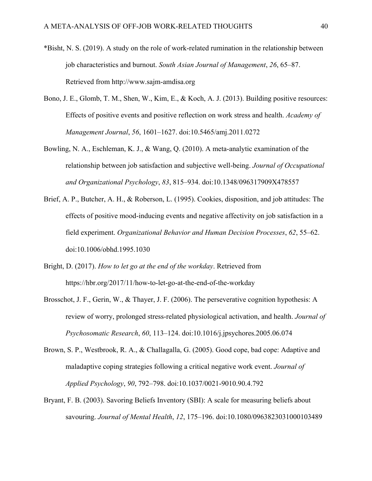- \*Bisht, N. S. (2019). A study on the role of work-related rumination in the relationship between job characteristics and burnout. *South Asian Journal of Management*, *26*, 65–87. Retrieved from http://www.sajm-amdisa.org
- Bono, J. E., Glomb, T. M., Shen, W., Kim, E., & Koch, A. J. (2013). Building positive resources: Effects of positive events and positive reflection on work stress and health. *Academy of Management Journal*, *56*, 1601–1627. doi:10.5465/amj.2011.0272
- Bowling, N. A., Eschleman, K. J., & Wang, Q. (2010). A meta-analytic examination of the relationship between job satisfaction and subjective well-being. *Journal of Occupational and Organizational Psychology*, *83*, 815–934. doi:10.1348/096317909X478557
- Brief, A. P., Butcher, A. H., & Roberson, L. (1995). Cookies, disposition, and job attitudes: The effects of positive mood-inducing events and negative affectivity on job satisfaction in a field experiment. *Organizational Behavior and Human Decision Processes*, *62*, 55–62. doi:10.1006/obhd.1995.1030
- Bright, D. (2017). *How to let go at the end of the workday*. Retrieved from https://hbr.org/2017/11/how-to-let-go-at-the-end-of-the-workday
- Brosschot, J. F., Gerin, W., & Thayer, J. F. (2006). The perseverative cognition hypothesis: A review of worry, prolonged stress-related physiological activation, and health. *Journal of Psychosomatic Research*, *60*, 113–124. doi:10.1016/j.jpsychores.2005.06.074
- Brown, S. P., Westbrook, R. A., & Challagalla, G. (2005). Good cope, bad cope: Adaptive and maladaptive coping strategies following a critical negative work event. *Journal of Applied Psychology*, *90*, 792–798. doi:10.1037/0021-9010.90.4.792
- Bryant, F. B. (2003). Savoring Beliefs Inventory (SBI): A scale for measuring beliefs about savouring. *Journal of Mental Health*, *12*, 175–196. doi:10.1080/0963823031000103489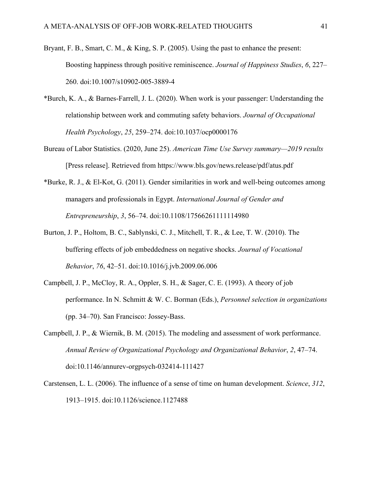- Bryant, F. B., Smart, C. M., & King, S. P. (2005). Using the past to enhance the present: Boosting happiness through positive reminiscence. *Journal of Happiness Studies*, *6*, 227– 260. doi:10.1007/s10902-005-3889-4
- \*Burch, K. A., & Barnes-Farrell, J. L. (2020). When work is your passenger: Understanding the relationship between work and commuting safety behaviors. *Journal of Occupational Health Psychology*, *25*, 259–274. doi:10.1037/ocp0000176
- Bureau of Labor Statistics. (2020, June 25). *American Time Use Survey summary—2019 results* [Press release]. Retrieved from https://www.bls.gov/news.release/pdf/atus.pdf
- \*Burke, R. J., & El-Kot, G. (2011). Gender similarities in work and well-being outcomes among managers and professionals in Egypt. *International Journal of Gender and Entrepreneurship*, *3*, 56–74. doi:10.1108/17566261111114980
- Burton, J. P., Holtom, B. C., Sablynski, C. J., Mitchell, T. R., & Lee, T. W. (2010). The buffering effects of job embeddedness on negative shocks. *Journal of Vocational Behavior*, *76*, 42–51. doi:10.1016/j.jvb.2009.06.006
- Campbell, J. P., McCloy, R. A., Oppler, S. H., & Sager, C. E. (1993). A theory of job performance. In N. Schmitt & W. C. Borman (Eds.), *Personnel selection in organizations* (pp. 34–70). San Francisco: Jossey-Bass.
- Campbell, J. P., & Wiernik, B. M. (2015). The modeling and assessment of work performance. *Annual Review of Organizational Psychology and Organizational Behavior*, *2*, 47–74. doi:10.1146/annurev-orgpsych-032414-111427
- Carstensen, L. L. (2006). The influence of a sense of time on human development. *Science*, *312*, 1913–1915. doi:10.1126/science.1127488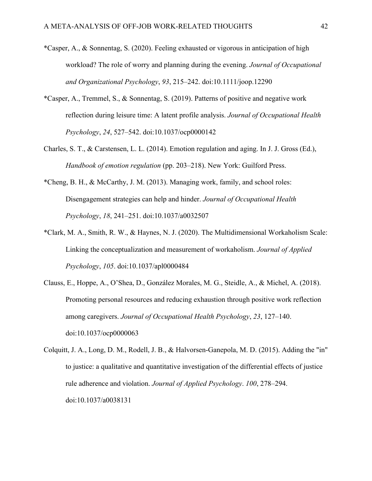- \*Casper, A., & Sonnentag, S. (2020). Feeling exhausted or vigorous in anticipation of high workload? The role of worry and planning during the evening. *Journal of Occupational and Organizational Psychology*, *93*, 215–242. doi:10.1111/joop.12290
- \*Casper, A., Tremmel, S., & Sonnentag, S. (2019). Patterns of positive and negative work reflection during leisure time: A latent profile analysis. *Journal of Occupational Health Psychology*, *24*, 527–542. doi:10.1037/ocp0000142
- Charles, S. T., & Carstensen, L. L. (2014). Emotion regulation and aging. In J. J. Gross (Ed.), *Handbook of emotion regulation* (pp. 203–218). New York: Guilford Press.
- \*Cheng, B. H., & McCarthy, J. M. (2013). Managing work, family, and school roles: Disengagement strategies can help and hinder. *Journal of Occupational Health Psychology*, *18*, 241–251. doi:10.1037/a0032507
- \*Clark, M. A., Smith, R. W., & Haynes, N. J. (2020). The Multidimensional Workaholism Scale: Linking the conceptualization and measurement of workaholism. *Journal of Applied Psychology*, *105*. doi:10.1037/apl0000484
- Clauss, E., Hoppe, A., O'Shea, D., González Morales, M. G., Steidle, A., & Michel, A. (2018). Promoting personal resources and reducing exhaustion through positive work reflection among caregivers. *Journal of Occupational Health Psychology*, *23*, 127–140. doi:10.1037/ocp0000063
- Colquitt, J. A., Long, D. M., Rodell, J. B., & Halvorsen-Ganepola, M. D. (2015). Adding the "in" to justice: a qualitative and quantitative investigation of the differential effects of justice rule adherence and violation. *Journal of Applied Psychology*. *100*, 278–294. doi:10.1037/a0038131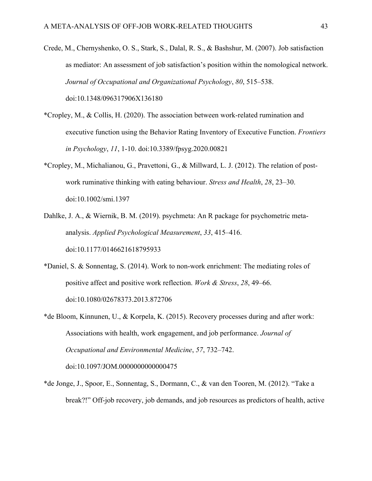- Crede, M., Chernyshenko, O. S., Stark, S., Dalal, R. S., & Bashshur, M. (2007). Job satisfaction as mediator: An assessment of job satisfaction's position within the nomological network. *Journal of Occupational and Organizational Psychology*, *80*, 515–538. doi:10.1348/096317906X136180
- \*Cropley, M., & Collis, H. (2020). The association between work-related rumination and executive function using the Behavior Rating Inventory of Executive Function. *Frontiers in Psychology*, *11*, 1-10. doi:10.3389/fpsyg.2020.00821
- \*Cropley, M., Michalianou, G., Pravettoni, G., & Millward, L. J. (2012). The relation of postwork ruminative thinking with eating behaviour. *Stress and Health*, *28*, 23–30. doi:10.1002/smi.1397
- Dahlke, J. A., & Wiernik, B. M. (2019). psychmeta: An R package for psychometric metaanalysis. *Applied Psychological Measurement*, *33*, 415–416. doi:10.1177/0146621618795933
- \*Daniel, S. & Sonnentag, S. (2014). Work to non-work enrichment: The mediating roles of positive affect and positive work reflection. *Work & Stress*, *28*, 49–66. doi:10.1080/02678373.2013.872706
- \*de Bloom, Kinnunen, U., & Korpela, K. (2015). Recovery processes during and after work: Associations with health, work engagement, and job performance. *Journal of Occupational and Environmental Medicine*, *57*, 732–742. doi:10.1097/JOM.0000000000000475
- \*de Jonge, J., Spoor, E., Sonnentag, S., Dormann, C., & van den Tooren, M. (2012). "Take a break?!" Off-job recovery, job demands, and job resources as predictors of health, active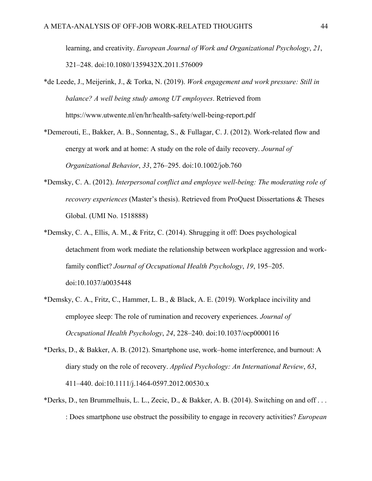learning, and creativity. *European Journal of Work and Organizational Psychology*, *21*, 321–248. doi:10.1080/1359432X.2011.576009

- \*de Leede, J., Meijerink, J., & Torka, N. (2019). *Work engagement and work pressure: Still in balance? A well being study among UT employees*. Retrieved from https://www.utwente.nl/en/hr/health-safety/well-being-report.pdf
- \*Demerouti, E., Bakker, A. B., Sonnentag, S., & Fullagar, C. J. (2012). Work-related flow and energy at work and at home: A study on the role of daily recovery. *Journal of Organizational Behavior*, *33*, 276–295. doi:10.1002/job.760
- \*Demsky, C. A. (2012). *Interpersonal conflict and employee well-being: The moderating role of recovery experiences* (Master's thesis). Retrieved from ProQuest Dissertations & Theses Global. (UMI No. 1518888)
- \*Demsky, C. A., Ellis, A. M., & Fritz, C. (2014). Shrugging it off: Does psychological detachment from work mediate the relationship between workplace aggression and workfamily conflict? *Journal of Occupational Health Psychology*, *19*, 195–205. doi:10.1037/a0035448
- \*Demsky, C. A., Fritz, C., Hammer, L. B., & Black, A. E. (2019). Workplace incivility and employee sleep: The role of rumination and recovery experiences. *Journal of Occupational Health Psychology*, *24*, 228–240. doi:10.1037/ocp0000116
- \*Derks, D., & Bakker, A. B. (2012). Smartphone use, work–home interference, and burnout: A diary study on the role of recovery. *Applied Psychology: An International Review*, *63*, 411–440. doi:10.1111/j.1464-0597.2012.00530.x
- \*Derks, D., ten Brummelhuis, L. L., Zecic, D., & Bakker, A. B. (2014). Switching on and off . . . : Does smartphone use obstruct the possibility to engage in recovery activities? *European*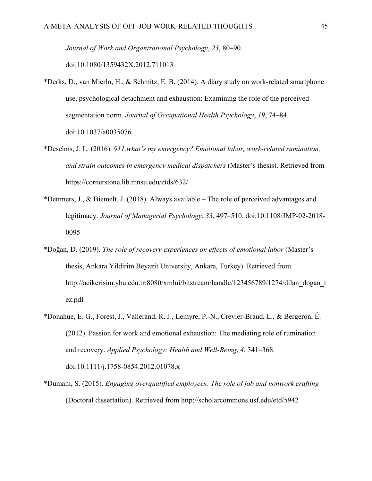*Journal of Work and Organizational Psychology*, *23*, 80–90.

doi:10.1080/1359432X.2012.711013

- \*Derks, D., van Mierlo, H., & Schmitz, E. B. (2014). A diary study on work-related smartphone use, psychological detachment and exhaustion: Examining the role of the perceived segmentation norm. *Journal of Occupational Health Psychology*, *19*, 74–84. doi:10.1037/a0035076
- \*Deselms, J. L. (2016). *911,what's my emergency? Emotional labor, work-related rumination, and strain outcomes in emergency medical dispatchers* (Master's thesis). Retrieved from https://cornerstone.lib.mnsu.edu/etds/632/
- \*Dettmers, J., & Biemelt, J. (2018). Always available The role of perceived advantages and legitimacy. *Journal of Managerial Psychology*, *33*, 497–510. doi:10.1108/JMP-02-2018- 0095
- \*Doğan, D. (2019). *The role of recovery experiences on effects of emotional labor* (Master's thesis, Ankara Yildirim Beyazit University, Ankara, Turkey). Retrieved from http://acikerisim.ybu.edu.tr:8080/xmlui/bitstream/handle/123456789/1274/dilan\_dogan\_t ez.pdf
- \*Donahue, E. G., Forest, J., Vallerand, R. J., Lemyre, P.-N., Crevier-Braud, L., & Bergeron, É. (2012). Passion for work and emotional exhaustion: The mediating role of rumination and recovery. *Applied Psychology: Health and Well-Being*, *4*, 341–368. doi:10.1111/j.1758-0854.2012.01078.x
- \*Dumani, S. (2015). *Engaging overqualified employees: The role of job and nonwork crafting* (Doctoral dissertation). Retrieved from http://scholarcommons.usf.edu/etd/5942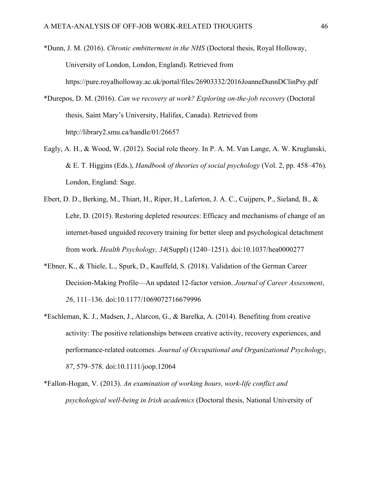- \*Dunn, J. M. (2016). *Chronic embitterment in the NHS* (Doctoral thesis, Royal Holloway, University of London, London, England). Retrieved from https://pure.royalholloway.ac.uk/portal/files/26903332/2016JoanneDunnDClinPsy.pdf
- \*Durepos, D. M. (2016). *Can we recovery at work? Exploring on-the-job recovery* (Doctoral thesis, Saint Mary's University, Halifax, Canada). Retrieved from http://library2.smu.ca/handle/01/26657
- Eagly, A. H., & Wood, W. (2012). Social role theory*.* In P. A. M. Van Lange, A. W. Kruglanski, & E. T. Higgins (Eds.), *Handbook of theories of social psychology* (Vol. 2, pp. 458–476). London, England: Sage.
- Ebert, D. D., Berking, M., Thiart, H., Riper, H., Laferton, J. A. C., Cuijpers, P., Sieland, B., & Lehr, D. (2015). Restoring depleted resources: Efficacy and mechanisms of change of an internet-based unguided recovery training for better sleep and psychological detachment from work. *Health Psychology, 34*(Suppl) (1240–1251). doi:10.1037/hea0000277
- \*Ebner, K., & Thiele, L., Spurk, D., Kauffeld, S. (2018). Validation of the German Career Decision-Making Profile—An updated 12-factor version. *Journal of Career Assessment*, *26*, 111–136. doi:10.1177/1069072716679996
- \*Eschleman, K. J., Madsen, J., Alarcon, G., & Barelka, A. (2014). Benefiting from creative activity: The positive relationships between creative activity, recovery experiences, and performance-related outcomes. *Journal of Occupational and Organizational Psychology*, *87*, 579–578. doi:10.1111/joop.12064
- \*Fallon-Hogan, V. (2013). *An examination of working hours, work-life conflict and psychological well-being in Irish academics* (Doctoral thesis, National University of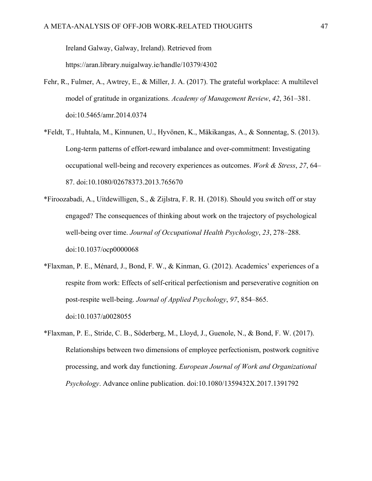Ireland Galway, Galway, Ireland). Retrieved from

https://aran.library.nuigalway.ie/handle/10379/4302

- Fehr, R., Fulmer, A., Awtrey, E., & Miller, J. A. (2017). The grateful workplace: A multilevel model of gratitude in organizations. *Academy of Management Review*, *42*, 361–381. doi:10.5465/amr.2014.0374
- \*Feldt, T., Huhtala, M., Kinnunen, U., Hyvönen, K., Mäkikangas, A., & Sonnentag, S. (2013). Long-term patterns of effort-reward imbalance and over-commitment: Investigating occupational well‐being and recovery experiences as outcomes. *Work & Stress*, *27*, 64– 87. doi:10.1080/02678373.2013.765670
- \*Firoozabadi, A., Uitdewilligen, S., & Zijlstra, F. R. H. (2018). Should you switch off or stay engaged? The consequences of thinking about work on the trajectory of psychological well-being over time. *Journal of Occupational Health Psychology*, *23*, 278–288. doi:10.1037/ocp0000068
- \*Flaxman, P. E., Ménard, J., Bond, F. W., & Kinman, G. (2012). Academics' experiences of a respite from work: Effects of self-critical perfectionism and perseverative cognition on post-respite well-being. *Journal of Applied Psychology*, *97*, 854–865. doi:10.1037/a0028055
- \*Flaxman, P. E., Stride, C. B., Söderberg, M., Lloyd, J., Guenole, N., & Bond, F. W. (2017). Relationships between two dimensions of employee perfectionism, postwork cognitive processing, and work day functioning. *European Journal of Work and Organizational Psychology*. Advance online publication. doi:10.1080/1359432X.2017.1391792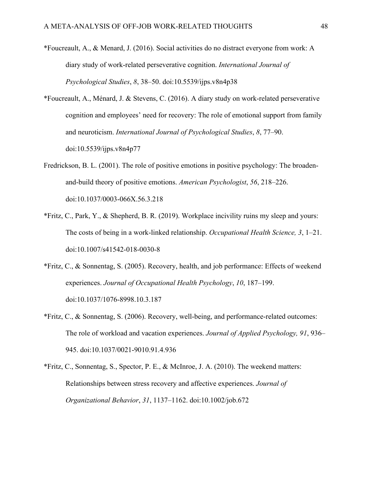- \*Foucreault, A., & Menard, J. (2016). Social activities do no distract everyone from work: A diary study of work-related perseverative cognition. *International Journal of Psychological Studies*, *8*, 38–50. doi:10.5539/ijps.v8n4p38
- \*Foucreault, A., Ménard, J. & Stevens, C. (2016). A diary study on work-related perseverative cognition and employees' need for recovery: The role of emotional support from family and neuroticism. *International Journal of Psychological Studies*, *8*, 77–90. doi:10.5539/ijps.v8n4p77
- Fredrickson, B. L. (2001). The role of positive emotions in positive psychology: The broadenand-build theory of positive emotions. *American Psychologist*, *56*, 218–226. doi:10.1037/0003-066X.56.3.218
- \*Fritz, C., Park, Y., & Shepherd, B. R. (2019). Workplace incivility ruins my sleep and yours: The costs of being in a work-linked relationship. *Occupational Health Science, 3*, 1–21. doi:10.1007/s41542-018-0030-8
- \*Fritz, C., & Sonnentag, S. (2005). Recovery, health, and job performance: Effects of weekend experiences. *Journal of Occupational Health Psychology*, *10*, 187–199. doi:10.1037/1076-8998.10.3.187
- \*Fritz, C., & Sonnentag, S. (2006). Recovery, well-being, and performance-related outcomes: The role of workload and vacation experiences. *Journal of Applied Psychology, 91*, 936– 945. doi:10.1037/0021-9010.91.4.936
- \*Fritz, C., Sonnentag, S., Spector, P. E., & McInroe, J. A. (2010). The weekend matters: Relationships between stress recovery and affective experiences. *Journal of Organizational Behavior*, *31*, 1137–1162. doi:10.1002/job.672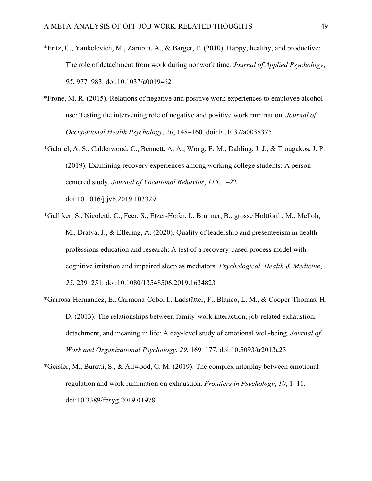- \*Fritz, C., Yankelevich, M., Zarubin, A., & Barger, P. (2010). Happy, healthy, and productive: The role of detachment from work during nonwork time*. Journal of Applied Psychology*, *95*, 977–983. doi:10.1037/a0019462
- \*Frone, M. R. (2015). Relations of negative and positive work experiences to employee alcohol use: Testing the intervening role of negative and positive work rumination. *Journal of Occupational Health Psychology*, *20*, 148–160. doi:10.1037/a0038375
- \*Gabriel, A. S., Calderwood, C., Bennett, A. A., Wong, E. M., Dahling, J. J., & Trougakos, J. P. (2019). Examining recovery experiences among working college students: A personcentered study. *Journal of Vocational Behavior*, *115*, 1–22. doi:10.1016/j.jvb.2019.103329
- \*Galliker, S., Nicoletti, C., Feer, S., Etzer-Hofer, I., Brunner, B., grosse Holtforth, M., Melloh, M., Dratva, J., & Elfering, A. (2020). Quality of leadership and presenteeism in health professions education and research: A test of a recovery-based process model with cognitive irritation and impaired sleep as mediators. *Psychological, Health & Medicine*, *25*, 239–251. doi:10.1080/13548506.2019.1634823
- \*Garrosa-Hernández, E., Carmona-Cobo, I., Ladstätter, F., Blanco, L. M., & Cooper-Thomas, H. D. (2013). The relationships between family-work interaction, job-related exhaustion, detachment, and meaning in life: A day-level study of emotional well-being. *Journal of Work and Organizational Psychology*, *29*, 169–177. doi:10.5093/tr2013a23
- \*Geisler, M., Buratti, S., & Allwood, C. M. (2019). The complex interplay between emotional regulation and work rumination on exhaustion. *Frontiers in Psychology*, *10*, 1–11. doi:10.3389/fpsyg.2019.01978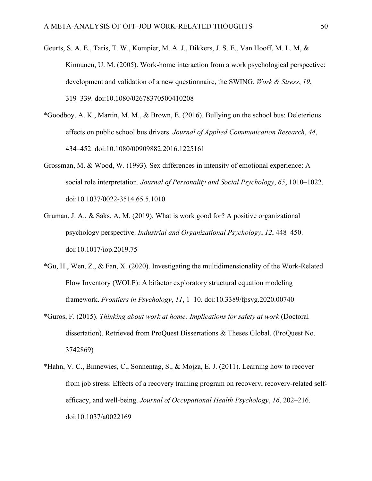- Geurts, S. A. E., Taris, T. W., Kompier, M. A. J., Dikkers, J. S. E., Van Hooff, M. L. M, & Kinnunen, U. M. (2005). Work-home interaction from a work psychological perspective: development and validation of a new questionnaire, the SWING. *Work & Stress*, *19*, 319–339. doi:10.1080/02678370500410208
- \*Goodboy, A. K., Martin, M. M., & Brown, E. (2016). Bullying on the school bus: Deleterious effects on public school bus drivers. *Journal of Applied Communication Research*, *44*, 434–452. doi:10.1080/00909882.2016.1225161
- Grossman, M. & Wood, W. (1993). Sex differences in intensity of emotional experience: A social role interpretation. *Journal of Personality and Social Psychology*, *65*, 1010–1022. doi:10.1037/0022-3514.65.5.1010
- Gruman, J. A., & Saks, A. M. (2019). What is work good for? A positive organizational psychology perspective. *Industrial and Organizational Psychology*, *12*, 448–450. doi:10.1017/iop.2019.75
- \*Gu, H., Wen, Z., & Fan, X. (2020). Investigating the multidimensionality of the Work-Related Flow Inventory (WOLF): A bifactor exploratory structural equation modeling framework. *Frontiers in Psychology*, *11*, 1–10. doi:10.3389/fpsyg.2020.00740
- \*Guros, F. (2015). *Thinking about work at home: Implications for safety at work* (Doctoral dissertation). Retrieved from ProQuest Dissertations & Theses Global. (ProQuest No. 3742869)
- \*Hahn, V. C., Binnewies, C., Sonnentag, S., & Mojza, E. J. (2011). Learning how to recover from job stress: Effects of a recovery training program on recovery, recovery-related selfefficacy, and well-being. *Journal of Occupational Health Psychology*, *16*, 202–216. doi:10.1037/a0022169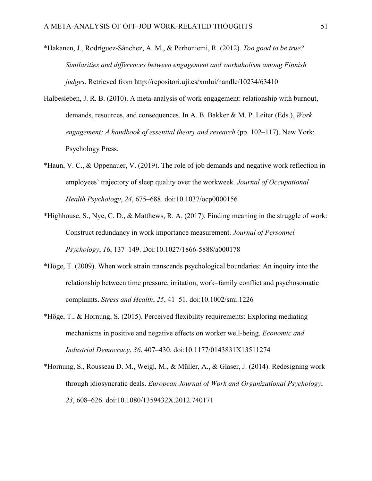- \*Hakanen, J., Rodríguez-Sánchez, A. M., & Perhoniemi, R. (2012). *Too good to be true? Similarities and differences between engagement and workaholism among Finnish judges*. Retrieved from http://repositori.uji.es/xmlui/handle/10234/63410
- Halbesleben, J. R. B. (2010). A meta-analysis of work engagement: relationship with burnout, demands, resources, and consequences. In A. B. Bakker & M. P. Leiter (Eds.), *Work engagement: A handbook of essential theory and research* (pp. 102–117). New York: Psychology Press.
- \*Haun, V. C., & Oppenauer, V. (2019). The role of job demands and negative work reflection in employees' trajectory of sleep quality over the workweek. *Journal of Occupational Health Psychology*, *24*, 675–688. doi:10.1037/ocp0000156
- \*Highhouse, S., Nye, C. D., & Matthews, R. A. (2017). Finding meaning in the struggle of work: Construct redundancy in work importance measurement. *Journal of Personnel Psychology*, *16*, 137–149. Doi:10.1027/1866-5888/a000178
- \*Höge, T. (2009). When work strain transcends psychological boundaries: An inquiry into the relationship between time pressure, irritation, work–family conflict and psychosomatic complaints. *Stress and Health*, *25*, 41–51. doi:10.1002/smi.1226
- \*Höge, T., & Hornung, S. (2015). Perceived flexibility requirements: Exploring mediating mechanisms in positive and negative effects on worker well-being. *Economic and Industrial Democracy*, *36*, 407–430. doi:10.1177/0143831X13511274
- \*Hornung, S., Rousseau D. M., Weigl, M., & Müller, A., & Glaser, J. (2014). Redesigning work through idiosyncratic deals. *European Journal of Work and Organizational Psychology*, *23*, 608–626. doi:10.1080/1359432X.2012.740171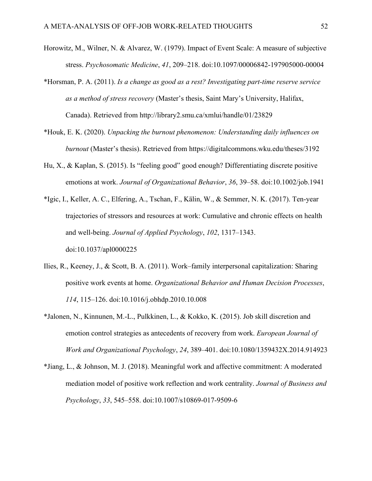- Horowitz, M., Wilner, N. & Alvarez, W. (1979). Impact of Event Scale: A measure of subjective stress. *Psychosomatic Medicine*, *41*, 209–218. doi:10.1097/00006842-197905000-00004
- \*Horsman, P. A. (2011). *Is a change as good as a rest? Investigating part-time reserve service as a method of stress recovery* (Master's thesis, Saint Mary's University, Halifax, Canada). Retrieved from http://library2.smu.ca/xmlui/handle/01/23829
- \*Houk, E. K. (2020). *Unpacking the burnout phenomenon: Understanding daily influences on burnout* (Master's thesis). Retrieved from https://digitalcommons.wku.edu/theses/3192
- Hu, X., & Kaplan, S. (2015). Is "feeling good" good enough? Differentiating discrete positive emotions at work. *Journal of Organizational Behavior*, *36*, 39–58. doi:10.1002/job.1941
- \*Igic, I., Keller, A. C., Elfering, A., Tschan, F., Kälin, W., & Semmer, N. K. (2017). Ten-year trajectories of stressors and resources at work: Cumulative and chronic effects on health and well-being. *Journal of Applied Psychology*, *102*, 1317–1343. doi:10.1037/apl0000225
- Ilies, R., Keeney, J., & Scott, B. A. (2011). Work–family interpersonal capitalization: Sharing positive work events at home. *Organizational Behavior and Human Decision Processes*, *114*, 115–126. doi:10.1016/j.obhdp.2010.10.008
- \*Jalonen, N., Kinnunen, M.-L., Pulkkinen, L., & Kokko, K. (2015). Job skill discretion and emotion control strategies as antecedents of recovery from work. *European Journal of Work and Organizational Psychology*, *24*, 389–401. doi:10.1080/1359432X.2014.914923
- \*Jiang, L., & Johnson, M. J. (2018). Meaningful work and affective commitment: A moderated mediation model of positive work reflection and work centrality. *Journal of Business and Psychology*, *33*, 545–558. doi:10.1007/s10869-017-9509-6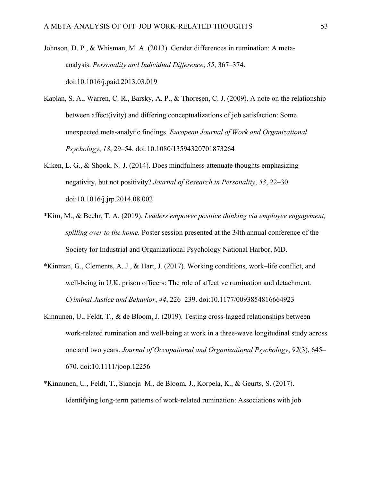- Johnson, D. P., & Whisman, M. A. (2013). Gender differences in rumination: A metaanalysis. *Personality and Individual Difference*, *55*, 367–374. doi:10.1016/j.paid.2013.03.019
- Kaplan, S. A., Warren, C. R., Barsky, A. P., & Thoresen, C. J. (2009). A note on the relationship between affect(ivity) and differing conceptualizations of job satisfaction: Some unexpected meta-analytic findings. *European Journal of Work and Organizational Psychology*, *18*, 29–54. doi:10.1080/13594320701873264
- Kiken, L. G., & Shook, N. J. (2014). Does mindfulness attenuate thoughts emphasizing negativity, but not positivity? *Journal of Research in Personality*, *53*, 22–30. doi:10.1016/j.jrp.2014.08.002
- \*Kim, M., & Beehr, T. A. (2019). *Leaders empower positive thinking via employee engagement, spilling over to the home.* Poster session presented at the 34th annual conference of the Society for Industrial and Organizational Psychology National Harbor, MD.
- \*Kinman, G., Clements, A. J., & Hart, J. (2017). Working conditions, work–life conflict, and well-being in U.K. prison officers: The role of affective rumination and detachment. *Criminal Justice and Behavior*, *44*, 226–239. doi:10.1177/0093854816664923
- Kinnunen, U., Feldt, T., & de Bloom, J. (2019). Testing cross-lagged relationships between work-related rumination and well-being at work in a three-wave longitudinal study across one and two years. *Journal of Occupational and Organizational Psychology*, *92*(3), 645– 670. doi:10.1111/joop.12256
- \*Kinnunen, U., Feldt, T., Sianoja M., de Bloom, J., Korpela, K., & Geurts, S. (2017). Identifying long-term patterns of work-related rumination: Associations with job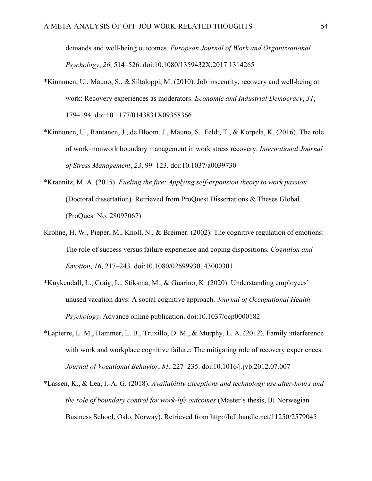demands and well-being outcomes. *European Journal of Work and Organizsational Psychology*, *26*, 514–526. doi:10.1080/1359432X.2017.1314265

- \*Kinnunen, U., Mauno, S., & Siltaloppi, M. (2010). Job insecurity, recovery and well-being at work: Recovery experiences as moderators. *Economic and Industrial Democracy*, *31*, 179–194. doi:10.1177/0143831X09358366
- \*Kinnunen, U., Rantanen, J., de Bloom, J., Mauno, S., Feldt, T., & Korpela, K. (2016). The role of work–nonwork boundary management in work stress recovery. *International Journal of Stress Management*, *23*, 99–123. doi:10.1037/a0039730
- \*Krannitz, M. A. (2015). *Fueling the fire: Applying self-expansion theory to work passion* (Doctoral dissertation). Retrieved from ProQuest Dissertations & Theses Global. (ProQuest No. 28097067)
- Krohne, H. W., Pieper, M., Knoll, N., & Breimer. (2002). The cognitive regulation of emotions: The role of success versus failure experience and coping dispositions. *Cognition and Emotion*, *16*, 217–243. doi:10.1080/02699930143000301
- \*Kuykendall, L., Craig, L., Stiksma, M., & Guarino, K. (2020). Understanding employees' unused vacation days: A social cognitive approach. *Journal of Occupational Health Psychology*. Advance online publication. doi:10.1037/ocp0000182
- \*Lapierre, L. M., Hammer, L. B., Truxillo, D. M., & Murphy, L. A. (2012). Family interference with work and workplace cognitive failure: The mitigating role of recovery experiences. *Journal of Vocational Behavior*, *81*, 227–235. doi:10.1016/j.jvb.2012.07.007
- \*Lassen, K., & Lea, I.-A. G. (2018). *Availability exceptions and technology use after-hours and the role of boundary control for work-life outcomes* (Master's thesis, BI Norwegian Business School, Oslo, Norway). Retrieved from http://hdl.handle.net/11250/2579045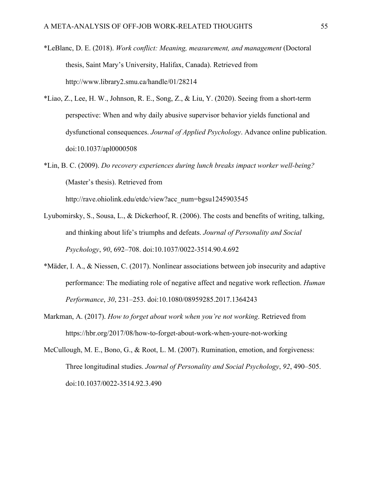- \*LeBlanc, D. E. (2018). *Work conflict: Meaning, measurement, and management* (Doctoral thesis, Saint Mary's University, Halifax, Canada). Retrieved from http://www.library2.smu.ca/handle/01/28214
- \*Liao, Z., Lee, H. W., Johnson, R. E., Song, Z., & Liu, Y. (2020). Seeing from a short-term perspective: When and why daily abusive supervisor behavior yields functional and dysfunctional consequences. *Journal of Applied Psychology*. Advance online publication. doi:10.1037/apl0000508
- \*Lin, B. C. (2009). *Do recovery experiences during lunch breaks impact worker well-being?*  (Master's thesis). Retrieved from http://rave.ohiolink.edu/etdc/view?acc\_num=bgsu1245903545
- Lyubomirsky, S., Sousa, L., & Dickerhoof, R. (2006). The costs and benefits of writing, talking, and thinking about life's triumphs and defeats. *Journal of Personality and Social Psychology*, *90*, 692–708. doi:10.1037/0022-3514.90.4.692
- \*Mäder, I. A., & Niessen, C. (2017). Nonlinear associations between job insecurity and adaptive performance: The mediating role of negative affect and negative work reflection. *Human Performance*, *30*, 231–253. doi:10.1080/08959285.2017.1364243
- Markman, A. (2017). *How to forget about work when you're not working*. Retrieved from https://hbr.org/2017/08/how-to-forget-about-work-when-youre-not-working
- McCullough, M. E., Bono, G., & Root, L. M. (2007). Rumination, emotion, and forgiveness: Three longitudinal studies. *Journal of Personality and Social Psychology*, *92*, 490–505. doi:10.1037/0022-3514.92.3.490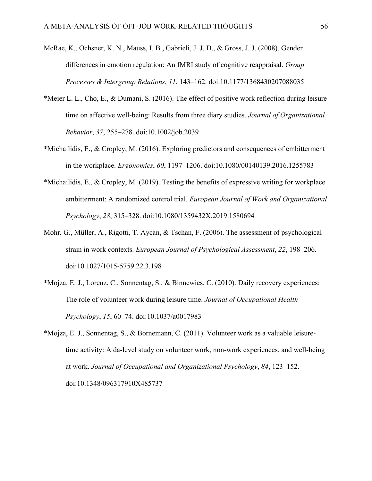- McRae, K., Ochsner, K. N., Mauss, I. B., Gabrieli, J. J. D., & Gross, J. J. (2008). Gender differences in emotion regulation: An fMRI study of cognitive reappraisal. *Group Processes & Intergroup Relations*, *11*, 143–162. doi:10.1177/1368430207088035
- \*Meier L. L., Cho, E., & Dumani, S. (2016). The effect of positive work reflection during leisure time on affective well-being: Results from three diary studies. *Journal of Organizational Behavior*, *37*, 255–278. doi:10.1002/job.2039
- \*Michailidis, E., & Cropley, M. (2016). Exploring predictors and consequences of embitterment in the workplace. *Ergonomics*, *60*, 1197–1206. doi:10.1080/00140139.2016.1255783
- \*Michailidis, E., & Cropley, M. (2019). Testing the benefits of expressive writing for workplace embitterment: A randomized control trial. *European Journal of Work and Organizational Psychology*, *28*, 315–328. doi:10.1080/1359432X.2019.1580694
- Mohr, G., Müller, A., Rigotti, T. Aycan, & Tschan, F. (2006). The assessment of psychological strain in work contexts. *European Journal of Psychological Assessment*, *22*, 198–206. doi:10.1027/1015-5759.22.3.198
- \*Mojza, E. J., Lorenz, C., Sonnentag, S., & Binnewies, C. (2010). Daily recovery experiences: The role of volunteer work during leisure time. *Journal of Occupational Health Psychology*, *15*, 60–74. doi:10.1037/a0017983
- \*Mojza, E. J., Sonnentag, S., & Bornemann, C. (2011). Volunteer work as a valuable leisuretime activity: A da-level study on volunteer work, non-work experiences, and well-being at work. *Journal of Occupational and Organizational Psychology*, *84*, 123–152. doi:10.1348/096317910X485737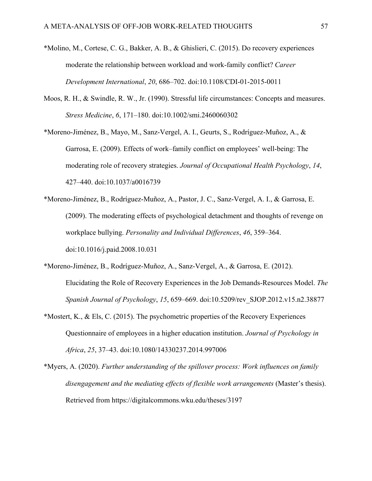- \*Molino, M., Cortese, C. G., Bakker, A. B., & Ghislieri, C. (2015). Do recovery experiences moderate the relationship between workload and work-family conflict? *Career Development International*, *20*, 686–702. doi:10.1108/CDI-01-2015-0011
- Moos, R. H., & Swindle, R. W., Jr. (1990). Stressful life circumstances: Concepts and measures. *Stress Medicine*, *6*, 171–180. doi:10.1002/smi.2460060302
- \*Moreno-Jiménez, B., Mayo, M., Sanz-Vergel, A. I., Geurts, S., Rodríguez-Muñoz, A., & Garrosa, E. (2009). Effects of work–family conflict on employees' well-being: The moderating role of recovery strategies. *Journal of Occupational Health Psychology*, *14*, 427–440. doi:10.1037/a0016739
- \*Moreno-Jiménez, B., Rodríguez-Muñoz, A., Pastor, J. C., Sanz-Vergel, A. I., & Garrosa, E. (2009). The moderating effects of psychological detachment and thoughts of revenge on workplace bullying. *Personality and Individual Differences*, *46*, 359–364. doi:10.1016/j.paid.2008.10.031
- \*Moreno-Jiménez, B., Rodríguez-Muñoz, A., Sanz-Vergel, A., & Garrosa, E. (2012). Elucidating the Role of Recovery Experiences in the Job Demands-Resources Model. *The Spanish Journal of Psychology*, *15*, 659–669. doi:10.5209/rev\_SJOP.2012.v15.n2.38877
- \*Mostert, K., & Els, C. (2015). The psychometric properties of the Recovery Experiences Questionnaire of employees in a higher education institution. *Journal of Psychology in Africa*, *25*, 37–43. doi:10.1080/14330237.2014.997006
- \*Myers, A. (2020). *Further understanding of the spillover process: Work influences on family disengagement and the mediating effects of flexible work arrangements* (Master's thesis). Retrieved from https://digitalcommons.wku.edu/theses/3197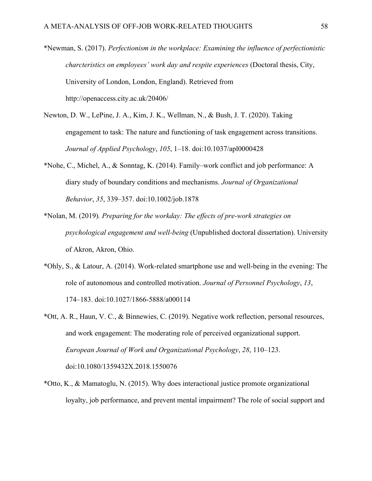\*Newman, S. (2017). *Perfectionism in the workplace: Examining the influence of perfectionistic charcteristics on employees' work day and respite experiences* (Doctoral thesis, City, University of London, London, England). Retrieved from http://openaccess.city.ac.uk/20406/

- Newton, D. W., LePine, J. A., Kim, J. K., Wellman, N., & Bush, J. T. (2020). Taking engagement to task: The nature and functioning of task engagement across transitions. *Journal of Applied Psychology*, *105*, 1–18. doi:10.1037/apl0000428
- \*Nohe, C., Michel, A., & Sonntag, K. (2014). Family–work conflict and job performance: A diary study of boundary conditions and mechanisms. *Journal of Organizational Behavior*, *35*, 339–357. doi:10.1002/job.1878
- \*Nolan, M. (2019)*. Preparing for the workday: The effects of pre-work strategies on psychological engagement and well-being* (Unpublished doctoral dissertation). University of Akron, Akron, Ohio.
- \*Ohly, S., & Latour, A. (2014). Work-related smartphone use and well-being in the evening: The role of autonomous and controlled motivation. *Journal of Personnel Psychology*, *13*, 174–183. doi:10.1027/1866-5888/a000114
- \*Ott, A. R., Haun, V. C., & Binnewies, C. (2019). Negative work reflection, personal resources, and work engagement: The moderating role of perceived organizational support. *European Journal of Work and Organizational Psychology*, *28*, 110–123. doi:10.1080/1359432X.2018.1550076
- \*Otto, K., & Mamatoglu, N. (2015). Why does interactional justice promote organizational loyalty, job performance, and prevent mental impairment? The role of social support and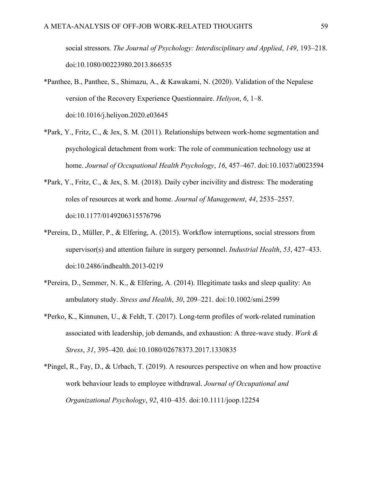social stressors. *The Journal of Psychology: Interdisciplinary and Applied*, *149*, 193–218. doi:10.1080/00223980.2013.866535

- \*Panthee, B., Panthee, S., Shimazu, A., & Kawakami, N. (2020). Validation of the Nepalese version of the Recovery Experience Questionnaire. *Heliyon*, *6*, 1–8. doi:10.1016/j.heliyon.2020.e03645
- \*Park, Y., Fritz, C., & Jex, S. M. (2011). Relationships between work-home segmentation and psychological detachment from work: The role of communication technology use at home. *Journal of Occupational Health Psychology*, *16*, 457–467. doi:10.1037/a0023594
- \*Park, Y., Fritz, C., & Jex, S. M. (2018). Daily cyber incivility and distress: The moderating roles of resources at work and home. *Journal of Management*, *44*, 2535–2557. doi:10.1177/0149206315576796
- \*Pereira, D., Müller, P., & Elfering, A. (2015). Workflow interruptions, social stressors from supervisor(s) and attention failure in surgery personnel. *Industrial Health*, *53*, 427–433. doi:10.2486/indhealth.2013-0219
- \*Pereira, D., Semmer, N. K., & Elfering, A. (2014). Illegitimate tasks and sleep quality: An ambulatory study. *Stress and Health*, *30*, 209–221. doi:10.1002/smi.2599
- \*Perko, K., Kinnunen, U., & Feldt, T. (2017). Long-term profiles of work-related rumination associated with leadership, job demands, and exhaustion: A three-wave study. *Work & Stress*, *31*, 395–420. doi:10.1080/02678373.2017.1330835
- \*Pingel, R., Fay, D., & Urbach, T. (2019). A resources perspective on when and how proactive work behaviour leads to employee withdrawal. *Journal of Occupational and Organizational Psychology*, *92*, 410–435. doi:10.1111/joop.12254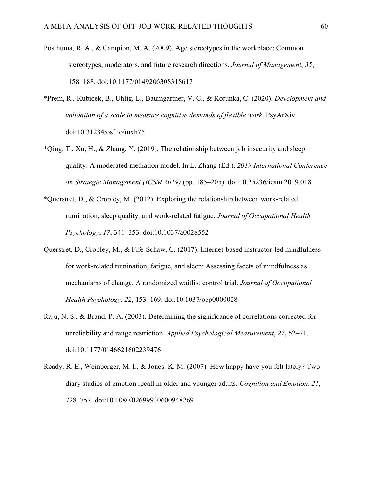- Posthuma, R. A., & Campion, M. A. (2009). Age stereotypes in the workplace: Common stereotypes, moderators, and future research directions. *Journal of Management*, *35*, 158–188. doi:10.1177/0149206308318617
- \*Prem, R., Kubicek, B., Uhlig, L., Baumgartner, V. C., & Korunka, C. (2020). *Development and validation of a scale to measure cognitive demands of flexible work*. PsyArXiv. doi:10.31234/osf.io/mxh75
- \*Qing, T., Xu, H., & Zhang, Y. (2019). The relationship between job insecurity and sleep quality: A moderated mediation model. In L. Zhang (Ed.), *2019 International Conference on Strategic Management (ICSM 2019)* (pp. 185–205). doi:10.25236/icsm.2019.018
- \*Querstret, D., & Cropley, M. (2012). Exploring the relationship between work-related rumination, sleep quality, and work-related fatigue. *Journal of Occupational Health Psychology*, *17*, 341–353. doi:10.1037/a0028552
- Querstret, D., Cropley, M., & Fife-Schaw, C. (2017). Internet-based instructor-led mindfulness for work-related rumination, fatigue, and sleep: Assessing facets of mindfulness as mechanisms of change. A randomized waitlist control trial. *Journal of Occupational Health Psychology*, *22*, 153–169. doi:10.1037/ocp0000028
- Raju, N. S., & Brand, P. A. (2003). Determining the significance of correlations corrected for unreliability and range restriction. *Applied Psychological Measurement*, *27*, 52–71. doi:10.1177/0146621602239476
- Ready, R. E., Weinberger, M. I., & Jones, K. M. (2007). How happy have you felt lately? Two diary studies of emotion recall in older and younger adults. *Cognition and Emotion*, *21*, 728–757. doi:10.1080/02699930600948269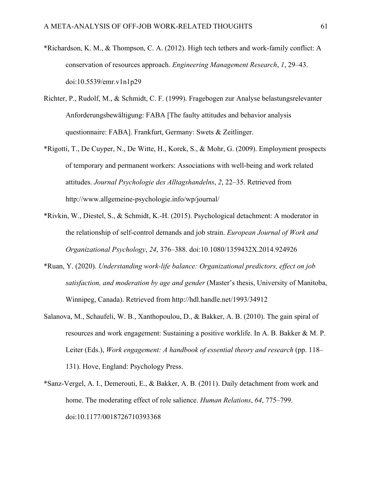- \*Richardson, K. M., & Thompson, C. A. (2012). High tech tethers and work-family conflict: A conservation of resources approach. *Engineering Management Research*, *1*, 29–43. doi:10.5539/emr.v1n1p29
- Richter, P., Rudolf, M., & Schmidt, C. F. (1999). Fragebogen zur Analyse belastungsrelevanter Anforderungsbewältigung: FABA [The faulty attitudes and behavior analysis questionnaire: FABA]. Frankfurt, Germany: Swets & Zeitlinger.
- \*Rigotti, T., De Cuyper, N., De Witte, H., Korek, S., & Mohr, G. (2009). Employment prospects of temporary and permanent workers: Associations with well-being and work related attitudes. *Journal Psychologie des Alltagshandelns*, *2*, 22–35. Retrieved from http://www.allgemeine-psychologie.info/wp/journal/
- \*Rivkin, W., Diestel, S., & Schmidt, K.-H. (2015). Psychological detachment: A moderator in the relationship of self-control demands and job strain. *European Journal of Work and Organizational Psychology*, *24*, 376–388. doi:10.1080/1359432X.2014.924926
- \*Ruan, Y. (2020). *Understanding work-life balance: Organizational predictors, effect on job satisfaction, and moderation by age and gender* (Master's thesis, University of Manitoba, Winnipeg, Canada). Retrieved from http://hdl.handle.net/1993/34912
- Salanova, M., Schaufeli, W. B., Xanthopoulou, D., & Bakker, A. B. (2010). The gain spiral of resources and work engagement: Sustaining a positive worklife. In A. B. Bakker & M. P. Leiter (Eds.), *Work engagement: A handbook of essential theory and research* (pp. 118– 131). Hove, England: Psychology Press.
- \*Sanz-Vergel, A. I., Demerouti, E., & Bakker, A. B. (2011). Daily detachment from work and home. The moderating effect of role salience. *Human Relations*, *64*, 775–799. doi:10.1177/0018726710393368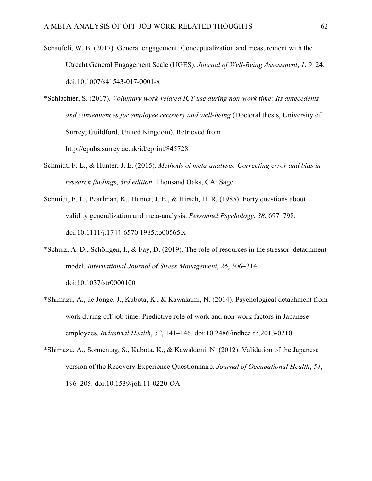- Schaufeli, W. B. (2017). General engagement: Conceptualization and measurement with the Utrecht General Engagement Scale (UGES). *Journal of Well-Being Assessment*, *1*, 9–24. doi:10.1007/s41543-017-0001-x
- \*Schlachter, S. (2017). *Voluntary work-related ICT use during non-work time: Its antecedents and consequences for employee recovery and well-being* (Doctoral thesis, University of Surrey, Guildford, United Kingdom). Retrieved from http://epubs.surrey.ac.uk/id/eprint/845728
- Schmidt, F. L., & Hunter, J. E. (2015). *Methods of meta-analysis: Correcting error and bias in research findings*, *3rd edition*. Thousand Oaks, CA: Sage.
- Schmidt, F. L., Pearlman, K., Hunter, J. E., & Hirsch, H. R. (1985). Forty questions about validity generalization and meta-analysis. *Personnel Psychology*, *38*, 697–798. doi:10.1111/j.1744-6570.1985.tb00565.x
- \*Schulz, A. D., Schöllgen, I., & Fay, D. (2019). The role of resources in the stressor–detachment model. *International Journal of Stress Management*, *26*, 306–314. doi:10.1037/str0000100
- \*Shimazu, A., de Jonge, J., Kubota, K., & Kawakami, N. (2014). Psychological detachment from work during off-job time: Predictive role of work and non-work factors in Japanese employees. *Industrial Health*, *52*, 141–146. doi:10.2486/indhealth.2013-0210
- \*Shimazu, A., Sonnentag, S., Kubota, K., & Kawakami, N. (2012). Validation of the Japanese version of the Recovery Experience Questionnaire. *Journal of Occupational Health*, *54*, 196–205. doi:10.1539/joh.11-0220-OA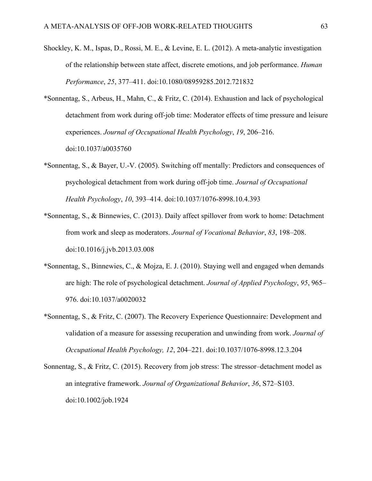- Shockley, K. M., Ispas, D., Rossi, M. E., & Levine, E. L. (2012). A meta-analytic investigation of the relationship between state affect, discrete emotions, and job performance. *Human Performance*, *25*, 377–411. doi:10.1080/08959285.2012.721832
- \*Sonnentag, S., Arbeus, H., Mahn, C., & Fritz, C. (2014). Exhaustion and lack of psychological detachment from work during off-job time: Moderator effects of time pressure and leisure experiences. *Journal of Occupational Health Psychology*, *19*, 206–216. doi:10.1037/a0035760
- \*Sonnentag, S., & Bayer, U.-V. (2005). Switching off mentally: Predictors and consequences of psychological detachment from work during off-job time. *Journal of Occupational Health Psychology*, *10*, 393–414. doi:10.1037/1076-8998.10.4.393
- \*Sonnentag, S., & Binnewies, C. (2013). Daily affect spillover from work to home: Detachment from work and sleep as moderators. *Journal of Vocational Behavior*, *83*, 198–208. doi:10.1016/j.jvb.2013.03.008
- \*Sonnentag, S., Binnewies, C., & Mojza, E. J. (2010). Staying well and engaged when demands are high: The role of psychological detachment. *Journal of Applied Psychology*, *95*, 965– 976. doi:10.1037/a0020032
- \*Sonnentag, S., & Fritz, C. (2007). The Recovery Experience Questionnaire: Development and validation of a measure for assessing recuperation and unwinding from work. *Journal of Occupational Health Psychology, 12*, 204–221. doi:10.1037/1076-8998.12.3.204
- Sonnentag, S., & Fritz, C. (2015). Recovery from job stress: The stressor–detachment model as an integrative framework. *Journal of Organizational Behavior*, *36*, S72–S103. doi:10.1002/job.1924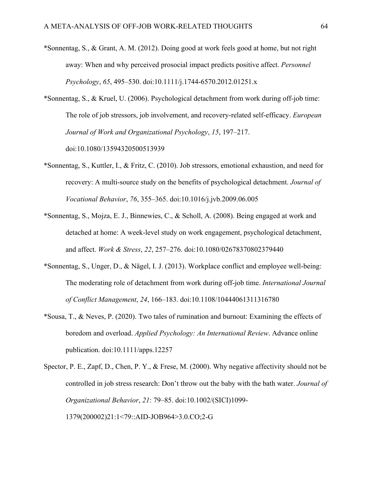- \*Sonnentag, S., & Grant, A. M. (2012). Doing good at work feels good at home, but not right away: When and why perceived prosocial impact predicts positive affect. *Personnel Psychology*, *65*, 495–530. doi:10.1111/j.1744-6570.2012.01251.x
- \*Sonnentag, S., & Kruel, U. (2006). Psychological detachment from work during off-job time: The role of job stressors, job involvement, and recovery-related self-efficacy. *European Journal of Work and Organizational Psychology*, *15*, 197–217. doi:10.1080/13594320500513939
- \*Sonnentag, S., Kuttler, I., & Fritz, C. (2010). Job stressors, emotional exhaustion, and need for recovery: A multi-source study on the benefits of psychological detachment. *Journal of Vocational Behavior*, *76*, 355–365. doi:10.1016/j.jvb.2009.06.005
- \*Sonnentag, S., Mojza, E. J., Binnewies, C., & Scholl, A. (2008). Being engaged at work and detached at home: A week-level study on work engagement, psychological detachment, and affect. *Work & Stress*, *22*, 257–276. doi:10.1080/02678370802379440
- \*Sonnentag, S., Unger, D., & Nägel, I. J. (2013). Workplace conflict and employee well-being: The moderating role of detachment from work during off-job time. *International Journal of Conflict Management*, *24*, 166–183. doi:10.1108/10444061311316780
- \*Sousa, T., & Neves, P. (2020). Two tales of rumination and burnout: Examining the effects of boredom and overload. *Applied Psychology: An International Review*. Advance online publication. doi:10.1111/apps.12257
- Spector, P. E., Zapf, D., Chen, P. Y., & Frese, M. (2000). Why negative affectivity should not be controlled in job stress research: Don't throw out the baby with the bath water. *Journal of Organizational Behavior*, *21*: 79–85. doi:10.1002/(SICI)1099- 1379(200002)21:1<79::AID-JOB964>3.0.CO;2-G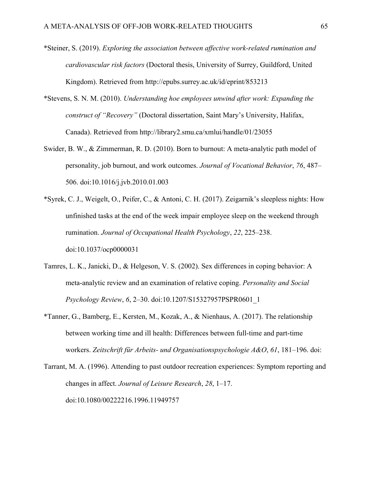- \*Steiner, S. (2019). *Exploring the association between affective work-related rumination and cardiovascular risk factors* (Doctoral thesis, University of Surrey, Guildford, United Kingdom). Retrieved from http://epubs.surrey.ac.uk/id/eprint/853213
- \*Stevens, S. N. M. (2010). *Understanding hoe employees unwind after work: Expanding the construct of "Recovery"* (Doctoral dissertation, Saint Mary's University, Halifax, Canada). Retrieved from http://library2.smu.ca/xmlui/handle/01/23055
- Swider, B. W., & Zimmerman, R. D. (2010). Born to burnout: A meta-analytic path model of personality, job burnout, and work outcomes. *Journal of Vocational Behavior*, *76*, 487– 506. doi:10.1016/j.jvb.2010.01.003
- \*Syrek, C. J., Weigelt, O., Peifer, C., & Antoni, C. H. (2017). Zeigarnik's sleepless nights: How unfinished tasks at the end of the week impair employee sleep on the weekend through rumination. *Journal of Occupational Health Psychology*, *22*, 225–238. doi:10.1037/ocp0000031
- Tamres, L. K., Janicki, D., & Helgeson, V. S. (2002). Sex differences in coping behavior: A meta-analytic review and an examination of relative coping. *Personality and Social Psychology Review*, *6*, 2–30. doi:10.1207/S15327957PSPR0601\_1
- \*Tanner, G., Bamberg, E., Kersten, M., Kozak, A., & Nienhaus, A. (2017). The relationship between working time and ill health: Differences between full-time and part-time workers. *Zeitschrift für Arbeits- und Organisationspsychologie A&O*, *61*, 181–196. doi:
- Tarrant, M. A. (1996). Attending to past outdoor recreation experiences: Symptom reporting and changes in affect. *Journal of Leisure Research*, *28*, 1–17. doi:10.1080/00222216.1996.11949757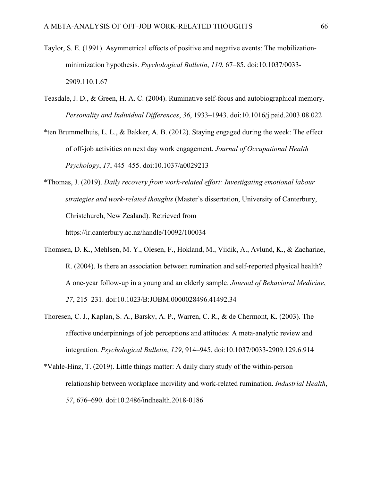- Taylor, S. E. (1991). Asymmetrical effects of positive and negative events: The mobilizationminimization hypothesis. *Psychological Bulletin*, *110*, 67–85. doi:10.1037/0033- 2909.110.1.67
- Teasdale, J. D., & Green, H. A. C. (2004). Ruminative self-focus and autobiographical memory. *Personality and Individual Differences*, *36*, 1933–1943. doi:10.1016/j.paid.2003.08.022
- \*ten Brummelhuis, L. L., & Bakker, A. B. (2012). Staying engaged during the week: The effect of off-job activities on next day work engagement. *Journal of Occupational Health Psychology*, *17*, 445–455. doi:10.1037/a0029213
- \*Thomas, J. (2019). *Daily recovery from work-related effort: Investigating emotional labour strategies and work-related thoughts* (Master's dissertation, University of Canterbury, Christchurch, New Zealand). Retrieved from https://ir.canterbury.ac.nz/handle/10092/100034
- Thomsen, D. K., Mehlsen, M. Y., Olesen, F., Hokland, M., Viidik, A., Avlund, K., & Zachariae, R. (2004). Is there an association between rumination and self-reported physical health? A one-year follow-up in a young and an elderly sample. *Journal of Behavioral Medicine*, *27*, 215–231. doi:10.1023/B:JOBM.0000028496.41492.34
- Thoresen, C. J., Kaplan, S. A., Barsky, A. P., Warren, C. R., & de Chermont, K. (2003). The affective underpinnings of job perceptions and attitudes: A meta-analytic review and integration. *Psychological Bulletin*, *129*, 914–945. doi:10.1037/0033-2909.129.6.914
- \*Vahle-Hinz, T. (2019). Little things matter: A daily diary study of the within-person relationship between workplace incivility and work-related rumination. *Industrial Health*, *57*, 676–690. doi:10.2486/indhealth.2018-0186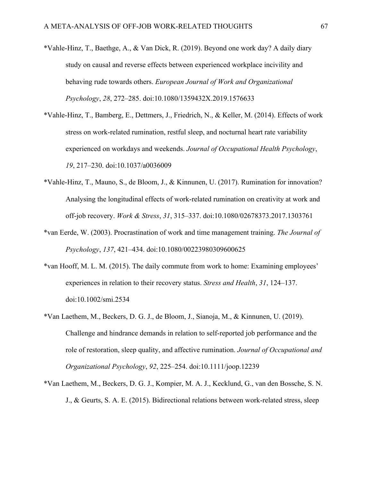- \*Vahle-Hinz, T., Baethge, A., & Van Dick, R. (2019). Beyond one work day? A daily diary study on causal and reverse effects between experienced workplace incivility and behaving rude towards others. *European Journal of Work and Organizational Psychology*, *28*, 272–285. doi:10.1080/1359432X.2019.1576633
- \*Vahle-Hinz, T., Bamberg, E., Dettmers, J., Friedrich, N., & Keller, M. (2014). Effects of work stress on work-related rumination, restful sleep, and nocturnal heart rate variability experienced on workdays and weekends. *Journal of Occupational Health Psychology*, *19*, 217–230. doi:10.1037/a0036009
- \*Vahle-Hinz, T., Mauno, S., de Bloom, J., & Kinnunen, U. (2017). Rumination for innovation? Analysing the longitudinal effects of work-related rumination on creativity at work and off-job recovery. *Work & Stress*, *31*, 315–337. doi:10.1080/02678373.2017.1303761
- \*van Eerde, W. (2003). Procrastination of work and time management training. *The Journal of Psychology*, *137*, 421–434. doi:10.1080/00223980309600625
- \*van Hooff, M. L. M. (2015). The daily commute from work to home: Examining employees' experiences in relation to their recovery status. *Stress and Health*, *31*, 124–137. doi:10.1002/smi.2534
- \*Van Laethem, M., Beckers, D. G. J., de Bloom, J., Sianoja, M., & Kinnunen, U. (2019). Challenge and hindrance demands in relation to self-reported job performance and the role of restoration, sleep quality, and affective rumination. *Journal of Occupational and Organizational Psychology*, *92*, 225–254. doi:10.1111/joop.12239
- \*Van Laethem, M., Beckers, D. G. J., Kompier, M. A. J., Kecklund, G., van den Bossche, S. N. J., & Geurts, S. A. E. (2015). Bidirectional relations between work-related stress, sleep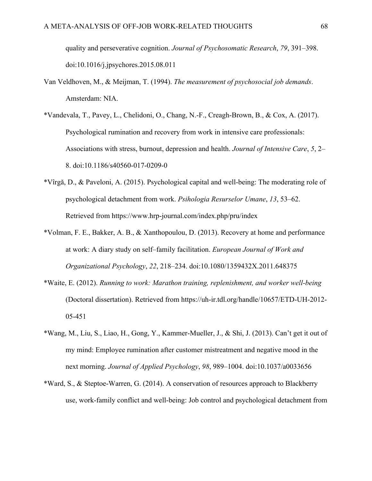quality and perseverative cognition. *Journal of Psychosomatic Research*, *79*, 391–398. doi:10.1016/j.jpsychores.2015.08.011

- Van Veldhoven, M., & Meijman, T. (1994). *The measurement of psychosocial job demands*. Amsterdam: NIA.
- \*Vandevala, T., Pavey, L., Chelidoni, O., Chang, N.-F., Creagh-Brown, B., & Cox, A. (2017). Psychological rumination and recovery from work in intensive care professionals: Associations with stress, burnout, depression and health. *Journal of Intensive Care*, *5*, 2– 8. doi:10.1186/s40560-017-0209-0
- \*Vîrgă, D., & Paveloni, A. (2015). Psychological capital and well-being: The moderating role of psychological detachment from work. *Psihologia Resurselor Umane*, *13*, 53–62. Retrieved from https://www.hrp-journal.com/index.php/pru/index
- \*Volman, F. E., Bakker, A. B., & Xanthopoulou, D. (2013). Recovery at home and performance at work: A diary study on self–family facilitation. *European Journal of Work and Organizational Psychology*, *22*, 218–234. doi:10.1080/1359432X.2011.648375
- \*Waite, E. (2012). *Running to work: Marathon training, replenishment, and worker well-being* (Doctoral dissertation). Retrieved from https://uh-ir.tdl.org/handle/10657/ETD-UH-2012- 05-451
- \*Wang, M., Liu, S., Liao, H., Gong, Y., Kammer-Mueller, J., & Shi, J. (2013). Can't get it out of my mind: Employee rumination after customer mistreatment and negative mood in the next morning. *Journal of Applied Psychology*, *98*, 989–1004. doi:10.1037/a0033656
- \*Ward, S., & Steptoe-Warren, G. (2014). A conservation of resources approach to Blackberry use, work-family conflict and well-being: Job control and psychological detachment from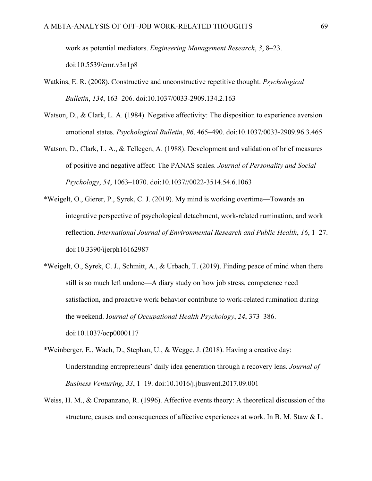work as potential mediators. *Engineering Management Research*, *3*, 8–23. doi:10.5539/emr.v3n1p8

- Watkins, E. R. (2008). Constructive and unconstructive repetitive thought. *Psychological Bulletin*, *134*, 163–206. doi:10.1037/0033-2909.134.2.163
- Watson, D., & Clark, L. A. (1984). Negative affectivity: The disposition to experience aversion emotional states. *Psychological Bulletin*, *96*, 465–490. doi:10.1037/0033-2909.96.3.465
- Watson, D., Clark, L. A., & Tellegen, A. (1988). Development and validation of brief measures of positive and negative affect: The PANAS scales. *Journal of Personality and Social Psychology*, *54*, 1063–1070. doi:10.1037//0022-3514.54.6.1063
- \*Weigelt, O., Gierer, P., Syrek, C. J. (2019). My mind is working overtime—Towards an integrative perspective of psychological detachment, work-related rumination, and work reflection. *International Journal of Environmental Research and Public Health*, *16*, 1–27. doi:10.3390/ijerph16162987
- \*Weigelt, O., Syrek, C. J., Schmitt, A., & Urbach, T. (2019). Finding peace of mind when there still is so much left undone—A diary study on how job stress, competence need satisfaction, and proactive work behavior contribute to work-related rumination during the weekend. J*ournal of Occupational Health Psychology*, *24*, 373–386. doi:10.1037/ocp0000117
- \*Weinberger, E., Wach, D., Stephan, U., & Wegge, J. (2018). Having a creative day: Understanding entrepreneurs' daily idea generation through a recovery lens. *Journal of Business Venturing*, *33*, 1–19. doi:10.1016/j.jbusvent.2017.09.001
- Weiss, H. M., & Cropanzano, R. (1996). Affective events theory: A theoretical discussion of the structure, causes and consequences of affective experiences at work. In B. M. Staw & L.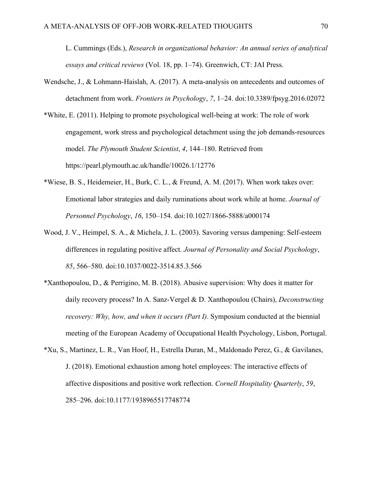L. Cummings (Eds.), *Research in organizational behavior: An annual series of analytical essays and critical reviews* (Vol. 18, pp. 1–74). Greenwich, CT: JAI Press.

- Wendsche, J., & Lohmann-Haislah, A. (2017). A meta-analysis on antecedents and outcomes of detachment from work. *Frontiers in Psychology*, *7*, 1–24. doi:10.3389/fpsyg.2016.02072
- \*White, E. (2011). Helping to promote psychological well-being at work: The role of work engagement, work stress and psychological detachment using the job demands-resources model. *The Plymouth Student Scientist*, *4*, 144–180. Retrieved from https://pearl.plymouth.ac.uk/handle/10026.1/12776
- \*Wiese, B. S., Heidemeier, H., Burk, C. L., & Freund, A. M. (2017). When work takes over: Emotional labor strategies and daily ruminations about work while at home. *Journal of Personnel Psychology*, *16*, 150–154. doi:10.1027/1866-5888/a000174
- Wood, J. V., Heimpel, S. A., & Michela, J. L. (2003). Savoring versus dampening: Self-esteem differences in regulating positive affect. *Journal of Personality and Social Psychology*, *85*, 566–580. doi:10.1037/0022-3514.85.3.566
- \*Xanthopoulou, D., & Perrigino, M. B. (2018). Abusive supervision: Why does it matter for daily recovery process? In A. Sanz-Vergel & D. Xanthopoulou (Chairs), *Deconstructing recovery: Why, how, and when it occurs (Part I)*. Symposium conducted at the biennial meeting of the European Academy of Occupational Health Psychology, Lisbon, Portugal.
- \*Xu, S., Martinez, L. R., Van Hoof, H., Estrella Duran, M., Maldonado Perez, G., & Gavilanes, J. (2018). Emotional exhaustion among hotel employees: The interactive effects of affective dispositions and positive work reflection. *Cornell Hospitality Quarterly*, *59*, 285–296. doi:10.1177/1938965517748774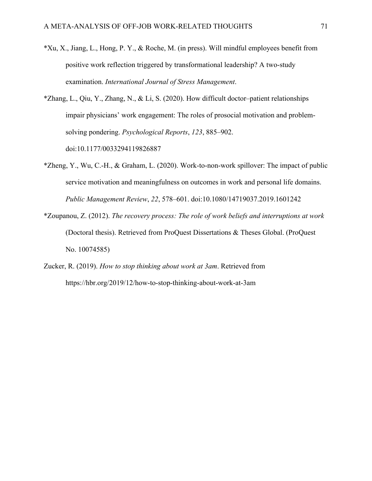- \*Xu, X., Jiang, L., Hong, P. Y., & Roche, M. (in press). Will mindful employees benefit from positive work reflection triggered by transformational leadership? A two-study examination. *International Journal of Stress Management*.
- \*Zhang, L., Qiu, Y., Zhang, N., & Li, S. (2020). How difficult doctor–patient relationships impair physicians' work engagement: The roles of prosocial motivation and problemsolving pondering. *Psychological Reports*, *123*, 885–902. doi:10.1177/0033294119826887
- \*Zheng, Y., Wu, C.-H., & Graham, L. (2020). Work-to-non-work spillover: The impact of public service motivation and meaningfulness on outcomes in work and personal life domains. *Public Management Review*, *22*, 578–601. doi:10.1080/14719037.2019.1601242
- \*Zoupanou, Z. (2012). *The recovery process: The role of work beliefs and interruptions at work* (Doctoral thesis). Retrieved from ProQuest Dissertations & Theses Global. (ProQuest No. 10074585)
- Zucker, R. (2019). *How to stop thinking about work at 3am*. Retrieved from https://hbr.org/2019/12/how-to-stop-thinking-about-work-at-3am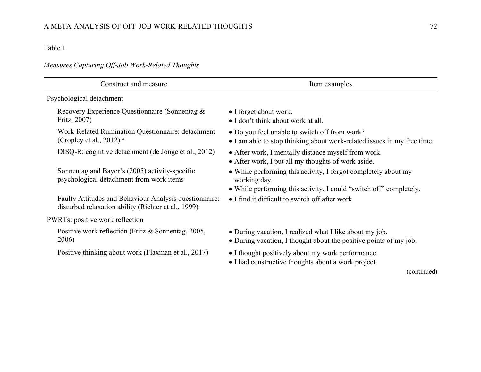# *Measures Capturing Off-Job Work-Related Thoughts*

| Construct and measure                                                                                         | Item examples                                                                                                                |
|---------------------------------------------------------------------------------------------------------------|------------------------------------------------------------------------------------------------------------------------------|
| Psychological detachment                                                                                      |                                                                                                                              |
| Recovery Experience Questionnaire (Sonnentag &<br>Fritz, 2007)                                                | • I forget about work.<br>• I don't think about work at all.                                                                 |
| Work-Related Rumination Questionnaire: detachment<br>(Cropley et al., 2012) $^{\rm a}$                        | • Do you feel unable to switch off from work?<br>• I am able to stop thinking about work-related issues in my free time.     |
| DISQ-R: cognitive detachment (de Jonge et al., 2012)                                                          | • After work, I mentally distance myself from work.<br>• After work, I put all my thoughts of work aside.                    |
| Sonnentag and Bayer's (2005) activity-specific<br>psychological detachment from work items                    | • While performing this activity, I forgot completely about my<br>working day.                                               |
|                                                                                                               | • While performing this activity, I could "switch off" completely.                                                           |
| Faulty Attitudes and Behaviour Analysis questionnaire:<br>disturbed relaxation ability (Richter et al., 1999) | • I find it difficult to switch off after work.                                                                              |
| PWRTs: positive work reflection                                                                               |                                                                                                                              |
| Positive work reflection (Fritz & Sonnentag, 2005,<br>2006)                                                   | • During vacation, I realized what I like about my job.<br>• During vacation, I thought about the positive points of my job. |
| Positive thinking about work (Flaxman et al., 2017)                                                           | • I thought positively about my work performance.<br>• I had constructive thoughts about a work project.                     |
|                                                                                                               | (continued)                                                                                                                  |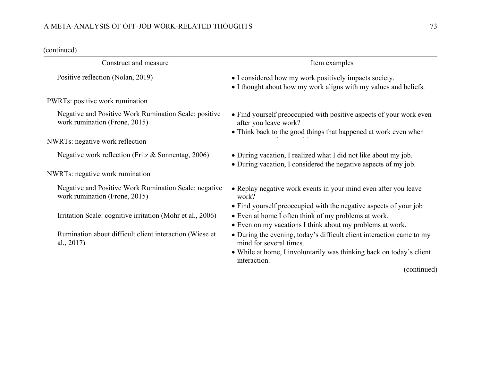## A META-ANALYSIS OF OFF-JOB WORK-RELATED THOUGHTS 73

| Construct and measure                                                                  | Item examples                                                                                                                      |
|----------------------------------------------------------------------------------------|------------------------------------------------------------------------------------------------------------------------------------|
| Positive reflection (Nolan, 2019)                                                      | • I considered how my work positively impacts society.<br>• I thought about how my work aligns with my values and beliefs.         |
| PWRTs: positive work rumination                                                        |                                                                                                                                    |
| Negative and Positive Work Rumination Scale: positive<br>work rumination (Frone, 2015) | • Find yourself preoccupied with positive aspects of your work even<br>after you leave work?                                       |
| NWRTs: negative work reflection                                                        | • Think back to the good things that happened at work even when                                                                    |
|                                                                                        |                                                                                                                                    |
| Negative work reflection (Fritz & Sonnentag, 2006)                                     | • During vacation, I realized what I did not like about my job.<br>• During vacation, I considered the negative aspects of my job. |
| NWRTs: negative work rumination                                                        |                                                                                                                                    |
| Negative and Positive Work Rumination Scale: negative<br>work rumination (Frone, 2015) | • Replay negative work events in your mind even after you leave<br>work?                                                           |
|                                                                                        | • Find yourself preoccupied with the negative aspects of your job                                                                  |
| Irritation Scale: cognitive irritation (Mohr et al., 2006)                             | • Even at home I often think of my problems at work.                                                                               |
|                                                                                        | • Even on my vacations I think about my problems at work.                                                                          |
| Rumination about difficult client interaction (Wiese et<br>al., $2017$ )               | • During the evening, today's difficult client interaction came to my<br>mind for several times.                                   |
|                                                                                        | • While at home, I involuntarily was thinking back on today's client<br>interaction.                                               |
|                                                                                        | (continued)                                                                                                                        |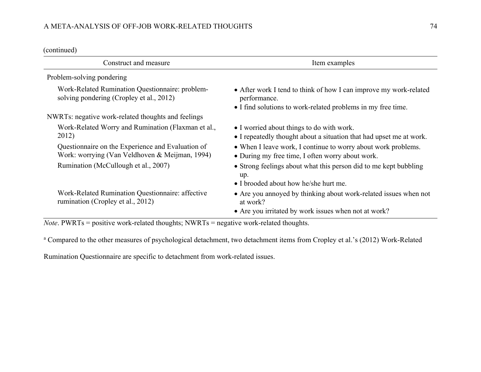| Construct and measure                                                                               | Item examples                                                                                                                                     |
|-----------------------------------------------------------------------------------------------------|---------------------------------------------------------------------------------------------------------------------------------------------------|
| Problem-solving pondering                                                                           |                                                                                                                                                   |
| Work-Related Rumination Questionnaire: problem-<br>solving pondering (Cropley et al., 2012)         | • After work I tend to think of how I can improve my work-related<br>performance.<br>• I find solutions to work-related problems in my free time. |
| NWRTs: negative work-related thoughts and feelings                                                  |                                                                                                                                                   |
| Work-Related Worry and Rumination (Flaxman et al.,<br>2012)                                         | • I worried about things to do with work.<br>• I repeatedly thought about a situation that had upset me at work.                                  |
| Questionnaire on the Experience and Evaluation of<br>Work: worrying (Van Veldhoven & Meijman, 1994) | • When I leave work, I continue to worry about work problems.<br>• During my free time, I often worry about work.                                 |
| Rumination (McCullough et al., 2007)                                                                | • Strong feelings about what this person did to me kept bubbling<br>up.<br>• I brooded about how he/she hurt me.                                  |
| Work-Related Rumination Questionnaire: affective<br>rumination (Cropley et al., 2012)               | • Are you annoyed by thinking about work-related issues when not<br>at work?<br>• Are you irritated by work issues when not at work?              |

*Note*. PWRTs = positive work-related thoughts; NWRTs = negative work-related thoughts.

a Compared to the other measures of psychological detachment, two detachment items from Cropley et al.'s (2012) Work-Related

Rumination Questionnaire are specific to detachment from work-related issues.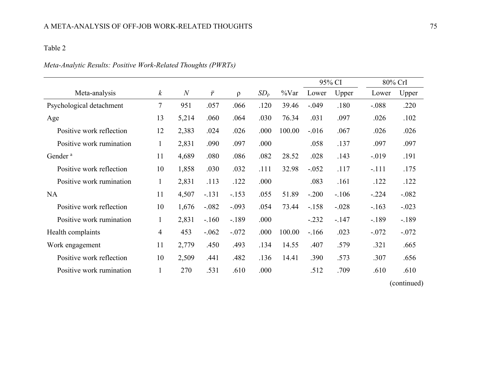# *Meta-Analytic Results: Positive Work-Related Thoughts (PWRTs)*

|                          |                  |                |           |          |             |          | 95% CI  |         | 80% CrI  |         |
|--------------------------|------------------|----------------|-----------|----------|-------------|----------|---------|---------|----------|---------|
| Meta-analysis            | $\boldsymbol{k}$ | $\overline{N}$ | $\bar{r}$ | $\Omega$ | $SD_{\rho}$ | $\%$ Var | Lower   | Upper   | Lower    | Upper   |
| Psychological detachment | 7                | 951            | .057      | .066     | .120        | 39.46    | $-.049$ | .180    | $-.088$  | .220    |
| Age                      | 13               | 5,214          | .060      | .064     | .030        | 76.34    | .031    | .097    | .026     | .102    |
| Positive work reflection | 12               | 2,383          | .024      | .026     | .000        | 100.00   | $-.016$ | .067    | .026     | .026    |
| Positive work rumination | $\mathbf{1}$     | 2,831          | .090      | .097     | .000        |          | .058    | .137    | .097     | .097    |
| Gender <sup>a</sup>      | 11               | 4,689          | .080      | .086     | .082        | 28.52    | .028    | .143    | $-0.019$ | .191    |
| Positive work reflection | 10               | 1,858          | .030      | .032     | .111        | 32.98    | $-.052$ | .117    | $-.111$  | .175    |
| Positive work rumination | $\mathbf{1}$     | 2,831          | .113      | .122     | .000        |          | .083    | .161    | .122     | .122    |
| <b>NA</b>                | 11               | 4,507          | $-.131$   | $-.153$  | .055        | 51.89    | $-.200$ | $-.106$ | $-.224$  | $-.082$ |
| Positive work reflection | 10               | 1,676          | $-.082$   | $-.093$  | .054        | 73.44    | $-.158$ | $-.028$ | $-.163$  | $-.023$ |
| Positive work rumination | $\mathbf{1}$     | 2,831          | $-.160$   | $-.189$  | .000        |          | $-.232$ | $-.147$ | $-189$   | $-.189$ |
| Health complaints        | 4                | 453            | $-.062$   | $-.072$  | .000        | 100.00   | $-166$  | .023    | $-.072$  | $-.072$ |
| Work engagement          | 11               | 2,779          | .450      | .493     | .134        | 14.55    | .407    | .579    | .321     | .665    |
| Positive work reflection | 10               | 2,509          | .441      | .482     | .136        | 14.41    | .390    | .573    | .307     | .656    |
| Positive work rumination |                  | 270            | .531      | .610     | .000        |          | .512    | .709    | .610     | .610    |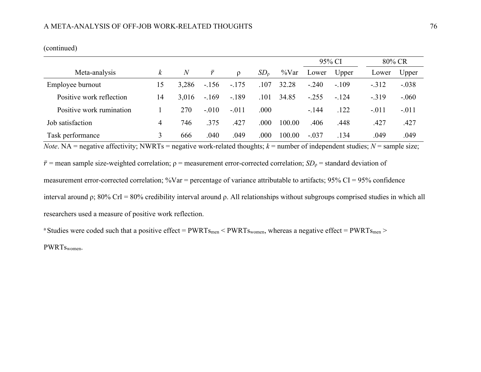|                          |          |                |           |         |                 |          | 95% CI  |         | 80% CR  |         |
|--------------------------|----------|----------------|-----------|---------|-----------------|----------|---------|---------|---------|---------|
| Meta-analysis            | $\kappa$ | $\overline{N}$ | $\bar{r}$ | ρ       | SD <sub>o</sub> | $\%$ Var | Lower   | Upper   | Lower   | Upper   |
| Employee burnout         | 15       | 3,286          | $-156$    | $-.175$ | .107            | 32.28    | $-.240$ | $-.109$ | $-.312$ | $-.038$ |
| Positive work reflection | 14       | 3,016          | $-.169$   | $-.189$ | .101            | 34.85    | $-.255$ | $-.124$ | $-.319$ | $-.060$ |
| Positive work rumination |          | 270            | $-.010$   | $-.011$ | .000            |          | $-.144$ | .122    | $-.011$ | $-.011$ |
| Job satisfaction         | 4        | 746            | .375      | .427    | .000            | 100.00   | .406    | .448    | .427    | .427    |
| Task performance         | 3        | 666            | .040      | .049    | .000            | 100.00   | $-.037$ | .134    | .049    | .049    |

*Note*. NA = negative affectivity; NWRTs = negative work-related thoughts;  $k$  = number of independent studies;  $N$  = sample size;

 $\bar{r}$  = mean sample size-weighted correlation;  $\rho$  = measurement error-corrected correlation; *SD<sub>p</sub>* = standard deviation of

measurement error-corrected correlation;  $\%$ Var = percentage of variance attributable to artifacts; 95% CI = 95% confidence

interval around ρ; 80% CrI = 80% credibility interval around ρ. All relationships without subgroups comprised studies in which all researchers used a measure of positive work reflection.

<sup>a</sup> Studies were coded such that a positive effect =  $PWRTs_{men}$  <  $PWRTs_{women}$ , whereas a negative effect =  $PWRTs_{men}$  >

PWRTswomen.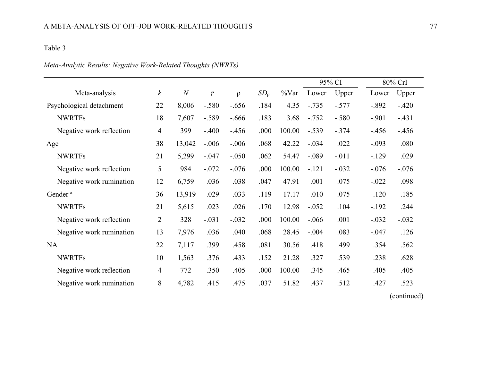# *Meta-Analytic Results: Negative Work-Related Thoughts (NWRTs)*

|                          |                  |                |           |         |             |          | 95% CI  |         |         | 80% CrI |
|--------------------------|------------------|----------------|-----------|---------|-------------|----------|---------|---------|---------|---------|
| Meta-analysis            | $\boldsymbol{k}$ | $\overline{N}$ | $\bar{r}$ | $\rho$  | $SD_{\rho}$ | $\%$ Var | Lower   | Upper   | Lower   | Upper   |
| Psychological detachment | 22               | 8,006          | $-.580$   | $-.656$ | .184        | 4.35     | $-.735$ | $-.577$ | $-.892$ | $-.420$ |
| <b>NWRTFs</b>            | 18               | 7,607          | $-.589$   | $-.666$ | .183        | 3.68     | $-.752$ | $-.580$ | $-.901$ | $-.431$ |
| Negative work reflection | 4                | 399            | $-.400$   | $-.456$ | .000        | 100.00   | $-.539$ | $-.374$ | $-456$  | $-.456$ |
| Age                      | 38               | 13,042         | $-.006$   | $-.006$ | .068        | 42.22    | $-.034$ | .022    | $-.093$ | .080    |
| <b>NWRTFs</b>            | 21               | 5,299          | $-.047$   | $-.050$ | .062        | 54.47    | $-.089$ | $-.011$ | $-.129$ | .029    |
| Negative work reflection | 5                | 984            | $-.072$   | $-.076$ | .000        | 100.00   | $-.121$ | $-.032$ | $-.076$ | $-.076$ |
| Negative work rumination | 12               | 6,759          | .036      | .038    | .047        | 47.91    | .001    | .075    | $-.022$ | .098    |
| Gender <sup>a</sup>      | 36               | 13,919         | .029      | .033    | .119        | 17.17    | $-.010$ | .075    | $-.120$ | .185    |
| <b>NWRTFs</b>            | 21               | 5,615          | .023      | .026    | .170        | 12.98    | $-.052$ | .104    | $-.192$ | .244    |
| Negative work reflection | $\overline{2}$   | 328            | $-.031$   | $-.032$ | .000        | 100.00   | $-.066$ | .001    | $-.032$ | $-.032$ |
| Negative work rumination | 13               | 7,976          | .036      | .040    | .068        | 28.45    | $-.004$ | .083    | $-.047$ | .126    |
| <b>NA</b>                | 22               | 7,117          | .399      | .458    | .081        | 30.56    | .418    | .499    | .354    | .562    |
| <b>NWRTFs</b>            | 10               | 1,563          | .376      | .433    | .152        | 21.28    | .327    | .539    | .238    | .628    |
| Negative work reflection | 4                | 772            | .350      | .405    | .000        | 100.00   | .345    | .465    | .405    | .405    |
| Negative work rumination | 8                | 4,782          | .415      | .475    | .037        | 51.82    | .437    | .512    | .427    | .523    |
|                          |                  |                |           |         |             |          |         |         |         |         |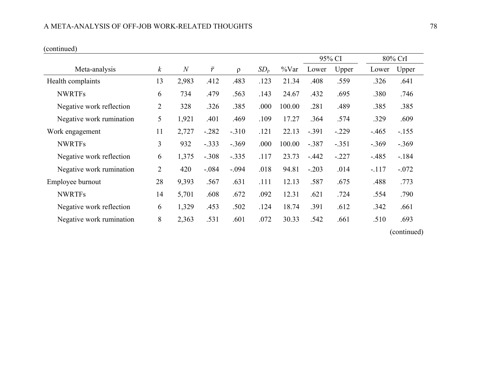### A META-ANALYSIS OF OFF-JOB WORK-RELATED THOUGHTS 78

|                          |                  |                |           |         |             |          | 95% CI  |         |         | 80% CrI     |
|--------------------------|------------------|----------------|-----------|---------|-------------|----------|---------|---------|---------|-------------|
| Meta-analysis            | $\boldsymbol{k}$ | $\overline{N}$ | $\bar{r}$ | ρ       | $SD_{\rho}$ | $\%$ Var | Lower   | Upper   | Lower   | Upper       |
| Health complaints        | 13               | 2,983          | .412      | .483    | .123        | 21.34    | .408    | .559    | .326    | .641        |
| <b>NWRTFs</b>            | 6                | 734            | .479      | .563    | .143        | 24.67    | .432    | .695    | .380    | .746        |
| Negative work reflection | $\overline{2}$   | 328            | .326      | .385    | .000        | 100.00   | .281    | .489    | .385    | .385        |
| Negative work rumination | 5                | 1,921          | .401      | .469    | .109        | 17.27    | .364    | .574    | .329    | .609        |
| Work engagement          | 11               | 2,727          | $-.282$   | $-.310$ | .121        | 22.13    | $-.391$ | $-.229$ | $-.465$ | $-.155$     |
| <b>NWRTFs</b>            | 3                | 932            | $-.333$   | $-.369$ | .000        | 100.00   | $-.387$ | $-.351$ | $-.369$ | $-.369$     |
| Negative work reflection | 6                | 1,375          | $-.308$   | $-.335$ | .117        | 23.73    | $-.442$ | $-.227$ | $-.485$ | $-184$      |
| Negative work rumination | $\overline{2}$   | 420            | $-.084$   | $-.094$ | .018        | 94.81    | $-.203$ | .014    | $-.117$ | $-.072$     |
| Employee burnout         | 28               | 9,393          | .567      | .631    | .111        | 12.13    | .587    | .675    | .488    | .773        |
| <b>NWRTFs</b>            | 14               | 5,701          | .608      | .672    | .092        | 12.31    | .621    | .724    | .554    | .790        |
| Negative work reflection | 6                | 1,329          | .453      | .502    | .124        | 18.74    | .391    | .612    | .342    | .661        |
| Negative work rumination | 8                | 2,363          | .531      | .601    | .072        | 30.33    | .542    | .661    | .510    | .693        |
|                          |                  |                |           |         |             |          |         |         |         | (continued) |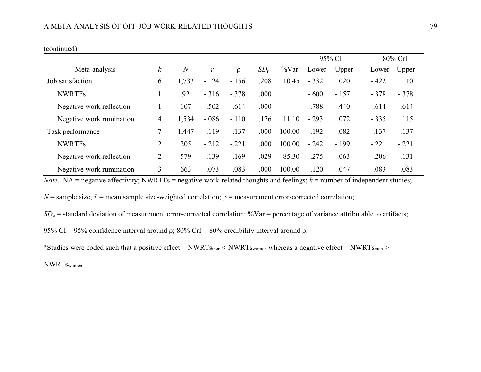|                          |                  |                |           |         |                 |          |         | 95% CI  |         | 80% CrI |
|--------------------------|------------------|----------------|-----------|---------|-----------------|----------|---------|---------|---------|---------|
| Meta-analysis            | $\boldsymbol{k}$ | $\overline{N}$ | $\bar{r}$ | $\rho$  | SD <sub>o</sub> | $\%$ Var | Lower   | Upper   | Lower   | Upper   |
| Job satisfaction         | 6                | 1,733          | $-.124$   | $-.156$ | .208            | 10.45    | $-.332$ | .020    | $-.422$ | .110    |
| <b>NWRTFs</b>            |                  | 92             | $-.316$   | $-.378$ | .000            |          | $-.600$ | $-.157$ | $-.378$ | $-.378$ |
| Negative work reflection |                  | 107            | $-.502$   | $-.614$ | .000            |          | $-.788$ | $-.440$ | $-.614$ | $-.614$ |
| Negative work rumination | 4                | 1,534          | $-.086$   | $-.110$ | .176            | 11.10    | $-.293$ | .072    | $-.335$ | .115    |
| Task performance         |                  | 1,447          | $-.119$   | $-.137$ | .000            | 100.00   | $-.192$ | $-.082$ | $-.137$ | $-.137$ |
| <b>NWRTFs</b>            | 2                | 205            | $-.212$   | $-.221$ | .000            | 100.00   | $-.242$ | $-.199$ | $-.221$ | $-.221$ |
| Negative work reflection | 2                | 579            | $-.139$   | $-.169$ | .029            | 85.30    | $-.275$ | $-.063$ | $-.206$ | $-.131$ |
| Negative work rumination | 3                | 663            | $-.073$   | $-.083$ | .000            | 100.00   | $-.120$ | $-.047$ | $-.083$ | $-.083$ |

*Note*. NA = negative affectivity; NWRTFs = negative work-related thoughts and feelings;  $k$  = number of independent studies;

*N* = sample size;  $\bar{r}$  = mean sample size-weighted correlation;  $\rho$  = measurement error-corrected correlation;

 $SD<sub>p</sub>$  = standard deviation of measurement error-corrected correlation; %Var = percentage of variance attributable to artifacts;

95% CI = 95% confidence interval around  $ρ$ ; 80% CrI = 80% credibility interval around  $ρ$ .

<sup>a</sup> Studies were coded such that a positive effect = NWRTs<sub>men</sub> < NWRTs<sub>women</sub> whereas a negative effect = NWRTs<sub>men</sub> >

NWRTswomen.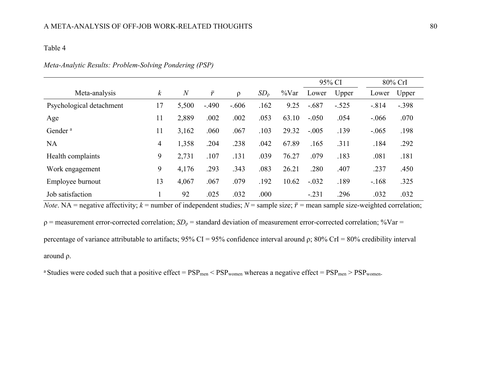|                          |                  |                |           |         |                 |          | 95% CI  |         |         | 80% CrI |
|--------------------------|------------------|----------------|-----------|---------|-----------------|----------|---------|---------|---------|---------|
| Meta-analysis            | $\boldsymbol{k}$ | $\overline{N}$ | $\bar{r}$ | ρ       | SD <sub>0</sub> | $\%$ Var | Lower   | Upper   | Lower   | Upper   |
| Psychological detachment | 17               | 5,500          | $-.490$   | $-.606$ | .162            | 9.25     | $-.687$ | $-.525$ | $-.814$ | $-.398$ |
| Age                      | 11               | 2,889          | .002      | .002    | .053            | 63.10    | $-.050$ | .054    | $-.066$ | .070    |
| Gender <sup>a</sup>      | 11               | 3,162          | .060      | .067    | .103            | 29.32    | $-.005$ | .139    | $-.065$ | .198    |
| <b>NA</b>                | 4                | 1,358          | .204      | .238    | .042            | 67.89    | .165    | .311    | .184    | .292    |
| Health complaints        | 9                | 2,731          | .107      | .131    | .039            | 76.27    | .079    | .183    | .081    | .181    |
| Work engagement          | 9                | 4,176          | .293      | .343    | .083            | 26.21    | .280    | .407    | .237    | .450    |
| Employee burnout         | 13               | 4,067          | .067      | .079    | .192            | 10.62    | $-.032$ | .189    | $-.168$ | .325    |
| Job satisfaction         |                  | 92             | .025      | .032    | .000            |          | $-.231$ | .296    | .032    | .032    |

#### *Meta-Analytic Results: Problem-Solving Pondering (PSP)*

*Note*. NA = negative affectivity;  $k$  = number of independent studies;  $N$  = sample size;  $\bar{r}$  = mean sample size-weighted correlation;

ρ = measurement error-corrected correlation; *SD*<sup>ρ</sup> = standard deviation of measurement error-corrected correlation; %Var = percentage of variance attributable to artifacts; 95% CI = 95% confidence interval around  $\rho$ ; 80% CrI = 80% credibility interval around ρ.

<sup>a</sup> Studies were coded such that a positive effect =  $PSP_{\text{men}}$  <  $PSP_{\text{women}}$  whereas a negative effect =  $PSP_{\text{men}}$  >  $PSP_{\text{women}}$ .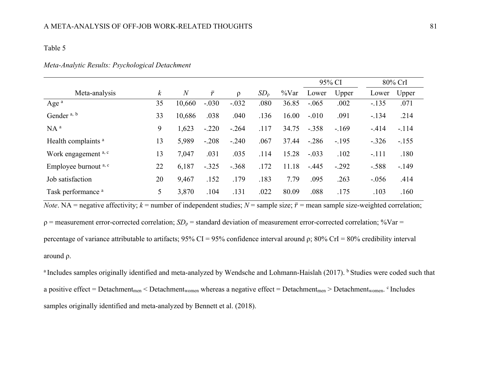#### *Meta-Analytic Results: Psychological Detachment*

|                                |                  |                |           |         |                 |          |         | 95% CI  |         | 80% CrI |
|--------------------------------|------------------|----------------|-----------|---------|-----------------|----------|---------|---------|---------|---------|
| Meta-analysis                  | $\boldsymbol{k}$ | $\overline{N}$ | $\bar{r}$ | $\rho$  | SD <sub>o</sub> | $\%$ Var | Lower   | Upper   | Lower   | Upper   |
| Age $a$                        | 35               | 10,660         | $-.030$   | $-.032$ | .080            | 36.85    | $-.065$ | .002    | $-.135$ | .071    |
| Gender <sup>a, b</sup>         | 33               | 10,686         | .038      | .040    | .136            | 16.00    | $-.010$ | .091    | $-.134$ | .214    |
| $NA^a$                         | 9                | 1,623          | $-.220$   | $-.264$ | .117            | 34.75    | $-.358$ | $-.169$ | $-.414$ | $-.114$ |
| Health complaints <sup>a</sup> | 13               | 5,989          | $-.208$   | $-.240$ | .067            | 37.44    | $-.286$ | $-.195$ | $-.326$ | $-.155$ |
| Work engagement a, c           | 13               | 7,047          | .031      | .035    | .114            | 15.28    | $-.033$ | .102    | $-.111$ | .180    |
| Employee burnout a, c          | 22               | 6,187          | $-.325$   | $-.368$ | .172            | 11.18    | $-.445$ | $-.292$ | $-.588$ | $-.149$ |
| Job satisfaction               | 20               | 9,467          | .152      | .179    | .183            | 7.79     | .095    | .263    | $-.056$ | .414    |
| Task performance <sup>a</sup>  | 5                | 3,870          | .104      | .131    | .022            | 80.09    | .088    | .175    | .103    | .160    |

*Note*. NA = negative affectivity;  $k$  = number of independent studies;  $N$  = sample size;  $\bar{r}$  = mean sample size-weighted correlation;

ρ = measurement error-corrected correlation; *SD*<sup>ρ</sup> = standard deviation of measurement error-corrected correlation; %Var = percentage of variance attributable to artifacts;  $95\%$  CI =  $95\%$  confidence interval around  $\rho$ ;  $80\%$  CrI =  $80\%$  credibility interval around ρ.

<sup>a</sup> Includes samples originally identified and meta-analyzed by Wendsche and Lohmann-Haislah (2017). <sup>b</sup> Studies were coded such that a positive effect = Detachment<sub>men</sub> < Detachment<sub>women</sub> whereas a negative effect = Detachment<sub>men</sub> > Detachment<sub>women</sub>. <sup>c</sup> Includes samples originally identified and meta-analyzed by Bennett et al. (2018).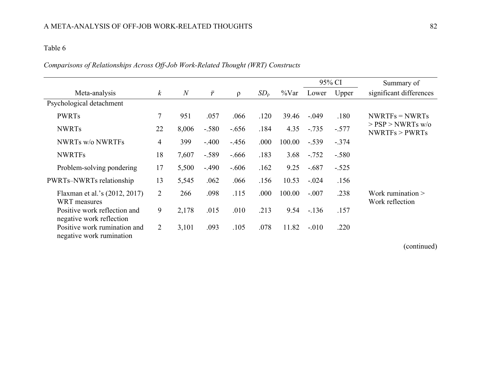# *Comparisons of Relationships Across Off-Job Work-Related Thought (WRT) Constructs*

|                                                          |                  |                |           |         |                 |          |         | 95% CI  | Summary of                              |
|----------------------------------------------------------|------------------|----------------|-----------|---------|-----------------|----------|---------|---------|-----------------------------------------|
| Meta-analysis                                            | $\boldsymbol{k}$ | $\overline{N}$ | $\bar{r}$ | $\rho$  | SD <sub>0</sub> | $\%$ Var | Lower   | Upper   | significant differences                 |
| Psychological detachment                                 |                  |                |           |         |                 |          |         |         |                                         |
| <b>PWRTs</b>                                             | $\overline{7}$   | 951            | .057      | .066    | .120            | 39.46    | $-.049$ | .180    | $NWRTFs = NWRTs$                        |
| <b>NWRTs</b>                                             | 22               | 8,006          | $-.580$   | $-.656$ | .184            | 4.35     | $-.735$ | $-.577$ | $>$ PSP $>$ NWRTs w/o<br>NWRTFs > PWRTs |
| <b>NWRTs w/o NWRTFs</b>                                  | 4                | 399            | $-.400$   | $-.456$ | .000            | 100.00   | $-.539$ | $-.374$ |                                         |
| <b>NWRTFs</b>                                            | 18               | 7,607          | $-.589$   | $-.666$ | .183            | 3.68     | $-.752$ | $-.580$ |                                         |
| Problem-solving pondering                                | 17               | 5,500          | $-.490$   | $-.606$ | .162            | 9.25     | $-.687$ | $-.525$ |                                         |
| <b>PWRTs-NWRTs relationship</b>                          | 13               | 5,545          | .062      | .066    | .156            | 10.53    | $-.024$ | .156    |                                         |
| Flaxman et al.'s (2012, 2017)<br><b>WRT</b> measures     | $\overline{2}$   | 266            | .098      | .115    | .000            | 100.00   | $-.007$ | .238    | Work rumination $>$<br>Work reflection  |
| Positive work reflection and<br>negative work reflection | 9                | 2,178          | .015      | .010    | .213            | 9.54     | $-.136$ | .157    |                                         |
| Positive work rumination and<br>negative work rumination | 2                | 3,101          | .093      | .105    | .078            | 11.82    | $-.010$ | .220    |                                         |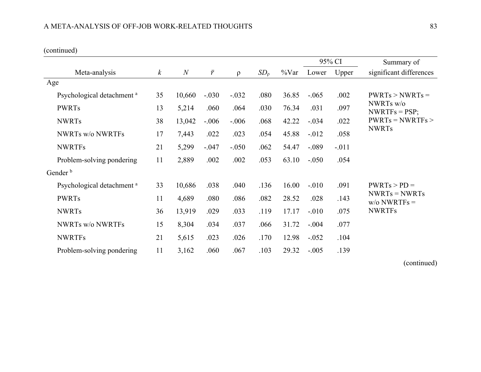|                                       |                  |                |           |         |                 |          |          | 95% CI  | Summary of                        |
|---------------------------------------|------------------|----------------|-----------|---------|-----------------|----------|----------|---------|-----------------------------------|
| Meta-analysis                         | $\boldsymbol{k}$ | $\overline{N}$ | $\bar{r}$ | $\rho$  | SD <sub>0</sub> | $\%$ Var | Lower    | Upper   | significant differences           |
| Age                                   |                  |                |           |         |                 |          |          |         |                                   |
| Psychological detachment <sup>a</sup> | 35               | 10,660         | $-.030$   | $-.032$ | .080            | 36.85    | $-.065$  | .002    | $PWRTs > NWRTs =$                 |
| <b>PWRTs</b>                          | 13               | 5,214          | .060      | .064    | .030            | 76.34    | .031     | .097    | NWRTs w/o<br>$NWRTFs = PSP;$      |
| <b>NWRTs</b>                          | 38               | 13,042         | $-.006$   | $-.006$ | .068            | 42.22    | $-.034$  | .022    | $PWRTs = NWRTFs$                  |
| <b>NWRTs w/o NWRTFs</b>               | 17               | 7,443          | .022      | .023    | .054            | 45.88    | $-0.012$ | .058    | <b>NWRTs</b>                      |
| <b>NWRTFs</b>                         | 21               | 5,299          | $-.047$   | $-.050$ | .062            | 54.47    | $-.089$  | $-.011$ |                                   |
| Problem-solving pondering             | 11               | 2,889          | .002      | .002    | .053            | 63.10    | $-.050$  | .054    |                                   |
| Gender <sup>b</sup>                   |                  |                |           |         |                 |          |          |         |                                   |
| Psychological detachment <sup>a</sup> | 33               | 10,686         | .038      | .040    | .136            | 16.00    | $-.010$  | .091    | $PWRTs > PD =$                    |
| <b>PWRTs</b>                          | 11               | 4,689          | .080      | .086    | .082            | 28.52    | .028     | .143    | $NWRTs = NWRTs$<br>$w/o NWRTFs =$ |
| <b>NWRTs</b>                          | 36               | 13,919         | .029      | .033    | .119            | 17.17    | $-.010$  | .075    | <b>NWRTFs</b>                     |
| <b>NWRTs w/o NWRTFs</b>               | 15               | 8,304          | .034      | .037    | .066            | 31.72    | $-.004$  | .077    |                                   |
| <b>NWRTFs</b>                         | 21               | 5,615          | .023      | .026    | .170            | 12.98    | $-.052$  | .104    |                                   |
| Problem-solving pondering             | 11               | 3,162          | .060      | .067    | .103            | 29.32    | $-.005$  | .139    |                                   |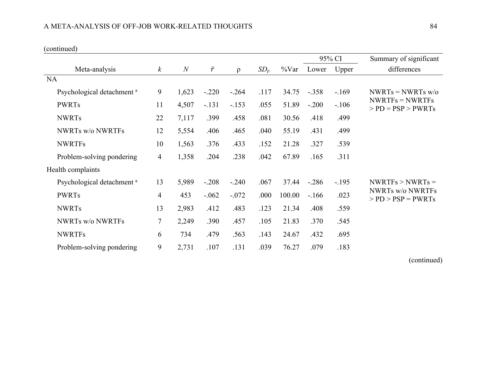|                                       |                  | $\mathcal N$ | $\bar{r}$ | $\rho$  | SD <sub>0</sub> | $\%$ Var | 95% CI  |         | Summary of significant                                             |
|---------------------------------------|------------------|--------------|-----------|---------|-----------------|----------|---------|---------|--------------------------------------------------------------------|
| Meta-analysis                         | $\boldsymbol{k}$ |              |           |         |                 |          | Lower   | Upper   | differences                                                        |
| NA                                    |                  |              |           |         |                 |          |         |         |                                                                    |
| Psychological detachment <sup>a</sup> | 9                | 1,623        | $-.220$   | $-.264$ | .117            | 34.75    | $-.358$ | $-169$  | $NWRTs = NWRTs$ w/o<br>$NWRTFs = NWRTFs$<br>$>$ PD = PSP $>$ PWRTs |
| <b>PWRTs</b>                          | 11               | 4,507        | $-.131$   | $-.153$ | .055            | 51.89    | $-.200$ | $-.106$ |                                                                    |
| <b>NWRTs</b>                          | 22               | 7,117        | .399      | .458    | .081            | 30.56    | .418    | .499    |                                                                    |
| <b>NWRTs w/o NWRTFs</b>               | 12               | 5,554        | .406      | .465    | .040            | 55.19    | .431    | .499    |                                                                    |
| <b>NWRTFs</b>                         | 10               | 1,563        | .376      | .433    | .152            | 21.28    | .327    | .539    |                                                                    |
| Problem-solving pondering             | $\overline{4}$   | 1,358        | .204      | .238    | .042            | 67.89    | .165    | .311    |                                                                    |
| Health complaints                     |                  |              |           |         |                 |          |         |         |                                                                    |
| Psychological detachment <sup>a</sup> | 13               | 5,989        | $-.208$   | $-.240$ | .067            | 37.44    | $-.286$ | $-.195$ | $NWRTFs > NWRTs =$                                                 |
| <b>PWRTs</b>                          | $\overline{4}$   | 453          | $-.062$   | $-.072$ | .000            | 100.00   | $-166$  | .023    | <b>NWRTs w/o NWRTFs</b><br>$>$ PD $>$ PSP = PWRTs                  |
| <b>NWRTs</b>                          | 13               | 2,983        | .412      | .483    | .123            | 21.34    | .408    | .559    |                                                                    |
| <b>NWRTs w/o NWRTFs</b>               | $\overline{7}$   | 2,249        | .390      | .457    | .105            | 21.83    | .370    | .545    |                                                                    |
| <b>NWRTFs</b>                         | 6                | 734          | .479      | .563    | .143            | 24.67    | .432    | .695    |                                                                    |
| Problem-solving pondering             | 9                | 2,731        | .107      | .131    | .039            | 76.27    | .079    | .183    |                                                                    |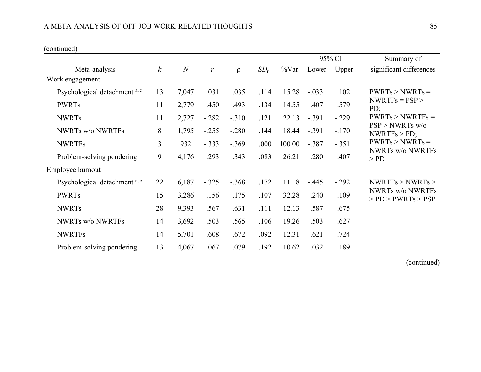|                               |                  |                |           |         |                 |          | 95% CI  |         | Summary of                                                                                  |
|-------------------------------|------------------|----------------|-----------|---------|-----------------|----------|---------|---------|---------------------------------------------------------------------------------------------|
| Meta-analysis                 | $\boldsymbol{k}$ | $\overline{N}$ | $\bar{r}$ | $\rho$  | SD <sub>0</sub> | $\%$ Var | Lower   | Upper   | significant differences                                                                     |
| Work engagement               |                  |                |           |         |                 |          |         |         |                                                                                             |
| Psychological detachment a, c | 13               | 7,047          | .031      | .035    | .114            | 15.28    | $-.033$ | .102    | $PWRTs > NWRTs =$                                                                           |
| <b>PWRTs</b>                  | 11               | 2,779          | .450      | .493    | .134            | 14.55    | .407    | .579    | $NWRTFs = PSP$<br>PD;                                                                       |
| <b>NWRTs</b>                  | 11               | 2,727          | $-.282$   | $-.310$ | .121            | 22.13    | $-.391$ | $-.229$ | $PWRTs > NWRTFs =$                                                                          |
| <b>NWRTs w/o NWRTFs</b>       | 8                | 1,795          | $-.255$   | $-.280$ | .144            | 18.44    | $-.391$ | $-.170$ | $PSP > NWRTs$ w/o<br>NWRTFs > PD;<br>$PWRTs > NWRTs =$<br><b>NWRTs w/o NWRTFs</b><br>$>$ PD |
| <b>NWRTFs</b>                 | $\overline{3}$   | 932            | $-.333$   | $-.369$ | .000            | 100.00   | $-.387$ | $-.351$ |                                                                                             |
| Problem-solving pondering     | 9                | 4,176          | .293      | .343    | .083            | 26.21    | .280    | .407    |                                                                                             |
| Employee burnout              |                  |                |           |         |                 |          |         |         |                                                                                             |
| Psychological detachment a, c | 22               | 6,187          | $-.325$   | $-.368$ | .172            | 11.18    | $-.445$ | $-.292$ | NWRTFs > NWRTs >                                                                            |
| <b>PWRTs</b>                  | 15               | 3,286          | $-156$    | $-.175$ | .107            | 32.28    | $-.240$ | $-.109$ | <b>NWRTs w/o NWRTFs</b><br>$>$ PD $>$ PWRTs $>$ PSP                                         |
| <b>NWRTs</b>                  | 28               | 9,393          | .567      | .631    | .111            | 12.13    | .587    | .675    |                                                                                             |
| <b>NWRTs w/o NWRTFs</b>       | 14               | 3,692          | .503      | .565    | .106            | 19.26    | .503    | .627    |                                                                                             |
| <b>NWRTFs</b>                 | 14               | 5,701          | .608      | .672    | .092            | 12.31    | .621    | .724    |                                                                                             |
| Problem-solving pondering     | 13               | 4,067          | .067      | .079    | .192            | 10.62    | $-.032$ | .189    |                                                                                             |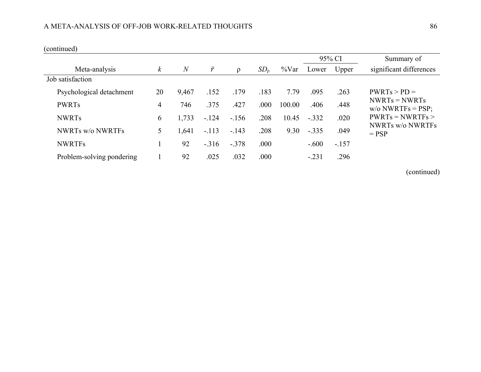## A META-ANALYSIS OF OFF-JOB WORK-RELATED THOUGHTS  $\,$  86  $\,$

(continued)

|                           |          |                |           |         |                 |          | 95% CI  |         | Summary of                             |
|---------------------------|----------|----------------|-----------|---------|-----------------|----------|---------|---------|----------------------------------------|
| Meta-analysis             | $\kappa$ | $\overline{N}$ | $\bar{r}$ | $\rho$  | SD <sub>0</sub> | $\%$ Var | Lower   | Upper   | significant differences                |
| Job satisfaction          |          |                |           |         |                 |          |         |         |                                        |
| Psychological detachment  | 20       | 9,467          | .152      | .179    | .183            | 7.79     | .095    | .263    | $PWRTs > PD =$                         |
| <b>PWRTs</b>              | 4        | 746            | .375      | .427    | .000            | 100.00   | .406    | .448    | $NWRTs = NWRTs$<br>$w/o NWRTFs = PSP;$ |
| <b>NWRTs</b>              | 6        | 1,733          | $-.124$   | $-.156$ | .208            | 10.45    | $-.332$ | .020    | $PWRTs = NWRTFs$                       |
| <b>NWRTs w/o NWRTFs</b>   | 5        | 1,641          | $-.113$   | $-.143$ | .208            | 9.30     | $-.335$ | .049    | <b>NWRTs w/o NWRTFs</b><br>$=$ PSP     |
| <b>NWRTFs</b>             |          | 92             | $-.316$   | $-.378$ | .000            |          | $-.600$ | $-.157$ |                                        |
| Problem-solving pondering |          | 92             | .025      | .032    | .000            |          | $-.231$ | .296    |                                        |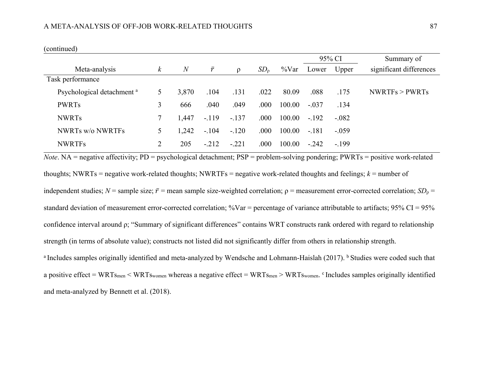|                                       |          |                |           |          |                 |          | 95% CI  |         | Summary of              |
|---------------------------------------|----------|----------------|-----------|----------|-----------------|----------|---------|---------|-------------------------|
| Meta-analysis                         | $\kappa$ | $\overline{N}$ | $\bar{r}$ | $\Omega$ | SD <sub>o</sub> | $\%$ Var | Lower   | Upper   | significant differences |
| Task performance                      |          |                |           |          |                 |          |         |         |                         |
| Psychological detachment <sup>a</sup> | 5.       | 3,870          | .104      | .131     | .022            | 80.09    | .088    | .175    | NWRTFs > PWRTs          |
| <b>PWRTs</b>                          | 3        | 666            | .040      | .049     | .000            | 100.00   | $-.037$ | .134    |                         |
| <b>NWRTs</b>                          |          | 1.447          | $-.119$   | $-.137$  | .000            | 100.00   | $-.192$ | $-.082$ |                         |
| <b>NWRTs w/o NWRTFs</b>               | 5        | 1,242          | $-.104$   | $-.120$  | .000            | 100.00   | $-.181$ | $-.059$ |                         |
| <b>NWRTFs</b>                         |          | 205            | $-.212$   | $-.221$  | .000            | 100.00   | $-.242$ | $-.199$ |                         |

*Note*. NA = negative affectivity; PD = psychological detachment; PSP = problem-solving pondering; PWRTs = positive work-related thoughts; NWRTs = negative work-related thoughts; NWRTFs = negative work-related thoughts and feelings;  $k =$  number of independent studies;  $N$  = sample size;  $\bar{r}$  = mean sample size-weighted correlation;  $\rho$  = measurement error-corrected correlation; *SD*<sub> $\rho$ </sub> = standard deviation of measurement error-corrected correlation; %Var = percentage of variance attributable to artifacts; 95% CI = 95% confidence interval around ρ; "Summary of significant differences" contains WRT constructs rank ordered with regard to relationship strength (in terms of absolute value); constructs not listed did not significantly differ from others in relationship strength. <sup>a</sup> Includes samples originally identified and meta-analyzed by Wendsche and Lohmann-Haislah (2017). <sup>b</sup> Studies were coded such that

a positive effect = WRTs<sub>men</sub> < WRTs<sub>women</sub> whereas a negative effect = WRTs<sub>men</sub> > WRTs<sub>women</sub>. <sup>c</sup> Includes samples originally identified and meta-analyzed by Bennett et al. (2018).